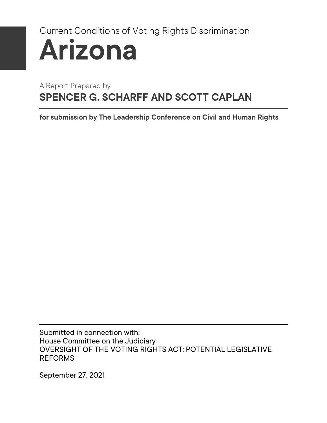# Current Conditions of Voting Rights Discrimination **Arizona**

### A Report Prepared by **SPENCER G. SCHARFF AND SCOTT CAPLAN**

**for submission by The Leadership Conference on Civil and Human Rights** 

Submitted in connection with: House Committee on the Judiciary OVERSIGHT OF THE VOTING RIGHTS ACT: POTENTIAL LEGISLATIVE REFORMS

September 27, 2021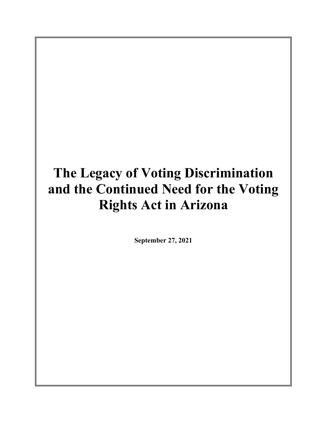## **The Legacy of Voting Discrimination and the Continued Need for the Voting Rights Act in Arizona**

**September 27, 2021**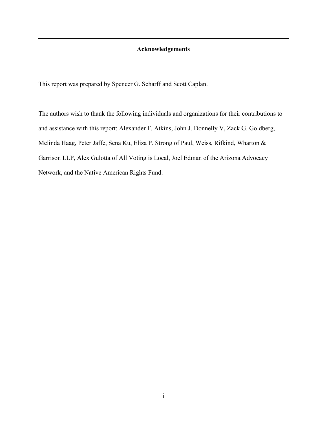This report was prepared by Spencer G. Scharff and Scott Caplan.

The authors wish to thank the following individuals and organizations for their contributions to and assistance with this report: Alexander F. Atkins, John J. Donnelly V, Zack G. Goldberg, Melinda Haag, Peter Jaffe, Sena Ku, Eliza P. Strong of Paul, Weiss, Rifkind, Wharton & Garrison LLP, Alex Gulotta of All Voting is Local, Joel Edman of the Arizona Advocacy Network, and the Native American Rights Fund.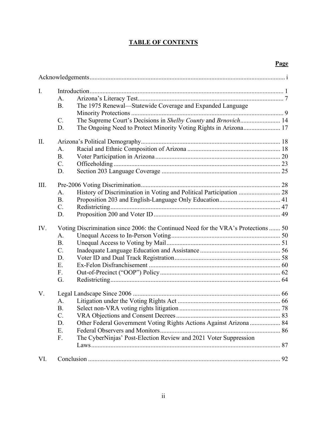#### **TABLE OF CONTENTS**

#### **Page**

| $\mathbf{I}$ . |                                                                                    |  |
|----------------|------------------------------------------------------------------------------------|--|
|                | A.                                                                                 |  |
|                | The 1975 Renewal-Statewide Coverage and Expanded Language<br><b>B.</b>             |  |
|                |                                                                                    |  |
|                | The Supreme Court's Decisions in Shelby County and Brnovich 14<br>C.               |  |
|                | D.                                                                                 |  |
| II.            |                                                                                    |  |
|                | A.                                                                                 |  |
|                | <b>B.</b>                                                                          |  |
|                | $C$ .                                                                              |  |
|                | D.                                                                                 |  |
| III.           |                                                                                    |  |
|                | History of Discrimination in Voting and Political Participation  28<br>A.          |  |
|                | <b>B.</b>                                                                          |  |
|                | $C$ .                                                                              |  |
|                | D.                                                                                 |  |
| IV.            | Voting Discrimination since 2006: the Continued Need for the VRA's Protections  50 |  |
|                | A.                                                                                 |  |
|                | <b>B.</b>                                                                          |  |
|                | $C$ .                                                                              |  |
|                | D.                                                                                 |  |
|                | E.                                                                                 |  |
|                | F.                                                                                 |  |
|                | G.                                                                                 |  |
| V.             |                                                                                    |  |
|                | A.                                                                                 |  |
|                | <b>B.</b>                                                                          |  |
|                | $C$ .                                                                              |  |
|                | Other Federal Government Voting Rights Actions Against Arizona  84<br>D.           |  |
|                | E.                                                                                 |  |
|                | The CyberNinjas' Post-Election Review and 2021 Voter Suppression<br>F.             |  |
|                |                                                                                    |  |
| VI.            |                                                                                    |  |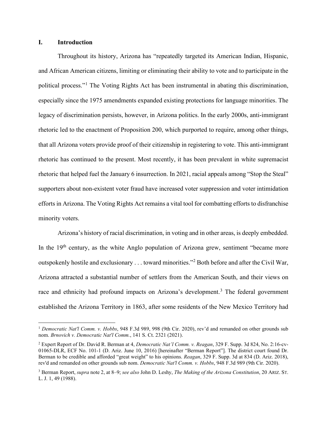#### **I. Introduction**

Throughout its history, Arizona has "repeatedly targeted its American Indian, Hispanic, and African American citizens, limiting or eliminating their ability to vote and to participate in the political process."<sup>1</sup> The Voting Rights Act has been instrumental in abating this discrimination, especially since the 1975 amendments expanded existing protections for language minorities. The legacy of discrimination persists, however, in Arizona politics. In the early 2000s, anti-immigrant rhetoric led to the enactment of Proposition 200, which purported to require, among other things, that all Arizona voters provide proof of their citizenship in registering to vote. This anti-immigrant rhetoric has continued to the present. Most recently, it has been prevalent in white supremacist rhetoric that helped fuel the January 6 insurrection. In 2021, racial appeals among "Stop the Steal" supporters about non-existent voter fraud have increased voter suppression and voter intimidation efforts in Arizona. The Voting Rights Act remains a vital tool for combatting efforts to disfranchise minority voters.

Arizona's history of racial discrimination, in voting and in other areas, is deeply embedded. In the  $19<sup>th</sup>$  century, as the white Anglo population of Arizona grew, sentiment "became more outspokenly hostile and exclusionary . . . toward minorities."<sup>2</sup> Both before and after the Civil War, Arizona attracted a substantial number of settlers from the American South, and their views on race and ethnicity had profound impacts on Arizona's development.<sup>3</sup> The federal government established the Arizona Territory in 1863, after some residents of the New Mexico Territory had

<sup>1</sup> *Democratic Nat'l Comm. v. Hobbs*, 948 F.3d 989, 998 (9th Cir. 2020), rev'd and remanded on other grounds sub nom. *Brnovich v. Democratic Nat'l Comm.*, 141 S. Ct. 2321 (2021).

<sup>2</sup> Expert Report of Dr. David R. Berman at 4, *Democratic Nat'l Comm. v. Reagan*, 329 F. Supp. 3d 824, No. 2:16-cv-01065-DLR, ECF No. 101-1 (D. Ariz. June 10, 2016) [hereinafter "Berman Report"]. The district court found Dr. Berman to be credible and afforded "great weight" to his opinions. *Reagan*, 329 F. Supp. 3d at 834 (D. Ariz. 2018), rev'd and remanded on other grounds sub nom. *Democratic Nat'l Comm. v. Hobbs*, 948 F.3d 989 (9th Cir. 2020).

<sup>3</sup> Berman Report, *supra* note 2, at 8–9; *see also* John D. Leshy, *The Making of the Arizona Constitution*, 20 ARIZ. ST. L. J. 1, 49 (1988).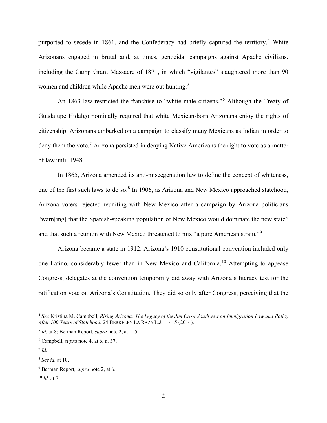purported to secede in 1861, and the Confederacy had briefly captured the territory.<sup>4</sup> White Arizonans engaged in brutal and, at times, genocidal campaigns against Apache civilians, including the Camp Grant Massacre of 1871, in which "vigilantes" slaughtered more than 90 women and children while Apache men were out hunting.<sup>5</sup>

An 1863 law restricted the franchise to "white male citizens."<sup>6</sup> Although the Treaty of Guadalupe Hidalgo nominally required that white Mexican-born Arizonans enjoy the rights of citizenship, Arizonans embarked on a campaign to classify many Mexicans as Indian in order to deny them the vote.<sup>7</sup> Arizona persisted in denying Native Americans the right to vote as a matter of law until 1948.

In 1865, Arizona amended its anti-miscegenation law to define the concept of whiteness, one of the first such laws to do so.<sup>8</sup> In 1906, as Arizona and New Mexico approached statehood, Arizona voters rejected reuniting with New Mexico after a campaign by Arizona politicians "warn[ing] that the Spanish-speaking population of New Mexico would dominate the new state" and that such a reunion with New Mexico threatened to mix "a pure American strain."<sup>9</sup>

Arizona became a state in 1912. Arizona's 1910 constitutional convention included only one Latino, considerably fewer than in New Mexico and California.<sup>10</sup> Attempting to appease Congress, delegates at the convention temporarily did away with Arizona's literacy test for the ratification vote on Arizona's Constitution. They did so only after Congress, perceiving that the

<sup>4</sup> *See* Kristina M. Campbell, *Rising Arizona: The Legacy of the Jim Crow Southwest on Immigration Law and Policy After 100 Years of Statehood*, 24 BERKELEY LA RAZA L.J. 1, 4–5 (2014).

<sup>5</sup> *Id.* at 8; Berman Report, *supra* note 2, at 4–5.

<sup>6</sup> Campbell, *supra* note 4, at 6, n. 37.

<sup>7</sup> *Id.*

<sup>8</sup> *See id.* at 10.

<sup>9</sup> Berman Report, *supra* note 2, at 6.

<sup>10</sup> *Id.* at 7.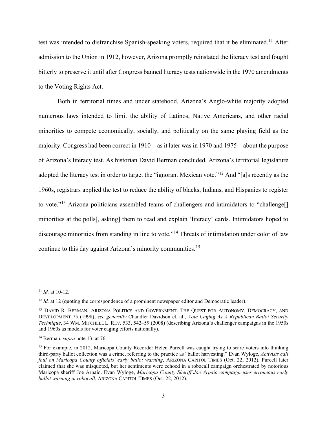test was intended to disfranchise Spanish-speaking voters, required that it be eliminated.<sup>11</sup> After admission to the Union in 1912, however, Arizona promptly reinstated the literacy test and fought bitterly to preserve it until after Congress banned literacy tests nationwide in the 1970 amendments to the Voting Rights Act.

Both in territorial times and under statehood, Arizona's Anglo-white majority adopted numerous laws intended to limit the ability of Latinos, Native Americans, and other racial minorities to compete economically, socially, and politically on the same playing field as the majority. Congress had been correct in 1910—as it later was in 1970 and 1975—about the purpose of Arizona's literacy test. As historian David Berman concluded, Arizona's territorial legislature adopted the literacy test in order to target the "ignorant Mexican vote."<sup>12</sup> And "[a]s recently as the 1960s, registrars applied the test to reduce the ability of blacks, Indians, and Hispanics to register to vote."<sup>13</sup> Arizona politicians assembled teams of challengers and intimidators to "challenge<sup>[]</sup> minorities at the polls[, asking] them to read and explain 'literacy' cards. Intimidators hoped to discourage minorities from standing in line to vote."<sup>14</sup> Threats of intimidation under color of law continue to this day against Arizona's minority communities.<sup>15</sup>

<sup>11</sup> *Id.* at 10-12.

<sup>&</sup>lt;sup>12</sup> *Id.* at 12 (quoting the correspondence of a prominent newspaper editor and Democratic leader).

<sup>&</sup>lt;sup>13</sup> DAVID R. BERMAN, ARIZONA POLITICS AND GOVERNMENT: THE QUEST FOR AUTONOMY, DEMOCRACY, AND DEVELOPMENT 75 (1998); *see generally* Chandler Davidson et. al., *Vote Caging As A Republican Ballot Security Technique*, 34 WM. MITCHELL L. REV. 533, 542–59 (2008) (describing Arizona's challenger campaigns in the 1950s and 1960s as models for voter caging efforts nationally).

<sup>14</sup> Berman, *supra* note 13, at 76.

<sup>&</sup>lt;sup>15</sup> For example, in 2012, Maricopa County Recorder Helen Purcell was caught trying to scare voters into thinking third-party ballot collection was a crime, referring to the practice as "ballot harvesting." Evan Wyloge, *Activists call foul on Maricopa County officials' early ballot warning*, ARIZONA CAPITOL TIMES (Oct. 22, 2012). Purcell later claimed that she was misquoted, but her sentiments were echoed in a robocall campaign orchestrated by notorious Maricopa sheriff Joe Arpaio. Evan Wyloge, *Maricopa County Sheriff Joe Arpaio campaign uses erroneous early ballot warning in robocall*, ARIZONA CAPITOL TIMES (Oct. 22, 2012).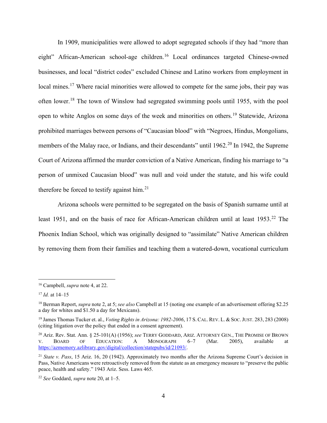In 1909, municipalities were allowed to adopt segregated schools if they had "more than eight" African-American school-age children.<sup>16</sup> Local ordinances targeted Chinese-owned businesses, and local "district codes" excluded Chinese and Latino workers from employment in local mines.<sup>17</sup> Where racial minorities were allowed to compete for the same jobs, their pay was often lower.<sup>18</sup> The town of Winslow had segregated swimming pools until 1955, with the pool open to white Anglos on some days of the week and minorities on others.<sup>19</sup> Statewide, Arizona prohibited marriages between persons of "Caucasian blood" with "Negroes, Hindus, Mongolians, members of the Malay race, or Indians, and their descendants" until 1962.<sup>20</sup> In 1942, the Supreme Court of Arizona affirmed the murder conviction of a Native American, finding his marriage to "a person of unmixed Caucasian blood" was null and void under the statute, and his wife could therefore be forced to testify against him. $21$ 

Arizona schools were permitted to be segregated on the basis of Spanish surname until at least 1951, and on the basis of race for African-American children until at least 1953.<sup>22</sup> The Phoenix Indian School, which was originally designed to "assimilate" Native American children by removing them from their families and teaching them a watered-down, vocational curriculum

<sup>16</sup> Campbell, *supra* note 4, at 22.

<sup>17</sup> *Id.* at 14–15

<sup>18</sup> Berman Report, *supra* note 2, at 5; *see also* Campbell at 15 (noting one example of an advertisement offering \$2.25 a day for whites and \$1.50 a day for Mexicans).

<sup>19</sup> James Thomas Tucker et. al., *Voting Rights in Arizona: 1982-2006*, 17 S.CAL. REV. L. & SOC.JUST. 283, 283 (2008) (citing litigation over the policy that ended in a consent agreement).

<sup>20</sup> Ariz. Rev. Stat. Ann. § 25-101(A) (1956); *see* TERRY GODDARD, ARIZ. ATTORNEY GEN., THE PROMISE OF BROWN V. BOARD OF EDUCATION: A MONOGRAPH 6–7 (Mar. 2005), available at https://azmemory.azlibrary.gov/digital/collection/statepubs/id/21093/.

<sup>21</sup> *State v. Pass*, 15 Ariz. 16, 20 (1942). Approximately two months after the Arizona Supreme Court's decision in Pass, Native Americans were retroactively removed from the statute as an emergency measure to "preserve the public peace, health and safety." 1943 Ariz. Sess. Laws 465.

<sup>22</sup> *See* Goddard, *supra* note 20, at 1–5.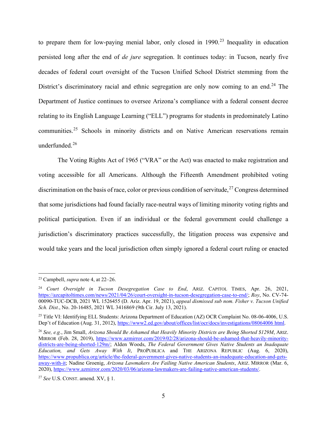to prepare them for low-paying menial labor, only closed in 1990.<sup>23</sup> Inequality in education persisted long after the end of *de jure* segregation. It continues today: in Tucson, nearly five decades of federal court oversight of the Tucson Unified School District stemming from the District's discriminatory racial and ethnic segregation are only now coming to an end.<sup>24</sup> The Department of Justice continues to oversee Arizona's compliance with a federal consent decree relating to its English Language Learning ("ELL") programs for students in predominately Latino communities.<sup>25</sup> Schools in minority districts and on Native American reservations remain underfunded.<sup>26</sup>

The Voting Rights Act of 1965 ("VRA" or the Act) was enacted to make registration and voting accessible for all Americans. Although the Fifteenth Amendment prohibited voting discrimination on the basis of race, color or previous condition of servitude,<sup>27</sup> Congress determined that some jurisdictions had found facially race-neutral ways of limiting minority voting rights and political participation. Even if an individual or the federal government could challenge a jurisdiction's discriminatory practices successfully, the litigation process was expensive and would take years and the local jurisdiction often simply ignored a federal court ruling or enacted

<sup>23</sup> Campbell, *supra* note 4, at 22–26.

<sup>24</sup> *Court Oversight in Tucson Desegregation Case to End*, ARIZ. CAPITOL TIMES, Apr. 26, 2021, https://azcapitoltimes.com/news/2021/04/26/court-oversight-in-tucson-desegregation-case-to-end/; *Roy*, No. CV-74- 00090-TUC-DCB, 2021 WL 1526455 (D. Ariz. Apr. 19, 2021), *appeal dismissed sub nom. Fisher v. Tucson Unified Sch. Dist.*, No. 20-16485, 2021 WL 3416869 (9th Cir. July 13, 2021).

<sup>&</sup>lt;sup>25</sup> Title VI: Identifying ELL Students: Arizona Department of Education (AZ) OCR Complaint No. 08-06-4006, U.S. Dep't of Education (Aug. 31, 2012), https://www2.ed.gov/about/offices/list/ocr/docs/investigations/08064006 html.

<sup>26</sup> *See, e.g.*, Jim Small, *Arizona Should Be Ashamed that Heavily Minority Districts are Being Shorted \$129M*, ARIZ. MIRROR (Feb. 28, 2019), https://www.azmirror.com/2019/02/28/arizona-should-be-ashamed-that-heavily-minoritydistricts-are-being-shorted-129m/; Alden Woods, *The Federal Government Gives Native Students an Inadequate Education, and Gets Away With It*, PROPUBLICA and THE ARIZONA REPUBLIC (Aug. 6, 2020), https://www.propublica.org/article/the-federal-government-gives-native-students-an-inadequate-education-and-getsaway-with-it; Nadine Groenig, *Arizona Lawmakers Are Failing Native American Students*, ARIZ. MIRROR (Mar. 6, 2020), https://www.azmirror.com/2020/03/06/arizona-lawmakers-are-failing-native-american-students/.

<sup>27</sup> *See* U.S. CONST. amend. XV, § 1.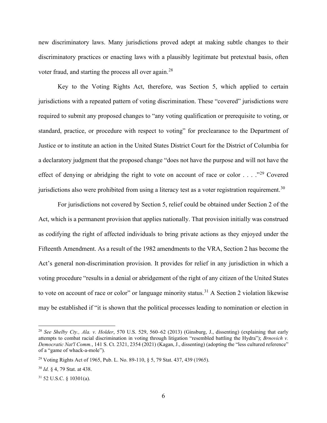new discriminatory laws. Many jurisdictions proved adept at making subtle changes to their discriminatory practices or enacting laws with a plausibly legitimate but pretextual basis, often voter fraud, and starting the process all over again.<sup>28</sup>

Key to the Voting Rights Act, therefore, was Section 5, which applied to certain jurisdictions with a repeated pattern of voting discrimination. These "covered" jurisdictions were required to submit any proposed changes to "any voting qualification or prerequisite to voting, or standard, practice, or procedure with respect to voting" for preclearance to the Department of Justice or to institute an action in the United States District Court for the District of Columbia for a declaratory judgment that the proposed change "does not have the purpose and will not have the effect of denying or abridging the right to vote on account of race or color . . . . .<sup>29</sup> Covered jurisdictions also were prohibited from using a literacy test as a voter registration requirement.<sup>30</sup>

For jurisdictions not covered by Section 5, relief could be obtained under Section 2 of the Act, which is a permanent provision that applies nationally. That provision initially was construed as codifying the right of affected individuals to bring private actions as they enjoyed under the Fifteenth Amendment. As a result of the 1982 amendments to the VRA, Section 2 has become the Act's general non-discrimination provision. It provides for relief in any jurisdiction in which a voting procedure "results in a denial or abridgement of the right of any citizen of the United States to vote on account of race or color" or language minority status.<sup>31</sup> A Section 2 violation likewise may be established if "it is shown that the political processes leading to nomination or election in

<sup>28</sup> *See Shelby Cty., Ala. v. Holder*, 570 U.S. 529, 560–62 (2013) (Ginsburg, J., dissenting) (explaining that early attempts to combat racial discrimination in voting through litigation "resembled battling the Hydra"); *Brnovich v. Democratic Nat'l Comm.*, 141 S. Ct. 2321, 2354 (2021) (Kagan, J., dissenting) (adopting the "less cultured reference" of a "game of whack-a-mole").

<sup>29</sup> Voting Rights Act of 1965, Pub. L. No. 89-110, § 5, 79 Stat. 437, 439 (1965).

<sup>30</sup> *Id.* § 4, 79 Stat. at 438.

 $31$  52 U.S.C. § 10301(a).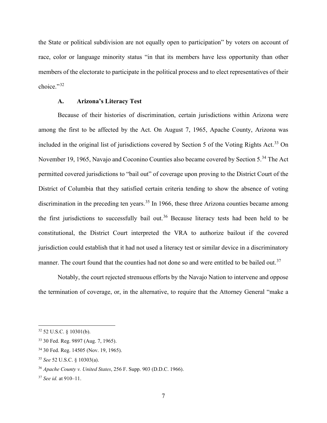the State or political subdivision are not equally open to participation" by voters on account of race, color or language minority status "in that its members have less opportunity than other members of the electorate to participate in the political process and to elect representatives of their choice."<sup>32</sup>

#### **A. Arizona's Literacy Test**

Because of their histories of discrimination, certain jurisdictions within Arizona were among the first to be affected by the Act. On August 7, 1965, Apache County, Arizona was included in the original list of jurisdictions covered by Section 5 of the Voting Rights Act. <sup>33</sup> On November 19, 1965, Navajo and Coconino Counties also became covered by Section 5.<sup>34</sup> The Act permitted covered jurisdictions to "bail out" of coverage upon proving to the District Court of the District of Columbia that they satisfied certain criteria tending to show the absence of voting discrimination in the preceding ten years.<sup>35</sup> In 1966, these three Arizona counties became among the first jurisdictions to successfully bail out.<sup>36</sup> Because literacy tests had been held to be constitutional, the District Court interpreted the VRA to authorize bailout if the covered jurisdiction could establish that it had not used a literacy test or similar device in a discriminatory manner. The court found that the counties had not done so and were entitled to be bailed out.<sup>37</sup>

Notably, the court rejected strenuous efforts by the Navajo Nation to intervene and oppose the termination of coverage, or, in the alternative, to require that the Attorney General "make a

<sup>32</sup> 52 U.S.C. § 10301(b).

<sup>33</sup> 30 Fed. Reg. 9897 (Aug. 7, 1965).

<sup>34</sup> 30 Fed. Reg. 14505 (Nov. 19, 1965).

<sup>35</sup> *See* 52 U.S.C. § 10303(a).

<sup>36</sup> *Apache County v. United States*, 256 F. Supp. 903 (D.D.C. 1966).

<sup>37</sup> *See id.* at 910–11.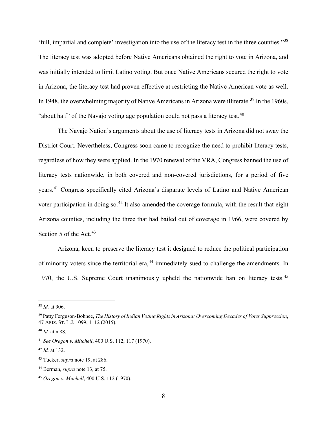'full, impartial and complete' investigation into the use of the literacy test in the three counties."<sup>38</sup> The literacy test was adopted before Native Americans obtained the right to vote in Arizona, and was initially intended to limit Latino voting. But once Native Americans secured the right to vote in Arizona, the literacy test had proven effective at restricting the Native American vote as well. In 1948, the overwhelming majority of Native Americans in Arizona were illiterate.<sup>39</sup> In the 1960s, "about half" of the Navajo voting age population could not pass a literacy test. $40$ 

The Navajo Nation's arguments about the use of literacy tests in Arizona did not sway the District Court. Nevertheless, Congress soon came to recognize the need to prohibit literacy tests, regardless of how they were applied. In the 1970 renewal of the VRA, Congress banned the use of literacy tests nationwide, in both covered and non-covered jurisdictions, for a period of five years.<sup>41</sup> Congress specifically cited Arizona's disparate levels of Latino and Native American voter participation in doing so.<sup>42</sup> It also amended the coverage formula, with the result that eight Arizona counties, including the three that had bailed out of coverage in 1966, were covered by Section 5 of the Act.<sup>43</sup>

Arizona, keen to preserve the literacy test it designed to reduce the political participation of minority voters since the territorial era,<sup>44</sup> immediately sued to challenge the amendments. In 1970, the U.S. Supreme Court unanimously upheld the nationwide ban on literacy tests.<sup>45</sup>

<sup>38</sup> *Id.* at 906.

<sup>39</sup> Patty Ferguson-Bohnee, *The History of Indian Voting Rights in Arizona: Overcoming Decades of Voter Suppression*, 47 ARIZ. ST. L.J. 1099, 1112 (2015).

<sup>40</sup> *Id.* at n.88.

<sup>41</sup> *See Oregon v. Mitchell*, 400 U.S. 112, 117 (1970).

<sup>42</sup> *Id.* at 132.

<sup>43</sup> Tucker, *supra* note 19, at 286.

<sup>44</sup> Berman, *supra* note 13, at 75.

<sup>45</sup> *Oregon v. Mitchell*, 400 U.S. 112 (1970).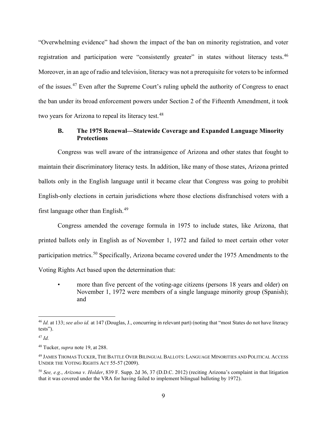"Overwhelming evidence" had shown the impact of the ban on minority registration, and voter registration and participation were "consistently greater" in states without literacy tests.<sup>46</sup> Moreover, in an age of radio and television, literacy was not a prerequisite for voters to be informed of the issues.<sup>47</sup> Even after the Supreme Court's ruling upheld the authority of Congress to enact the ban under its broad enforcement powers under Section 2 of the Fifteenth Amendment, it took two years for Arizona to repeal its literacy test.<sup>48</sup>

#### **B. The 1975 Renewal—Statewide Coverage and Expanded Language Minority Protections**

Congress was well aware of the intransigence of Arizona and other states that fought to maintain their discriminatory literacy tests. In addition, like many of those states, Arizona printed ballots only in the English language until it became clear that Congress was going to prohibit English-only elections in certain jurisdictions where those elections disfranchised voters with a first language other than English.<sup>49</sup>

Congress amended the coverage formula in 1975 to include states, like Arizona, that printed ballots only in English as of November 1, 1972 and failed to meet certain other voter participation metrics.<sup>50</sup> Specifically, Arizona became covered under the 1975 Amendments to the Voting Rights Act based upon the determination that:

more than five percent of the voting-age citizens (persons 18 years and older) on November 1, 1972 were members of a single language minority group (Spanish); and

<sup>46</sup> *Id.* at 133; *see also id.* at 147 (Douglas, J., concurring in relevant part) (noting that "most States do not have literacy tests").

<sup>47</sup> *Id.*

<sup>48</sup> Tucker, *supra* note 19, at 288.

<sup>49</sup> JAMES THOMAS TUCKER, THE BATTLE OVER BILINGUAL BALLOTS: LANGUAGE MINORITIES AND POLITICAL ACCESS UNDER THE VOTING RIGHTS ACT 55-57 (2009).

<sup>50</sup> *See, e.g.*, *Arizona v. Holder*, 839 F. Supp. 2d 36, 37 (D.D.C. 2012) (reciting Arizona's complaint in that litigation that it was covered under the VRA for having failed to implement bilingual balloting by 1972).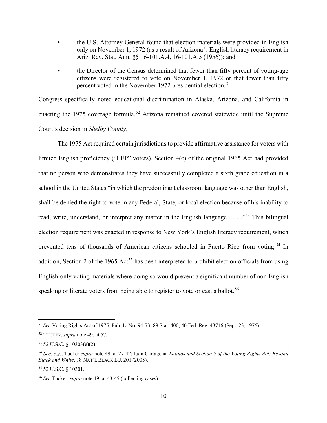- the U.S. Attorney General found that election materials were provided in English only on November 1, 1972 (as a result of Arizona's English literacy requirement in Ariz. Rev. Stat. Ann. §§ 16-101.A.4, 16-101.A.5 (1956)); and
- the Director of the Census determined that fewer than fifty percent of voting-age citizens were registered to vote on November 1, 1972 or that fewer than fifty percent voted in the November 1972 presidential election.<sup>51</sup>

Congress specifically noted educational discrimination in Alaska, Arizona, and California in enacting the 1975 coverage formula.<sup>52</sup> Arizona remained covered statewide until the Supreme Court's decision in *Shelby County*.

The 1975 Act required certain jurisdictions to provide affirmative assistance for voters with limited English proficiency ("LEP" voters). Section 4(e) of the original 1965 Act had provided that no person who demonstrates they have successfully completed a sixth grade education in a school in the United States "in which the predominant classroom language was other than English, shall be denied the right to vote in any Federal, State, or local election because of his inability to read, write, understand, or interpret any matter in the English language . . . . "<sup>53</sup> This bilingual election requirement was enacted in response to New York's English literacy requirement, which prevented tens of thousands of American citizens schooled in Puerto Rico from voting.<sup>54</sup> In addition, Section 2 of the 1965 Act<sup>55</sup> has been interpreted to prohibit election officials from using English-only voting materials where doing so would prevent a significant number of non-English speaking or literate voters from being able to register to vote or cast a ballot.<sup>56</sup>

<sup>51</sup> *See* Voting Rights Act of 1975, Pub. L. No. 94-73, 89 Stat. 400; 40 Fed. Reg. 43746 (Sept. 23, 1976).

<sup>52</sup> TUCKER, *supra* note 49, at 57.

<sup>53</sup> 52 U.S.C. § 10303(e)(2).

<sup>54</sup> *See*, *e.g.*, Tucker *supra* note 49, at 27-42; Juan Cartagena, *Latinos and Section 5 of the Voting Rights Act: Beyond Black and White*, 18 NAT'L BLACK L.J. 201 (2005).

<sup>55</sup> 52 U.S.C. § 10301.

<sup>56</sup> *See* Tucker, *supra* note 49, at 43-45 (collecting cases).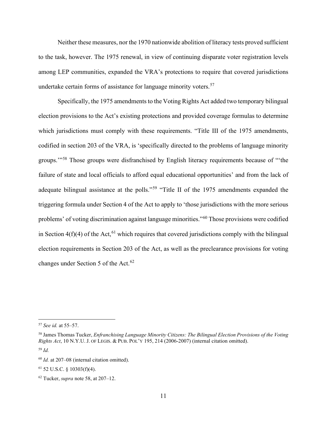Neither these measures, nor the 1970 nationwide abolition of literacy tests proved sufficient to the task, however. The 1975 renewal, in view of continuing disparate voter registration levels among LEP communities, expanded the VRA's protections to require that covered jurisdictions undertake certain forms of assistance for language minority voters.<sup>57</sup>

Specifically, the 1975 amendments to the Voting Rights Act added two temporary bilingual election provisions to the Act's existing protections and provided coverage formulas to determine which jurisdictions must comply with these requirements. "Title III of the 1975 amendments, codified in section 203 of the VRA, is 'specifically directed to the problems of language minority groups.'"<sup>58</sup> Those groups were disfranchised by English literacy requirements because of "'the failure of state and local officials to afford equal educational opportunities' and from the lack of adequate bilingual assistance at the polls."<sup>59</sup> "Title II of the 1975 amendments expanded the triggering formula under Section 4 of the Act to apply to 'those jurisdictions with the more serious problems' of voting discrimination against language minorities."<sup>60</sup> Those provisions were codified in Section  $4(f)(4)$  of the Act,<sup>61</sup> which requires that covered jurisdictions comply with the bilingual election requirements in Section 203 of the Act, as well as the preclearance provisions for voting changes under Section 5 of the Act.<sup>62</sup>

<sup>57</sup> *See id.* at 55–57.

<sup>58</sup> James Thomas Tucker, *Enfranchising Language Minority Citizens: The Bilingual Election Provisions of the Voting Rights Act*, 10 N.Y.U. J. OF LEGIS. & PUB. POL'Y 195, 214 (2006-2007) (internal citation omitted). <sup>59</sup> *Id.*

<sup>60</sup> *Id.* at 207–08 (internal citation omitted).

 $61$  52 U.S.C. § 10303(f)(4).

<sup>62</sup> Tucker, *supra* note 58, at 207–12.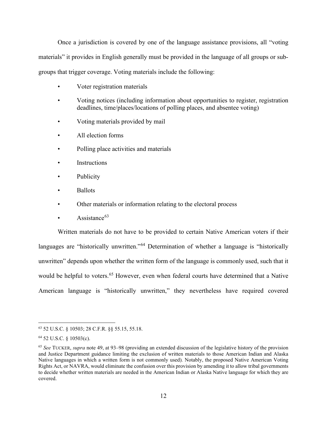Once a jurisdiction is covered by one of the language assistance provisions, all "voting materials" it provides in English generally must be provided in the language of all groups or subgroups that trigger coverage. Voting materials include the following:

- Voter registration materials
- Voting notices (including information about opportunities to register, registration deadlines, time/places/locations of polling places, and absentee voting)
- Voting materials provided by mail
- All election forms
- Polling place activities and materials
- **Instructions**
- **Publicity**
- Ballots
- Other materials or information relating to the electoral process
- Assistance $63$

Written materials do not have to be provided to certain Native American voters if their languages are "historically unwritten."<sup>64</sup> Determination of whether a language is "historically unwritten" depends upon whether the written form of the language is commonly used, such that it would be helpful to voters.<sup>65</sup> However, even when federal courts have determined that a Native American language is "historically unwritten," they nevertheless have required covered

<sup>63</sup> 52 U.S.C. § 10503; 28 C.F.R. §§ 55.15, 55.18.

<sup>64</sup> 52 U.S.C. § 10503(c).

<sup>65</sup> *See* TUCKER, *supra* note 49, at 93–98 (providing an extended discussion of the legislative history of the provision and Justice Department guidance limiting the exclusion of written materials to those American Indian and Alaska Native languages in which a written form is not commonly used)*.* Notably, the proposed Native American Voting Rights Act, or NAVRA, would eliminate the confusion over this provision by amending it to allow tribal governments to decide whether written materials are needed in the American Indian or Alaska Native language for which they are covered.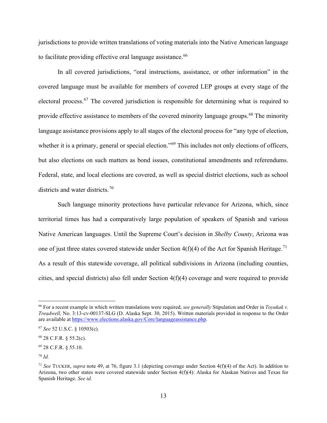jurisdictions to provide written translations of voting materials into the Native American language to facilitate providing effective oral language assistance.<sup>66</sup>

In all covered jurisdictions, "oral instructions, assistance, or other information" in the covered language must be available for members of covered LEP groups at every stage of the electoral process.<sup>67</sup> The covered jurisdiction is responsible for determining what is required to provide effective assistance to members of the covered minority language groups.<sup>68</sup> The minority language assistance provisions apply to all stages of the electoral process for "any type of election, whether it is a primary, general or special election."<sup>69</sup> This includes not only elections of officers, but also elections on such matters as bond issues, constitutional amendments and referendums. Federal, state, and local elections are covered, as well as special district elections, such as school districts and water districts.<sup>70</sup>

Such language minority protections have particular relevance for Arizona, which, since territorial times has had a comparatively large population of speakers of Spanish and various Native American languages. Until the Supreme Court's decision in *Shelby County*, Arizona was one of just three states covered statewide under Section  $4(f)(4)$  of the Act for Spanish Heritage.<sup>71</sup> As a result of this statewide coverage, all political subdivisions in Arizona (including counties, cities, and special districts) also fell under Section 4(f)(4) coverage and were required to provide

<sup>66</sup> For a recent example in which written translations were required, *see generally* Stipulation and Order in *Toyukak v. Treadwell*, No. 3:13-cv-00137-SLG (D. Alaska Sept. 30, 2015). Written materials provided in response to the Order are available at https://www.elections.alaska.gov/Core/languageassistance.php.

<sup>67</sup> *See* 52 U.S.C. § 10503(c).

<sup>68</sup> 28 C.F.R. § 55.2(c).

<sup>69</sup> 28 C.F.R. § 55.10.

<sup>70</sup> *Id.*

<sup>71</sup> *See* TUCKER, *supra* note 49, at 76, figure 3.1 (depicting coverage under Section 4(f)(4) of the Act). In addition to Arizona, two other states were covered statewide under Section 4(f)(4): Alaska for Alaskan Natives and Texas for Spanish Heritage. *See id.*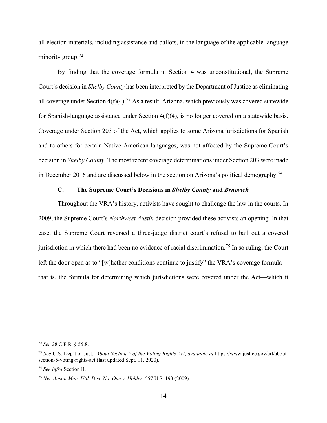all election materials, including assistance and ballots, in the language of the applicable language minority group.<sup>72</sup>

By finding that the coverage formula in Section 4 was unconstitutional, the Supreme Court's decision in *Shelby County* has been interpreted by the Department of Justice as eliminating all coverage under Section  $4(f)(4)$ .<sup>73</sup> As a result, Arizona, which previously was covered statewide for Spanish-language assistance under Section 4(f)(4), is no longer covered on a statewide basis. Coverage under Section 203 of the Act, which applies to some Arizona jurisdictions for Spanish and to others for certain Native American languages, was not affected by the Supreme Court's decision in *Shelby County*. The most recent coverage determinations under Section 203 were made in December 2016 and are discussed below in the section on Arizona's political demography.<sup>74</sup>

#### **C. The Supreme Court's Decisions in** *Shelby County* **and** *Brnovich*

Throughout the VRA's history, activists have sought to challenge the law in the courts. In 2009, the Supreme Court's *Northwest Austin* decision provided these activists an opening. In that case, the Supreme Court reversed a three-judge district court's refusal to bail out a covered jurisdiction in which there had been no evidence of racial discrimination.<sup>75</sup> In so ruling, the Court left the door open as to "[w]hether conditions continue to justify" the VRA's coverage formula that is, the formula for determining which jurisdictions were covered under the Act—which it

<sup>72</sup> *See* 28 C.F.R. § 55.8.

<sup>73</sup> *See* U.S. Dep't of Just., *About Section 5 of the Voting Rights Act*, *available at* https://www.justice.gov/crt/aboutsection-5-voting-rights-act (last updated Sept. 11, 2020).

<sup>74</sup> *See infra* Section II.

<sup>75</sup> *Nw. Austin Mun. Util. Dist. No. One v. Holder*, 557 U.S. 193 (2009).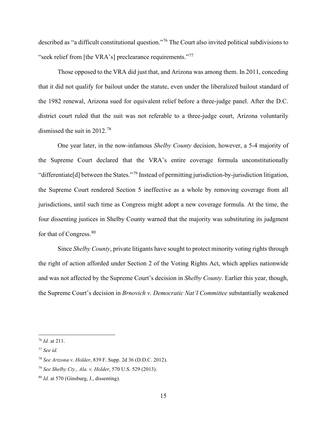described as "a difficult constitutional question."<sup>76</sup> The Court also invited political subdivisions to "seek relief from [the VRA's] preclearance requirements."<sup>77</sup>

Those opposed to the VRA did just that, and Arizona was among them. In 2011, conceding that it did not qualify for bailout under the statute, even under the liberalized bailout standard of the 1982 renewal, Arizona sued for equivalent relief before a three-judge panel. After the D.C. district court ruled that the suit was not referable to a three-judge court, Arizona voluntarily dismissed the suit in 2012.<sup>78</sup>

One year later, in the now-infamous *Shelby County* decision, however, a 5-4 majority of the Supreme Court declared that the VRA's entire coverage formula unconstitutionally "differentiate[d] between the States."<sup>79</sup> Instead of permitting jurisdiction-by-jurisdiction litigation, the Supreme Court rendered Section 5 ineffective as a whole by removing coverage from all jurisdictions, until such time as Congress might adopt a new coverage formula. At the time, the four dissenting justices in Shelby County warned that the majority was substituting its judgment for that of Congress.<sup>80</sup>

Since *Shelby County*, private litigants have sought to protect minority voting rights through the right of action afforded under Section 2 of the Voting Rights Act, which applies nationwide and was not affected by the Supreme Court's decision in *Shelby County*. Earlier this year, though, the Supreme Court's decision in *Brnovich v. Democratic Nat'l Committee* substantially weakened

<sup>76</sup> *Id.* at 211.

<sup>77</sup> *See id.*

<sup>78</sup> *See Arizona v. Holder*, 839 F. Supp. 2d 36 (D.D.C. 2012).

<sup>79</sup> *See Shelby Cty., Ala. v. Holder*, 570 U.S. 529 (2013).

<sup>80</sup> *Id.* at 570 (Ginsburg, J., dissenting).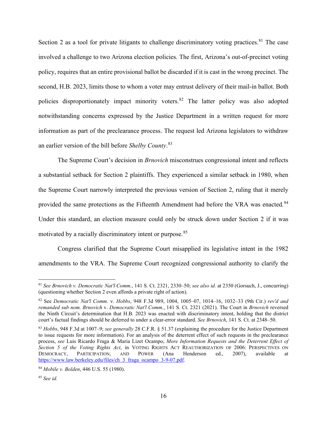Section 2 as a tool for private litigants to challenge discriminatory voting practices.<sup>81</sup> The case involved a challenge to two Arizona election policies. The first, Arizona's out-of-precinct voting policy, requires that an entire provisional ballot be discarded if it is cast in the wrong precinct. The second, H.B. 2023, limits those to whom a voter may entrust delivery of their mail-in ballot. Both policies disproportionately impact minority voters.<sup>82</sup> The latter policy was also adopted notwithstanding concerns expressed by the Justice Department in a written request for more information as part of the preclearance process. The request led Arizona legislators to withdraw an earlier version of the bill before *Shelby County*. 83

The Supreme Court's decision in *Brnovich* misconstrues congressional intent and reflects a substantial setback for Section 2 plaintiffs. They experienced a similar setback in 1980, when the Supreme Court narrowly interpreted the previous version of Section 2, ruling that it merely provided the same protections as the Fifteenth Amendment had before the VRA was enacted.<sup>84</sup> Under this standard, an election measure could only be struck down under Section 2 if it was motivated by a racially discriminatory intent or purpose.<sup>85</sup>

Congress clarified that the Supreme Court misapplied its legislative intent in the 1982 amendments to the VRA. The Supreme Court recognized congressional authority to clarify the

<sup>81</sup> *See Brnovich v. Democratic Nat'l Comm.*, 141 S. Ct. 2321, 2330–50; *see also id.* at 2350 (Gorsuch, J., concurring) (questioning whether Section 2 even affords a private right of action).

<sup>82</sup> See *Democratic Nat'l Comm.* v. *Hobbs*, 948 F.3d 989, 1004, 1005–07, 1014–16, 1032–33 (9th Cir.) *rev'd and remanded sub nom. Brnovich* v. *Democratic Nat'l Comm.*, 141 S. Ct. 2321 (2021). The Court in *Brnovich* reversed the Ninth Circuit's determination that H.B. 2023 was enacted with discriminatory intent, holding that the district court's factual findings should be deferred to under a clear-error standard. *See Brnovich*, 141 S. Ct. at 2348–50.

<sup>83</sup> *Hobbs*, 948 F.3d at 1007–9; *see generally* 28 C.F.R. § 51.37 (explaining the procedure for the Justice Department to issue requests for more information). For an analysis of the deterrent effect of such requests in the preclearance process, *see* Luis Ricardo Fraga & Maria Lizet Ocampo, *More Information Requests and the Deterrent Effect of Section 5 of the Voting Rights Act*, in VOTING RIGHTS ACT REAUTHORIZATION OF 2006: PERSPECTIVES ON DEMOCRACY, PARTICIPATION, AND POWER (Ana Henderson ed., 2007), available at https://www.law.berkeley.edu/files/ch 3 fraga ocampo 3-9-07.pdf.

<sup>84</sup> *Mobile v. Bolden*, 446 U.S. 55 (1980).

<sup>85</sup> *See id.*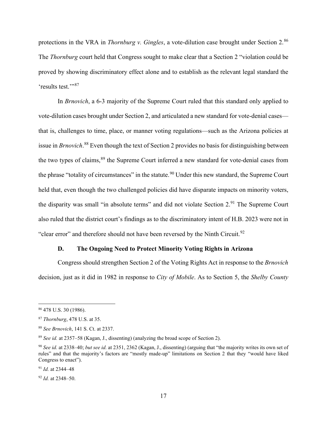protections in the VRA in *Thornburg v. Gingles*, a vote-dilution case brought under Section 2.<sup>86</sup> The *Thornburg* court held that Congress sought to make clear that a Section 2 "violation could be proved by showing discriminatory effect alone and to establish as the relevant legal standard the 'results test."<sup>87</sup>

In *Brnovich*, a 6-3 majority of the Supreme Court ruled that this standard only applied to vote-dilution cases brought under Section 2, and articulated a new standard for vote-denial cases that is, challenges to time, place, or manner voting regulations—such as the Arizona policies at issue in *Brnovich*. <sup>88</sup> Even though the text of Section 2 provides no basis for distinguishing between the two types of claims,<sup>89</sup> the Supreme Court inferred a new standard for vote-denial cases from the phrase "totality of circumstances" in the statute.<sup>90</sup> Under this new standard, the Supreme Court held that, even though the two challenged policies did have disparate impacts on minority voters, the disparity was small "in absolute terms" and did not violate Section 2.<sup>91</sup> The Supreme Court also ruled that the district court's findings as to the discriminatory intent of H.B. 2023 were not in "clear error" and therefore should not have been reversed by the Ninth Circuit.<sup>92</sup>

#### **D. The Ongoing Need to Protect Minority Voting Rights in Arizona**

Congress should strengthen Section 2 of the Voting Rights Act in response to the *Brnovich* decision, just as it did in 1982 in response to *City of Mobile*. As to Section 5, the *Shelby County*

<sup>86</sup> 478 U.S. 30 (1986).

<sup>87</sup> *Thornburg*, 478 U.S. at 35.

<sup>88</sup> *See Brnovich*, 141 S. Ct. at 2337.

<sup>89</sup> *See id.* at 2357–58 (Kagan, J., dissenting) (analyzing the broad scope of Section 2).

<sup>90</sup> *See id.* at 2338–40; *but see id.* at 2351, 2362 (Kagan, J., dissenting) (arguing that "the majority writes its own set of rules" and that the majority's factors are "mostly made-up" limitations on Section 2 that they "would have liked Congress to enact").

<sup>91</sup> *Id.* at 2344–48

<sup>92</sup> *Id.* at 2348–50.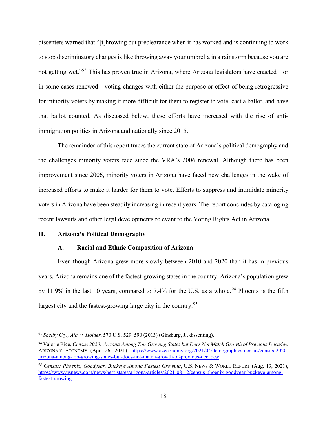dissenters warned that "[t]hrowing out preclearance when it has worked and is continuing to work to stop discriminatory changes is like throwing away your umbrella in a rainstorm because you are not getting wet."<sup>93</sup> This has proven true in Arizona, where Arizona legislators have enacted—or in some cases renewed—voting changes with either the purpose or effect of being retrogressive for minority voters by making it more difficult for them to register to vote, cast a ballot, and have that ballot counted. As discussed below, these efforts have increased with the rise of antiimmigration politics in Arizona and nationally since 2015.

The remainder of this report traces the current state of Arizona's political demography and the challenges minority voters face since the VRA's 2006 renewal. Although there has been improvement since 2006, minority voters in Arizona have faced new challenges in the wake of increased efforts to make it harder for them to vote. Efforts to suppress and intimidate minority voters in Arizona have been steadily increasing in recent years. The report concludes by cataloging recent lawsuits and other legal developments relevant to the Voting Rights Act in Arizona.

#### **II. Arizona's Political Demography**

#### **A. Racial and Ethnic Composition of Arizona**

Even though Arizona grew more slowly between 2010 and 2020 than it has in previous years, Arizona remains one of the fastest-growing states in the country. Arizona's population grew by 11.9% in the last 10 years, compared to 7.4% for the U.S. as a whole.<sup>94</sup> Phoenix is the fifth largest city and the fastest-growing large city in the country.<sup>95</sup>

<sup>93</sup> *Shelby Cty., Ala. v. Holder*, 570 U.S. 529, 590 (2013) (Ginsburg, J., dissenting).

<sup>94</sup> Valorie Rice, *Census 2020: Arizona Among Top-Growing States but Does Not Match Growth of Previous Decades*, ARIZONA'S ECONOMY (Apr. 26, 2021), https://www.azeconomy.org/2021/04/demographics-census/census-2020 arizona-among-top-growing-states-but-does-not-match-growth-of-previous-decades/.

<sup>95</sup> *Census: Phoenix, Goodyear, Buckeye Among Fastest Growing*, U.S. NEWS & WORLD REPORT (Aug. 13, 2021), https://www.usnews.com/news/best-states/arizona/articles/2021-08-12/census-phoenix-goodyear-buckeye-amongfastest-growing.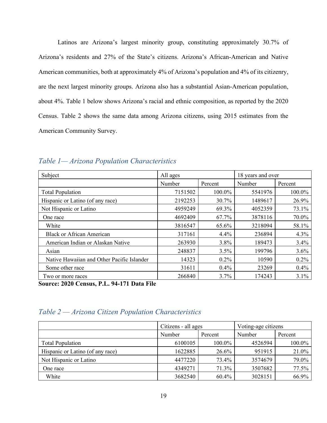Latinos are Arizona's largest minority group, constituting approximately 30.7% of Arizona's residents and 27% of the State's citizens. Arizona's African-American and Native American communities, both at approximately 4% of Arizona's population and 4% of its citizenry, are the next largest minority groups. Arizona also has a substantial Asian-American population, about 4%. Table 1 below shows Arizona's racial and ethnic composition, as reported by the 2020 Census. Table 2 shows the same data among Arizona citizens, using 2015 estimates from the American Community Survey.

| Subject                                    | All ages |                   | 18 years and over |         |  |
|--------------------------------------------|----------|-------------------|-------------------|---------|--|
|                                            | Number   | Number<br>Percent |                   | Percent |  |
| <b>Total Population</b>                    | 7151502  | 100.0%            | 5541976           | 100.0%  |  |
| Hispanic or Latino (of any race)           | 2192253  | 30.7%             | 1489617           | 26.9%   |  |
| Not Hispanic or Latino                     | 4959249  | 69.3%             | 4052359           | 73.1%   |  |
| One race                                   | 4692409  | 67.7%             | 3878116           | 70.0%   |  |
| White                                      | 3816547  | 65.6%             | 3218094           | 58.1%   |  |
| <b>Black or African American</b>           | 317161   | 4.4%              | 236894            | 4.3%    |  |
| American Indian or Alaskan Native          | 263930   | 3.8%              | 189473            | 3.4%    |  |
| Asian                                      | 248837   | 3.5%              | 199796            | 3.6%    |  |
| Native Hawaiian and Other Pacific Islander | 14323    | $0.2\%$           | 10590             | $0.2\%$ |  |
| Some other race                            | 31611    | 0.4%              | 23269             | 0.4%    |  |
| Two or more races                          | 266840   | 3.7%              | 174243            | 3.1%    |  |

#### *Table 1— Arizona Population Characteristics*

**Source: 2020 Census, P.L. 94-171 Data File**

#### *Table 2 — Arizona Citizen Population Characteristics*

|                                  | Citizens - all ages |        | Voting-age citizens |         |  |
|----------------------------------|---------------------|--------|---------------------|---------|--|
|                                  | Number<br>Percent   |        | Number              | Percent |  |
| <b>Total Population</b>          | 6100105             | 100.0% | 4526594             | 100.0%  |  |
| Hispanic or Latino (of any race) | 1622885             | 26.6%  | 951915              | 21.0%   |  |
| Not Hispanic or Latino           | 4477220             | 73.4%  | 3574679             | 79.0%   |  |
| One race                         | 4349271             | 71.3%  | 3507682             | 77.5%   |  |
| White                            | 3682540             | 60.4%  | 3028151             | 66.9%   |  |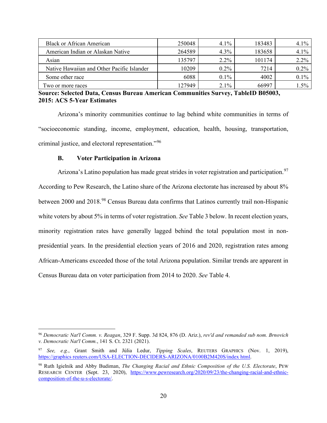| <b>Black or African American</b>           | 250048 | $4.1\%$ | 183483 | $4.1\%$ |
|--------------------------------------------|--------|---------|--------|---------|
| American Indian or Alaskan Native          | 264589 | $4.3\%$ | 183658 | 4.1%    |
| Asian                                      | 135797 | $2.2\%$ | 101174 | $2.2\%$ |
| Native Hawaiian and Other Pacific Islander | 10209  | $0.2\%$ | 7214   | $0.2\%$ |
| Some other race                            | 6088   | $0.1\%$ | 4002   | $0.1\%$ |
| Two or more races                          | 127949 | $2.1\%$ | 66997  | $1.5\%$ |

**Source: Selected Data, Census Bureau American Communities Survey, TableID B05003, 2015: ACS 5-Year Estimates**

Arizona's minority communities continue to lag behind white communities in terms of "socioeconomic standing, income, employment, education, health, housing, transportation, criminal justice, and electoral representation."96

#### **B. Voter Participation in Arizona**

Arizona's Latino population has made great strides in voter registration and participation.<sup>97</sup> According to Pew Research, the Latino share of the Arizona electorate has increased by about 8% between 2000 and 2018.<sup>98</sup> Census Bureau data confirms that Latinos currently trail non-Hispanic white voters by about 5% in terms of voter registration. *See* Table 3 below. In recent election years, minority registration rates have generally lagged behind the total population most in nonpresidential years. In the presidential election years of 2016 and 2020, registration rates among African-Americans exceeded those of the total Arizona population. Similar trends are apparent in Census Bureau data on voter participation from 2014 to 2020. *See* Table 4.

<sup>96</sup> *Democratic Nat'l Comm. v. Reagan*, 329 F. Supp. 3d 824, 876 (D. Ariz.), *rev'd and remanded sub nom. Brnovich v. Democratic Nat'l Comm.*, 141 S. Ct. 2321 (2021).

<sup>97</sup> *See, e.g.*, Grant Smith and Júlia Ledur, *Tipping Scales*, REUTERS GRAPHICS (Nov. 1, 2019), https://graphics reuters.com/USA-ELECTION-DECIDERS-ARIZONA/0100B2M420S/index html.

<sup>98</sup> Ruth Igielnik and Abby Budiman, *The Changing Racial and Ethnic Composition of the U.S. Electorate*, PEW RESEARCH CENTER (Sept. 23, 2020), https://www.pewresearch.org/2020/09/23/the-changing-racial-and-ethniccomposition-of-the-u-s-electorate/.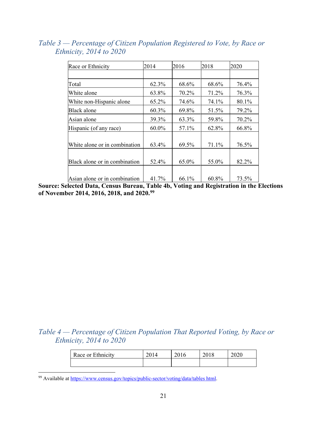| Race or Ethnicity             | 2014  | 2016  | 2018  | 2020  |
|-------------------------------|-------|-------|-------|-------|
|                               |       |       |       |       |
| Total                         | 62.3% | 68.6% | 68.6% | 76.4% |
| White alone                   | 63.8% | 70.2% | 71.2% | 76.3% |
| White non-Hispanic alone      | 65.2% | 74.6% | 74.1% | 80.1% |
| Black alone                   | 60.3% | 69.8% | 51.5% | 79.2% |
| Asian alone                   | 39.3% | 63.3% | 59.8% | 70.2% |
| Hispanic (of any race)        | 60.0% | 57.1% | 62.8% | 66.8% |
| White alone or in combination | 63.4% | 69.5% | 71.1% | 76.5% |
| Black alone or in combination | 52.4% | 65.0% | 55.0% | 82.2% |
| Asian alone or in combination | 41.7% | 66.1% | 60.8% | 73.5% |

*Table 3 — Percentage of Citizen Population Registered to Vote, by Race or Ethnicity, 2014 to 2020*

**Source: Selected Data, Census Bureau, Table 4b, Voting and Registration in the Elections of November 2014, 2016, 2018, and 2020.99**

#### *Table 4 — Percentage of Citizen Population That Reported Voting, by Race or Ethnicity, 2014 to 2020*

| Race or Ethnicity | 2014 | 2016 | 2018 | 2020 |
|-------------------|------|------|------|------|
|                   |      |      |      |      |

<sup>99</sup> Available at https://www.census.gov/topics/public-sector/voting/data/tables html.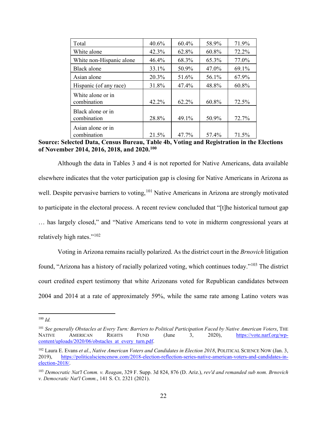| Total                            | 40.6% | 60.4% | 58.9% | 71.9% |
|----------------------------------|-------|-------|-------|-------|
| White alone                      | 42.3% | 62.8% | 60.8% | 72.2% |
| White non-Hispanic alone         | 46.4% | 68.3% | 65.3% | 77.0% |
| Black alone                      | 33.1% | 50.9% | 47.0% | 69.1% |
| Asian alone                      | 20.3% | 51.6% | 56.1% | 67.9% |
| Hispanic (of any race)           | 31.8% | 47.4% | 48.8% | 60.8% |
| White alone or in<br>combination | 42.2% | 62.2% | 60.8% | 72.5% |
| Black alone or in<br>combination | 28.8% | 49.1% | 50.9% | 72.7% |
| Asian alone or in<br>combination | 21.5% | 47.7% | 57.4% | 71.5% |

**Source: Selected Data, Census Bureau, Table 4b, Voting and Registration in the Elections of November 2014, 2016, 2018, and 2020.100**

Although the data in Tables 3 and 4 is not reported for Native Americans, data available elsewhere indicates that the voter participation gap is closing for Native Americans in Arizona as well. Despite pervasive barriers to voting,<sup>101</sup> Native Americans in Arizona are strongly motivated to participate in the electoral process. A recent review concluded that "[t]he historical turnout gap … has largely closed," and "Native Americans tend to vote in midterm congressional years at relatively high rates."102

Voting in Arizona remains racially polarized. As the district court in the *Brnovich* litigation found, "Arizona has a history of racially polarized voting, which continues today."<sup>103</sup> The district court credited expert testimony that white Arizonans voted for Republican candidates between 2004 and 2014 at a rate of approximately 59%, while the same rate among Latino voters was

<sup>100</sup> *Id.*

<sup>&</sup>lt;sup>101</sup> *See generally Obstacles at Every Turn: Barriers to Political Participation Faced by Native American Voters, THE NATIVE AMERICAN RIGHTS FUND (June 3, 2020), https://vote.narf.org/wp-*NATIVE AMERICAN RIGHTS FUND (June 3, 2020), https://vote.narf.org/wpcontent/uploads/2020/06/obstacles at every turn.pdf.

<sup>102</sup> Laura E. Evans *et al.*, *Native American Voters and Candidates in Election 2018*, POLITICAL SCIENCE NOW (Jan. 3, 2019), https://politicalsciencenow.com/2018-election-reflection-series-native-american-voters-and-candidates-inelection-2018/.

<sup>103</sup> *Democratic Nat'l Comm. v. Reagan*, 329 F. Supp. 3d 824, 876 (D. Ariz.), *rev'd and remanded sub nom. Brnovich v. Democratic Nat'l Comm.*, 141 S. Ct. 2321 (2021).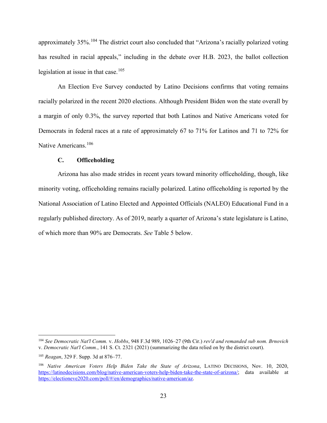approximately 35%.<sup>104</sup> The district court also concluded that "Arizona's racially polarized voting has resulted in racial appeals," including in the debate over H.B. 2023, the ballot collection legislation at issue in that case. $105$ 

An Election Eve Survey conducted by Latino Decisions confirms that voting remains racially polarized in the recent 2020 elections. Although President Biden won the state overall by a margin of only 0.3%, the survey reported that both Latinos and Native Americans voted for Democrats in federal races at a rate of approximately 67 to 71% for Latinos and 71 to 72% for Native Americans.<sup>106</sup>

#### **C. Officeholding**

Arizona has also made strides in recent years toward minority officeholding, though, like minority voting, officeholding remains racially polarized. Latino officeholding is reported by the National Association of Latino Elected and Appointed Officials (NALEO) Educational Fund in a regularly published directory. As of 2019, nearly a quarter of Arizona's state legislature is Latino, of which more than 90% are Democrats. *See* Table 5 below.

<sup>104</sup> *See Democratic Nat'l Comm.* v. *Hobbs*, 948 F.3d 989, 1026–27 (9th Cir.) *rev'd and remanded sub nom. Brnovich* v. *Democratic Nat'l Comm.*, 141 S. Ct. 2321 (2021) (summarizing the data relied on by the district court).

<sup>105</sup> *Reagan*, 329 F. Supp. 3d at 876–77.

<sup>106</sup> *Native American Voters Help Biden Take the State of Arizona*, LATINO DECISIONS, Nov. 10, 2020, https://latinodecisions.com/blog/native-american-voters-help-biden-take-the-state-of-arizona/; data available at https://electioneve2020.com/poll/#/en/demographics/native-american/az.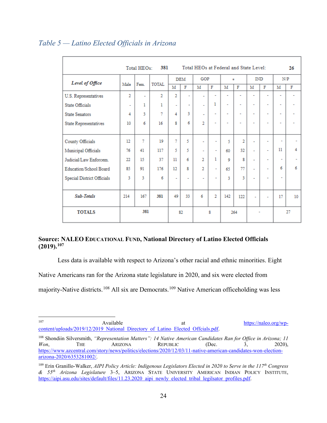| 381<br>Total HEOs at Federal and State Level:<br>Total HEOs:<br>26 |                          |                |                |                   |                |                          |                          |                          |                          |                          |                          |                          |    |
|--------------------------------------------------------------------|--------------------------|----------------|----------------|-------------------|----------------|--------------------------|--------------------------|--------------------------|--------------------------|--------------------------|--------------------------|--------------------------|----|
| Level of Office                                                    | Male                     |                |                |                   | <b>DEM</b>     | GOP                      |                          | ž.                       |                          | <b>IND</b>               |                          | N/P                      |    |
|                                                                    |                          | Fem.           | <b>TOTAL</b>   | M                 | F              | M                        | F                        | M                        | F                        | М                        | F                        | м                        | F  |
| U.S. Representatives                                               | $\overline{2}$           | ٠              | $\overline{2}$ | $\overline{2}$    | ۰              | ÷,                       | ÷                        | ٠                        | ۰                        | ٠                        | ۰                        | ٠                        |    |
| <b>State Officials</b>                                             | $\overline{\phantom{a}}$ | 1              | ı              | $\sim$            | ٠              | $\overline{\phantom{a}}$ | 1                        | $\tilde{\phantom{a}}$    | ٠                        | ٠                        | $\sim$                   | $\sim$                   | ÷  |
| <b>State Senators</b>                                              | 4                        | ٩              | $\tau$         | 4                 | 3              | ٠                        | ÷                        | $\overline{\phantom{a}}$ | ۰                        | $\overline{\phantom{a}}$ | ÷                        | $\overline{\phantom{a}}$ | ٠  |
| <b>State Representatives</b>                                       | 10                       | 6              | 16             | 8                 | 6              | $\overline{2}$           | $\sim$                   | $\overline{\phantom{a}}$ | $\overline{\phantom{a}}$ | ٠                        | $\blacksquare$           | ۰                        |    |
|                                                                    |                          |                |                |                   |                |                          |                          |                          |                          |                          |                          |                          |    |
| County Officials                                                   | 12                       | $\overline{7}$ | 19             | $\overline{\tau}$ | 5              | ٠                        | $\overline{a}$           | 5                        | $\overline{2}$           | ٠                        | ٠                        | ٠                        |    |
| Municipal Officials                                                | 76                       | 41             | 117            | 5                 | 5              | ٠                        | ٠                        | 60                       | 32                       | ÷                        | $\sim$                   | 11                       | 4  |
| Judicial/Law Enforcem.                                             | 22                       | 15             | 37             | 11                | 6              | $\overline{2}$           | 1                        | 9                        | 8                        | ٠                        | $\sim$                   | $\overline{\phantom{a}}$ |    |
| Education/School Board                                             | 85                       | 91             | 176            | 12                | 8              | $\overline{2}$           | $\overline{\phantom{a}}$ | 65                       | 77                       | L,                       | $\overline{\phantom{a}}$ | 6                        | 6  |
| <b>Special District Officials</b>                                  | 3                        | 3              | 6              | $\sim$            | $\overline{a}$ | ٠                        | ٠                        | ٩                        | 3                        | ÷,                       | $\blacksquare$           | $\blacksquare$           |    |
|                                                                    |                          |                |                |                   |                |                          |                          |                          |                          |                          |                          |                          |    |
| Sub-Totals                                                         | 214                      | 167            | 381            | 49                | 33             | 6                        | $\overline{2}$           | 142                      | 122                      | ٠                        | $\overline{\phantom{a}}$ | 17                       | 10 |
| <b>TOTALS</b>                                                      | 381                      |                |                | 82<br>8           |                | 264                      |                          |                          |                          |                          | 27                       |                          |    |

#### *Table 5 — Latino Elected Officials in Arizona*

#### **Source: NALEO EDUCATIONAL FUND, National Directory of Latino Elected Officials (2019).107**

Less data is available with respect to Arizona's other racial and ethnic minorities. Eight

Native Americans ran for the Arizona state legislature in 2020, and six were elected from

majority-Native districts.<sup>108</sup> All six are Democrats.<sup>109</sup> Native American officeholding was less

<sup>107</sup> Available at  $\frac{https://naleo.org/wp-107}{https://naleo.org/wp-107}$ content/uploads/2019/12/2019 National Directory of Latino Elected Offcials.pdf.

<sup>108</sup> Shondiin Silversmith, *"Representation Matters": 14 Native American Candidates Ran for Office in Arizona; 11 Won*, THE ARIZONA REPUBLIC (Dec. 3, 2020), https://www.azcentral.com/story/news/politics/elections/2020/12/03/11-native-american-candidates-won-electionarizona-2020/6353281002/.

<sup>109</sup> Erin Granillo-Walker, *AIPI Policy Article: Indigenous Legislators Elected in 2020 to Serve in the 117th Congress & 55th Arizona Legislature* 3–5, ARIZONA STATE UNIVERSITY AMERICAN INDIAN POLICY INSTITUTE, https://aipi.asu.edu/sites/default/files/11.23.2020 aipi newly elected tribal legilsator profiles.pdf.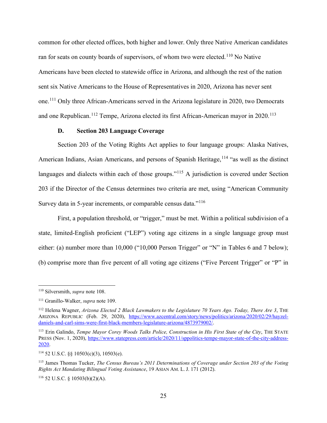common for other elected offices, both higher and lower. Only three Native American candidates ran for seats on county boards of supervisors, of whom two were elected.<sup>110</sup> No Native Americans have been elected to statewide office in Arizona, and although the rest of the nation sent six Native Americans to the House of Representatives in 2020, Arizona has never sent one.<sup>111</sup> Only three African-Americans served in the Arizona legislature in 2020, two Democrats and one Republican.<sup>112</sup> Tempe, Arizona elected its first African-American mayor in 2020.<sup>113</sup>

#### **D. Section 203 Language Coverage**

Section 203 of the Voting Rights Act applies to four language groups: Alaska Natives, American Indians, Asian Americans, and persons of Spanish Heritage, <sup>114</sup> "as well as the distinct languages and dialects within each of those groups."<sup>115</sup> A jurisdiction is covered under Section 203 if the Director of the Census determines two criteria are met, using "American Community Survey data in 5-year increments, or comparable census data."<sup>116</sup>

First, a population threshold, or "trigger," must be met. Within a political subdivision of a state, limited-English proficient ("LEP") voting age citizens in a single language group must either: (a) number more than 10,000 ("10,000 Person Trigger" or "N" in Tables 6 and 7 below); (b) comprise more than five percent of all voting age citizens ("Five Percent Trigger" or "P" in

<sup>116</sup> 52 U.S.C. § 10503(b)(2)(A).

<sup>110</sup> Silversmith, *supra* note 108.

<sup>111</sup> Granillo-Walker, *supra* note 109.

<sup>112</sup> Helena Wagner, *Arizona Elected 2 Black Lawmakers to the Legislature 70 Years Ago. Today, There Are 3*, THE ARIZONA REPUBLIC (Feb. 29, 2020), https://www.azcentral.com/story/news/politics/arizona/2020/02/29/hayzeldaniels-and-carl-sims-were-first-black-members-legislature-arizona/4873979002/.

<sup>&</sup>lt;sup>113</sup> Erin Galindo, *Tempe Mayor Corey Woods Talks Police, Construction in His First State of the City*, THE STATE PRESS (Nov. 1, 2020), https://www.statepress.com/article/2020/11/sppolitics-tempe-mayor-state-of-the-city-address-2020.

 $114$  52 U.S.C. §§ 10503(c)(3), 10503(e).

<sup>115</sup> James Thomas Tucker, *The Census Bureau's 2011 Determinations of Coverage under Section 203 of the Voting Rights Act Mandating Bilingual Voting Assistance*, 19 ASIAN AM. L. J. 171 (2012).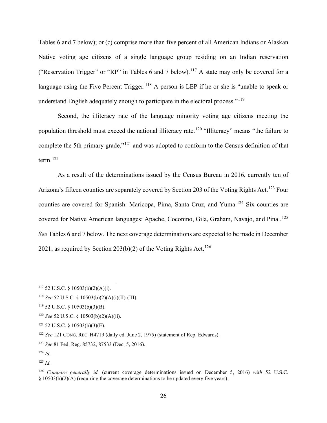Tables 6 and 7 below); or (c) comprise more than five percent of all American Indians or Alaskan Native voting age citizens of a single language group residing on an Indian reservation ("Reservation Trigger" or "RP" in Tables 6 and 7 below).<sup>117</sup> A state may only be covered for a language using the Five Percent Trigger.<sup>118</sup> A person is LEP if he or she is "unable to speak or understand English adequately enough to participate in the electoral process."<sup>119</sup>

Second, the illiteracy rate of the language minority voting age citizens meeting the population threshold must exceed the national illiteracy rate.<sup>120</sup> "Illiteracy" means "the failure to complete the 5th primary grade,"<sup>121</sup> and was adopted to conform to the Census definition of that term. $^{122}$ 

As a result of the determinations issued by the Census Bureau in 2016, currently ten of Arizona's fifteen counties are separately covered by Section 203 of the Voting Rights Act.<sup>123</sup> Four counties are covered for Spanish: Maricopa, Pima, Santa Cruz, and Yuma.<sup>124</sup> Six counties are covered for Native American languages: Apache, Coconino, Gila, Graham, Navajo, and Pinal.<sup>125</sup> *See* Tables 6 and 7 below. The next coverage determinations are expected to be made in December 2021, as required by Section 203(b)(2) of the Voting Rights Act.<sup>126</sup>

 $117$  52 U.S.C. § 10503(b)(2)(A)(i).

<sup>118</sup> *See* 52 U.S.C. § 10503(b)(2)(A)(i)(II)-(III).

<sup>119</sup> 52 U.S.C. § 10503(b)(3)(B).

<sup>120</sup> *See* 52 U.S.C. § 10503(b)(2)(A)(ii).

 $121$  52 U.S.C. § 10503(b)(3)(E).

<sup>122</sup> *See* 121 CONG. REC. H4719 (daily ed. June 2, 1975) (statement of Rep. Edwards).

<sup>123</sup> *See* 81 Fed. Reg. 85732, 87533 (Dec. 5, 2016).

<sup>124</sup> *Id.*

<sup>125</sup> *Id.*

<sup>126</sup> *Compare generally id.* (current coverage determinations issued on December 5, 2016) *with* 52 U.S.C.  $\S$  10503(b)(2)(A) (requiring the coverage determinations to be updated every five years).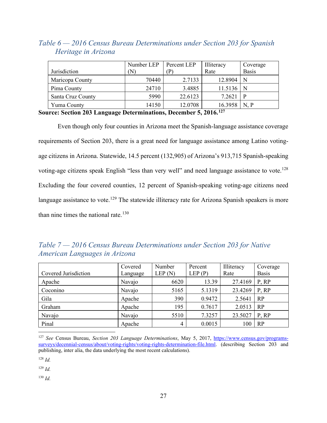#### *Table 6 — 2016 Census Bureau Determinations under Section 203 for Spanish Heritage in Arizona*

|                   | Number LEP | Percent LEP | Illiteracy | Coverage     |
|-------------------|------------|-------------|------------|--------------|
| Jurisdiction      | (N         | P           | Rate       | <b>Basis</b> |
| Maricopa County   | 70440      | 2.7133      | 12.8904    | N            |
| Pima County       | 24710      | 3.4885      | 11.5136    |              |
| Santa Cruz County | 5990       | 22.6123     | 7.2621     | P            |
| Yuma County       | 14150      | 12.0708     | 16.3958    | N, P         |

**Source: Section 203 Language Determinations, December 5, 2016.127**

Even though only four counties in Arizona meet the Spanish-language assistance coverage requirements of Section 203, there is a great need for language assistance among Latino votingage citizens in Arizona. Statewide, 14.5 percent (132,905) of Arizona's 913,715 Spanish-speaking voting-age citizens speak English "less than very well" and need language assistance to vote.<sup>128</sup> Excluding the four covered counties, 12 percent of Spanish-speaking voting-age citizens need language assistance to vote.<sup>129</sup> The statewide illiteracy rate for Arizona Spanish speakers is more than nine times the national rate. $130$ 

#### *Table 7 — 2016 Census Bureau Determinations under Section 203 for Native American Languages in Arizona*

| Covered Jurisdiction | Covered<br>Language | Number<br>LEP(N) | Percent<br>LEP(P) | Illiteracy<br>Rate | Coverage<br><b>Basis</b> |
|----------------------|---------------------|------------------|-------------------|--------------------|--------------------------|
| Apache               | Navajo              | 6620             | 13.39             | 27.4169            | P, RP                    |
| Coconino             | Navajo              | 5165             | 5.1319            | 23.4269            | P, RP                    |
| Gila                 | Apache              | 390              | 0.9472            | 2.5641             | RP                       |
| Graham               | Apache              | 195              | 0.7617            | 2.0513             | RP                       |
| Navajo               | Navajo              | 5510             | 7.3257            | 23.5027            | P, RP                    |
| Pinal                | Apache              | 4                | 0.0015            | 100                | RP                       |

<sup>127</sup> *See* Census Bureau, *Section 203 Language Determinations*, May 5, 2017, https://www.census.gov/programssurveys/decennial-census/about/voting-rights/voting-rights-determination-file.html. (describing Section 203 and publishing, inter alia, the data underlying the most recent calculations).

<sup>128</sup> *Id.*

<sup>129</sup> *Id.*

<sup>130</sup> *Id.*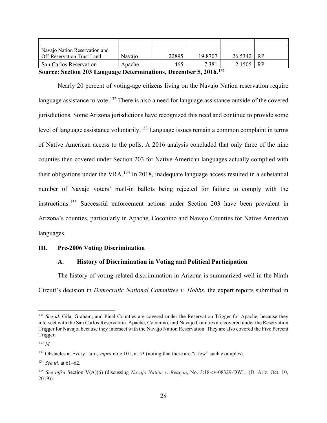| Navajo Nation Reservation and<br>Off-Reservation Trust Land                 | Navajo | 22895 | 19.8707 | $26.5342$ RP |  |  |  |
|-----------------------------------------------------------------------------|--------|-------|---------|--------------|--|--|--|
| <b>San Carlos Reservation</b>                                               | Apache | 465   | 7.381   | $2.1505$ RP  |  |  |  |
| Source: Section 203 Language Determinations December 5, 2016 <sup>131</sup> |        |       |         |              |  |  |  |

**Source: Section 203 Language Determinations, December 5, 2016.** 

Nearly 20 percent of voting-age citizens living on the Navajo Nation reservation require language assistance to vote.<sup>132</sup> There is also a need for language assistance outside of the covered jurisdictions. Some Arizona jurisdictions have recognized this need and continue to provide some level of language assistance voluntarily.<sup>133</sup> Language issues remain a common complaint in terms of Native American access to the polls. A 2016 analysis concluded that only three of the nine counties then covered under Section 203 for Native American languages actually complied with their obligations under the VRA.<sup>134</sup> In 2018, inadequate language access resulted in a substantial number of Navajo voters' mail-in ballots being rejected for failure to comply with the instructions.<sup>135</sup> Successful enforcement actions under Section 203 have been prevalent in Arizona's counties, particularly in Apache, Coconino and Navajo Counties for Native American languages.

#### **III. Pre-2006 Voting Discrimination**

#### **A. History of Discrimination in Voting and Political Participation**

The history of voting-related discrimination in Arizona is summarized well in the Ninth Circuit's decision in *Democratic National Committee v. Hobbs*, the expert reports submitted in

<sup>131</sup> *See id.* Gila, Graham, and Pinal Counties are covered under the Reservation Trigger for Apache, because they intersect with the San Carlos Reservation. Apache, Coconino, and Navajo Counties are covered under the Reservation Trigger for Navajo, because they intersect with the Navajo Nation Reservation. They are also covered the Five Percent Trigger.

<sup>132</sup> *Id.*

<sup>133</sup> Obstacles at Every Turn, *supra* note 101, at 53 (noting that there are "a few" such examples).

<sup>134</sup> *See id.* at 61–62.

<sup>135</sup> *See infra* Section V(A)(6) (discussing *Navajo Nation v. Reagan*, No. 3:18-cv-08329-DWL, (D. Ariz. Oct. 10, 2019)).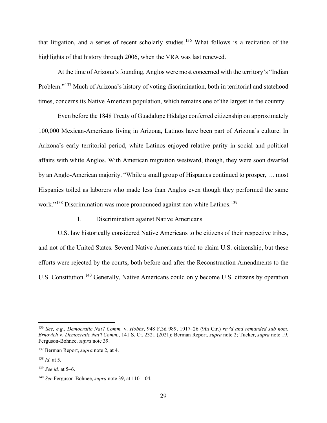that litigation, and a series of recent scholarly studies.<sup>136</sup> What follows is a recitation of the highlights of that history through 2006, when the VRA was last renewed.

At the time of Arizona's founding, Anglos were most concerned with the territory's "Indian Problem."<sup>137</sup> Much of Arizona's history of voting discrimination, both in territorial and statehood times, concerns its Native American population, which remains one of the largest in the country.

Even before the 1848 Treaty of Guadalupe Hidalgo conferred citizenship on approximately 100,000 Mexican-Americans living in Arizona, Latinos have been part of Arizona's culture. In Arizona's early territorial period, white Latinos enjoyed relative parity in social and political affairs with white Anglos. With American migration westward, though, they were soon dwarfed by an Anglo-American majority. "While a small group of Hispanics continued to prosper, … most Hispanics toiled as laborers who made less than Anglos even though they performed the same work."<sup>138</sup> Discrimination was more pronounced against non-white Latinos.<sup>139</sup>

1. Discrimination against Native Americans

U.S. law historically considered Native Americans to be citizens of their respective tribes, and not of the United States. Several Native Americans tried to claim U.S. citizenship, but these efforts were rejected by the courts, both before and after the Reconstruction Amendments to the U.S. Constitution.<sup>140</sup> Generally, Native Americans could only become U.S. citizens by operation

<sup>136</sup> *See, e.g.*, *Democratic Nat'l Comm.* v. *Hobbs*, 948 F.3d 989, 1017–26 (9th Cir.) *rev'd and remanded sub nom. Brnovich* v. *Democratic Nat'l Comm.*, 141 S. Ct. 2321 (2021); Berman Report, *supra* note 2; Tucker, *supra* note 19, Ferguson-Bohnee, *supra* note 39.

<sup>137</sup> Berman Report, *supra* note 2, at 4.

<sup>138</sup> *Id.* at 5.

<sup>139</sup> *See id.* at 5–6.

<sup>140</sup> *See* Ferguson-Bohnee, *supra* note 39, at 1101–04.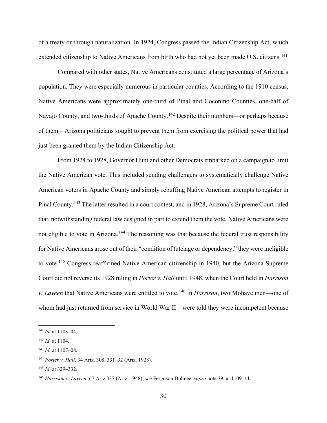of a treaty or through naturalization. In 1924, Congress passed the Indian Citizenship Act, which extended citizenship to Native Americans from birth who had not yet been made U.S. citizens.<sup>141</sup>

Compared with other states, Native Americans constituted a large percentage of Arizona's population. They were especially numerous in particular counties. According to the 1910 census, Native Americans were approximately one-third of Pinal and Coconino Counties, one-half of Navajo County, and two-thirds of Apache County.<sup>142</sup> Despite their numbers—or perhaps because of them—Arizona politicians sought to prevent them from exercising the political power that had just been granted them by the Indian Citizenship Act.

From 1924 to 1928, Governor Hunt and other Democrats embarked on a campaign to limit the Native American vote. This included sending challengers to systematically challenge Native American voters in Apache County and simply rebuffing Native American attempts to register in Pinal County.<sup>143</sup> The latter resulted in a court contest, and in 1928, Arizona's Supreme Court ruled that, notwithstanding federal law designed in part to extend them the vote, Native Americans were not eligible to vote in Arizona.<sup>144</sup> The reasoning was that because the federal trust responsibility for Native Americans arose out of their "condition of tutelage or dependency," they were ineligible to vote.<sup>145</sup> Congress reaffirmed Native American citizenship in 1940, but the Arizona Supreme Court did not reverse its 1928 ruling in *Porter v. Hall* until 1948, when the Court held in *Harrison v. Laveen* that Native Americans were entitled to vote.<sup>146</sup> In *Harrison*, two Mohave men—one of whom had just returned from service in World War II—were told they were incompetent because

<sup>141</sup> *Id.* at 1103–04.

<sup>142</sup> *Id.* at 1104.

<sup>143</sup> *Id.* at 1107–08.

<sup>144</sup> *Porter v. Hall*, 34 Ariz. 308, 331–32 (Ariz. 1928).

<sup>145</sup> *Id.* at 329–332.

<sup>146</sup> *Harrison v. Laveen*, 67 Ariz 337 (Ariz. 1948); *see* Ferguson-Bohnee, *supra* note 39, at 1109–11.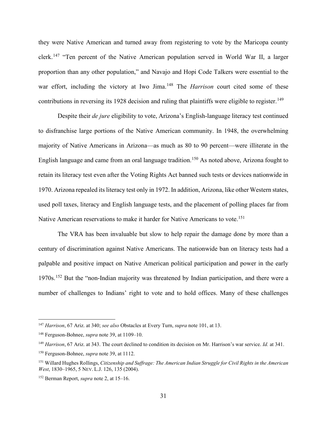they were Native American and turned away from registering to vote by the Maricopa county clerk.<sup>147</sup> "Ten percent of the Native American population served in World War II, a larger proportion than any other population," and Navajo and Hopi Code Talkers were essential to the war effort, including the victory at Iwo Jima.<sup>148</sup> The *Harrison* court cited some of these contributions in reversing its 1928 decision and ruling that plaintiffs were eligible to register.<sup>149</sup>

Despite their *de jure* eligibility to vote, Arizona's English-language literacy test continued to disfranchise large portions of the Native American community. In 1948, the overwhelming majority of Native Americans in Arizona—as much as 80 to 90 percent—were illiterate in the English language and came from an oral language tradition.<sup>150</sup> As noted above, Arizona fought to retain its literacy test even after the Voting Rights Act banned such tests or devices nationwide in 1970. Arizona repealed its literacy test only in 1972. In addition, Arizona, like other Western states, used poll taxes, literacy and English language tests, and the placement of polling places far from Native American reservations to make it harder for Native Americans to vote.<sup>151</sup>

The VRA has been invaluable but slow to help repair the damage done by more than a century of discrimination against Native Americans. The nationwide ban on literacy tests had a palpable and positive impact on Native American political participation and power in the early 1970s.<sup>152</sup> But the "non-Indian majority was threatened by Indian participation, and there were a number of challenges to Indians' right to vote and to hold offices. Many of these challenges

<sup>147</sup> *Harrison*, 67 Ariz. at 340; *see also* Obstacles at Every Turn, *supra* note 101, at 13.

<sup>148</sup> Ferguson-Bohnee, *supra* note 39, at 1109–10.

<sup>149</sup> *Harrison*, 67 Ariz. at 343. The court declined to condition its decision on Mr. Harrison's war service. *Id.* at 341.

<sup>150</sup> Ferguson-Bohnee, *supra* note 39, at 1112.

<sup>151</sup> Willard Hughes Rollings, *Citizenship and Suffrage: The American Indian Struggle for Civil Rights in the American West*, 1830–1965, 5 NEV. L.J. 126, 135 (2004).

<sup>152</sup> Berman Report, *supra* note 2, at 15–16.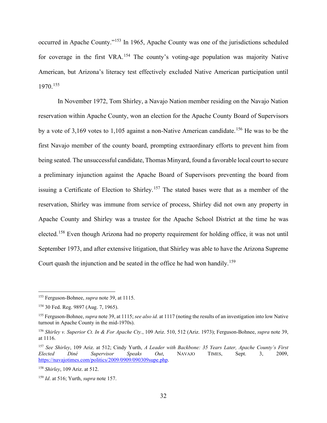occurred in Apache County."<sup>153</sup> In 1965, Apache County was one of the jurisdictions scheduled for coverage in the first VRA.<sup>154</sup> The county's voting-age population was majority Native American, but Arizona's literacy test effectively excluded Native American participation until 1970.<sup>155</sup>

In November 1972, Tom Shirley, a Navajo Nation member residing on the Navajo Nation reservation within Apache County, won an election for the Apache County Board of Supervisors by a vote of 3,169 votes to 1,105 against a non-Native American candidate.<sup>156</sup> He was to be the first Navajo member of the county board, prompting extraordinary efforts to prevent him from being seated. The unsuccessful candidate, Thomas Minyard, found a favorable local court to secure a preliminary injunction against the Apache Board of Supervisors preventing the board from issuing a Certificate of Election to Shirley.<sup>157</sup> The stated bases were that as a member of the reservation, Shirley was immune from service of process, Shirley did not own any property in Apache County and Shirley was a trustee for the Apache School District at the time he was elected.<sup>158</sup> Even though Arizona had no property requirement for holding office, it was not until September 1973, and after extensive litigation, that Shirley was able to have the Arizona Supreme Court quash the injunction and be seated in the office he had won handily.159

<sup>153</sup> Ferguson-Bohnee, *supra* note 39, at 1115.

<sup>154</sup> 30 Fed. Reg. 9897 (Aug. 7, 1965).

<sup>155</sup> Ferguson-Bohnee, *supra* note 39, at 1115; *see also id.* at 1117 (noting the results of an investigation into low Native turnout in Apache County in the mid-1970s).

<sup>156</sup> *Shirley v. Superior Ct. In & For Apache Cty.*, 109 Ariz. 510, 512 (Ariz. 1973); Ferguson-Bohnee, *supra* note 39, at 1116.

<sup>157</sup> *See Shirley*, 109 Ariz. at 512; Cindy Yurth, *A Leader with Backbone: 35 Years Later, Apache County's First Elected Diné Supervisor Speaks Out*, NAVAJO TIMES, Sept. 3, 2009, https://navajotimes.com/politics/2009/0909/090309supe.php.

<sup>158</sup> *Shirley*, 109 Ariz. at 512.

<sup>159</sup> *Id*. at 516; Yurth, *supra* note 157.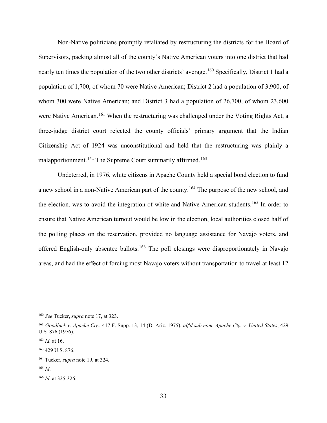Non-Native politicians promptly retaliated by restructuring the districts for the Board of Supervisors, packing almost all of the county's Native American voters into one district that had nearly ten times the population of the two other districts' average.<sup>160</sup> Specifically, District 1 had a population of 1,700, of whom 70 were Native American; District 2 had a population of 3,900, of whom 300 were Native American; and District 3 had a population of 26,700, of whom 23,600 were Native American.<sup>161</sup> When the restructuring was challenged under the Voting Rights Act, a three-judge district court rejected the county officials' primary argument that the Indian Citizenship Act of 1924 was unconstitutional and held that the restructuring was plainly a malapportionment.<sup>162</sup> The Supreme Court summarily affirmed.<sup>163</sup>

Undeterred, in 1976, white citizens in Apache County held a special bond election to fund a new school in a non-Native American part of the county.<sup>164</sup> The purpose of the new school, and the election, was to avoid the integration of white and Native American students.<sup>165</sup> In order to ensure that Native American turnout would be low in the election, local authorities closed half of the polling places on the reservation, provided no language assistance for Navajo voters, and offered English-only absentee ballots.<sup>166</sup> The poll closings were disproportionately in Navajo areas, and had the effect of forcing most Navajo voters without transportation to travel at least 12

<sup>160</sup> *See* Tucker, *supra* note 17, at 323.

<sup>161</sup> *Goodluck v. Apache Cty.*, 417 F. Supp. 13, 14 (D. Ariz. 1975), *aff'd sub nom. Apache Cty. v. United States*, 429 U.S. 876 (1976).

<sup>162</sup> *Id.* at 16.

<sup>163</sup> 429 U.S. 876.

<sup>164</sup> Tucker, *supra* note 19, at 324.

<sup>165</sup> *Id*.

<sup>166</sup> *Id*. at 325-326.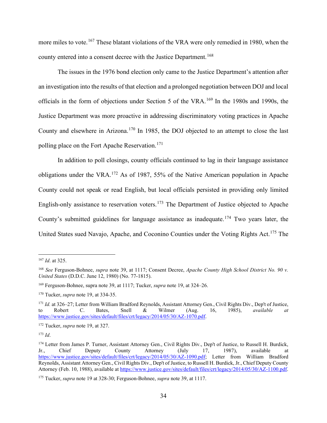more miles to vote.<sup>167</sup> These blatant violations of the VRA were only remedied in 1980, when the county entered into a consent decree with the Justice Department.<sup>168</sup>

The issues in the 1976 bond election only came to the Justice Department's attention after an investigation into the results of that election and a prolonged negotiation between DOJ and local officials in the form of objections under Section 5 of the VRA.<sup>169</sup> In the 1980s and 1990s, the Justice Department was more proactive in addressing discriminatory voting practices in Apache County and elsewhere in Arizona.<sup>170</sup> In 1985, the DOJ objected to an attempt to close the last polling place on the Fort Apache Reservation.<sup>171</sup>

In addition to poll closings, county officials continued to lag in their language assistance obligations under the VRA.<sup>172</sup> As of 1987, 55% of the Native American population in Apache County could not speak or read English, but local officials persisted in providing only limited English-only assistance to reservation voters.<sup>173</sup> The Department of Justice objected to Apache County's submitted guidelines for language assistance as inadequate.<sup>174</sup> Two years later, the United States sued Navajo, Apache, and Coconino Counties under the Voting Rights Act.<sup>175</sup> The

<sup>167</sup> *Id*. at 325.

<sup>168</sup> *See* Ferguson-Bohnee, *supra* note 39, at 1117; Consent Decree, *Apache County High School District No. 90 v. United States* (D.D.C. June 12, 1980) (No. 77-1815).

<sup>169</sup> Ferguson-Bohnee, supra note 39, at 1117; Tucker, *supra* note 19, at 324–26.

<sup>170</sup> Tucker, *supra* note 19, at 334-35.

<sup>&</sup>lt;sup>171</sup> *Id.* at 326–27; Letter from William Bradford Reynolds, Assistant Attorney Gen., Civil Rights Div., Dep't of Justice, to Robert C. Bates, Snell & Wilmer (Aug. 16, 1985), *available at* https://www.justice.gov/sites/default/files/crt/legacy/2014/05/30/AZ-1070.pdf.

<sup>172</sup> Tucker, *supra* note 19, at 327.

<sup>173</sup> *Id*.

<sup>&</sup>lt;sup>174</sup> Letter from James P. Turner, Assistant Attorney Gen., Civil Rights Div., Dep't of Justice, to Russell H. Burdick, Jr., Chief Deputy County Attorney (July 17, 1987), available at https://www.justice.gov/sites/default/files/crt/legacy/2014/05/30/AZ-1090.pdf; Letter from William Bradford Reynolds, Assistant Attorney Gen., Civil Rights Div., Dep't of Justice, to Russell H. Burdick, Jr., Chief Deputy County Attorney (Feb. 10, 1988), available at https://www.justice.gov/sites/default/files/crt/legacy/2014/05/30/AZ-1100.pdf.

<sup>175</sup> Tucker, *supra* note 19 at 328-30; Ferguson-Bohnee, *supra* note 39, at 1117.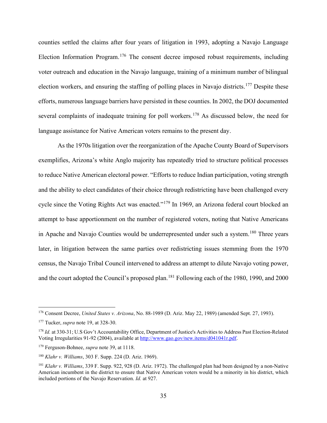counties settled the claims after four years of litigation in 1993, adopting a Navajo Language Election Information Program.<sup>176</sup> The consent decree imposed robust requirements, including voter outreach and education in the Navajo language, training of a minimum number of bilingual election workers, and ensuring the staffing of polling places in Navajo districts.<sup>177</sup> Despite these efforts, numerous language barriers have persisted in these counties. In 2002, the DOJ documented several complaints of inadequate training for poll workers.<sup>178</sup> As discussed below, the need for language assistance for Native American voters remains to the present day.

As the 1970s litigation over the reorganization of the Apache County Board of Supervisors exemplifies, Arizona's white Anglo majority has repeatedly tried to structure political processes to reduce Native American electoral power. "Efforts to reduce Indian participation, voting strength and the ability to elect candidates of their choice through redistricting have been challenged every cycle since the Voting Rights Act was enacted."<sup>179</sup> In 1969, an Arizona federal court blocked an attempt to base apportionment on the number of registered voters, noting that Native Americans in Apache and Navajo Counties would be underrepresented under such a system.<sup>180</sup> Three years later, in litigation between the same parties over redistricting issues stemming from the 1970 census, the Navajo Tribal Council intervened to address an attempt to dilute Navajo voting power, and the court adopted the Council's proposed plan.<sup>181</sup> Following each of the 1980, 1990, and 2000

<sup>176</sup> Consent Decree, *United States v. Arizona*, No. 88-1989 (D. Ariz. May 22, 1989) (amended Sept. 27, 1993).

<sup>177</sup> Tucker, *supra* note 19, at 328-30.

<sup>&</sup>lt;sup>178</sup> *Id.* at 330-31; U.S Gov't Accountability Office, Department of Justice's Activities to Address Past Election-Related Voting Irregularities 91-92 (2004), available at http://www.gao.gov/new.items/d041041r.pdf.

<sup>179</sup> Ferguson-Bohnee, *supra* note 39, at 1118.

<sup>180</sup> *Klahr v. Williams*, 303 F. Supp. 224 (D. Ariz. 1969).

<sup>181</sup> *Klahr v. Williams*, 339 F. Supp. 922, 928 (D. Ariz. 1972). The challenged plan had been designed by a non-Native American incumbent in the district to ensure that Native American voters would be a minority in his district, which included portions of the Navajo Reservation. *Id.* at 927.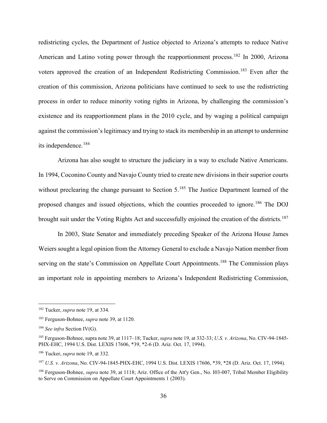redistricting cycles, the Department of Justice objected to Arizona's attempts to reduce Native American and Latino voting power through the reapportionment process.<sup>182</sup> In 2000, Arizona voters approved the creation of an Independent Redistricting Commission.<sup>183</sup> Even after the creation of this commission, Arizona politicians have continued to seek to use the redistricting process in order to reduce minority voting rights in Arizona, by challenging the commission's existence and its reapportionment plans in the 2010 cycle, and by waging a political campaign against the commission's legitimacy and trying to stack its membership in an attempt to undermine its independence.<sup>184</sup>

Arizona has also sought to structure the judiciary in a way to exclude Native Americans. In 1994, Coconino County and Navajo County tried to create new divisions in their superior courts without preclearing the change pursuant to Section 5.<sup>185</sup> The Justice Department learned of the proposed changes and issued objections, which the counties proceeded to ignore.<sup>186</sup> The DOJ brought suit under the Voting Rights Act and successfully enjoined the creation of the districts.<sup>187</sup>

In 2003, State Senator and immediately preceding Speaker of the Arizona House James Weiers sought a legal opinion from the Attorney General to exclude a Navajo Nation member from serving on the state's Commission on Appellate Court Appointments.<sup>188</sup> The Commission plays an important role in appointing members to Arizona's Independent Redistricting Commission,

<sup>182</sup> Tucker, *supra* note 19, at 334.

<sup>183</sup> Ferguson-Bohnee, *supra* note 39, at 1120.

<sup>184</sup> *See infra* Section IV(G).

<sup>185</sup> Ferguson-Bohnee, supra note 39, at 1117–18; Tucker, *supra* note 19, at 332-33; *U.S. v. Arizona*, No. CIV-94-1845- PHX-EHC, 1994 U.S. Dist. LEXIS 17606, \*39, \*2-6 (D. Ariz. Oct. 17, 1994).

<sup>186</sup> Tucker, *supra* note 19, at 332.

<sup>187</sup> *U.S. v. Arizona*, No. CIV-94-1845-PHX-EHC, 1994 U.S. Dist. LEXIS 17606, \*39, \*28 (D. Ariz. Oct. 17, 1994).

<sup>188</sup> Ferguson-Bohnee, *supra* note 39, at 1118; Ariz. Office of the Att'y Gen., No. I03-007, Tribal Member Eligibility to Serve on Commission on Appellate Court Appointments 1 (2003).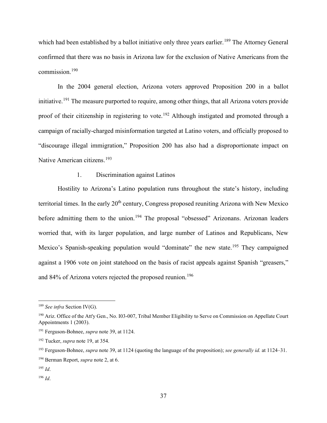which had been established by a ballot initiative only three years earlier.<sup>189</sup> The Attorney General confirmed that there was no basis in Arizona law for the exclusion of Native Americans from the commission.<sup>190</sup>

In the 2004 general election, Arizona voters approved Proposition 200 in a ballot initiative.<sup>191</sup> The measure purported to require, among other things, that all Arizona voters provide proof of their citizenship in registering to vote.<sup>192</sup> Although instigated and promoted through a campaign of racially-charged misinformation targeted at Latino voters, and officially proposed to "discourage illegal immigration," Proposition 200 has also had a disproportionate impact on Native American citizens.<sup>193</sup>

## 1. Discrimination against Latinos

Hostility to Arizona's Latino population runs throughout the state's history, including territorial times. In the early  $20<sup>th</sup>$  century, Congress proposed reuniting Arizona with New Mexico before admitting them to the union.<sup>194</sup> The proposal "obsessed" Arizonans. Arizonan leaders worried that, with its larger population, and large number of Latinos and Republicans, New Mexico's Spanish-speaking population would "dominate" the new state.<sup>195</sup> They campaigned against a 1906 vote on joint statehood on the basis of racist appeals against Spanish "greasers," and 84% of Arizona voters rejected the proposed reunion.<sup>196</sup>

<sup>196</sup> *Id*.

<sup>189</sup> *See infra* Section IV(G).

<sup>&</sup>lt;sup>190</sup> Ariz. Office of the Att'y Gen., No. 103-007, Tribal Member Eligibility to Serve on Commission on Appellate Court Appointments 1 (2003).

<sup>191</sup> Ferguson-Bohnee, *supra* note 39, at 1124.

<sup>192</sup> Tucker, *supra* note 19, at 354.

<sup>193</sup> Ferguson-Bohnee, *supra* note 39, at 1124 (quoting the language of the proposition); *see generally id.* at 1124–31.

<sup>194</sup> Berman Report, *supra* note 2, at 6.

<sup>195</sup> *Id*.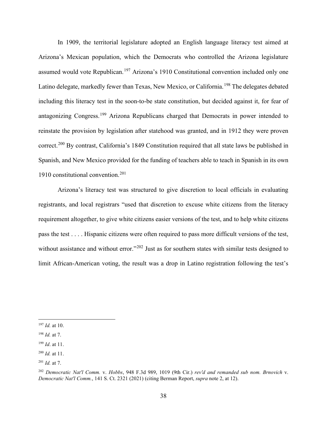In 1909, the territorial legislature adopted an English language literacy test aimed at Arizona's Mexican population, which the Democrats who controlled the Arizona legislature assumed would vote Republican.<sup>197</sup> Arizona's 1910 Constitutional convention included only one Latino delegate, markedly fewer than Texas, New Mexico, or California.<sup>198</sup> The delegates debated including this literacy test in the soon-to-be state constitution, but decided against it, for fear of antagonizing Congress.<sup>199</sup> Arizona Republicans charged that Democrats in power intended to reinstate the provision by legislation after statehood was granted, and in 1912 they were proven correct.<sup>200</sup> By contrast, California's 1849 Constitution required that all state laws be published in Spanish, and New Mexico provided for the funding of teachers able to teach in Spanish in its own 1910 constitutional convention.<sup>201</sup>

Arizona's literacy test was structured to give discretion to local officials in evaluating registrants, and local registrars "used that discretion to excuse white citizens from the literacy requirement altogether, to give white citizens easier versions of the test, and to help white citizens pass the test . . . . Hispanic citizens were often required to pass more difficult versions of the test, without assistance and without error."<sup>202</sup> Just as for southern states with similar tests designed to limit African-American voting, the result was a drop in Latino registration following the test's

<sup>197</sup> *Id.* at 10.

<sup>198</sup> *Id.* at 7.

<sup>199</sup> *Id*. at 11.

<sup>200</sup> *Id.* at 11.

<sup>201</sup> *Id.* at 7.

<sup>202</sup> *Democratic Nat'l Comm.* v. *Hobbs*, 948 F.3d 989, 1019 (9th Cir.) *rev'd and remanded sub nom. Brnovich* v. *Democratic Nat'l Comm.*, 141 S. Ct. 2321 (2021) (citing Berman Report, *supra* note 2, at 12).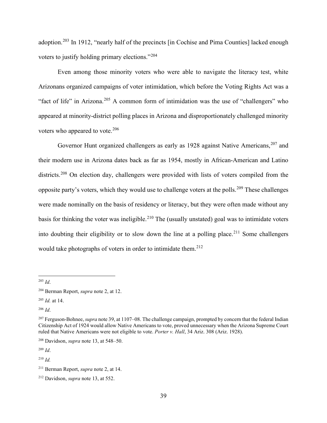adoption.<sup>203</sup> In 1912, "nearly half of the precincts [in Cochise and Pima Counties] lacked enough voters to justify holding primary elections."<sup>204</sup>

Even among those minority voters who were able to navigate the literacy test, white Arizonans organized campaigns of voter intimidation, which before the Voting Rights Act was a "fact of life" in Arizona.<sup>205</sup> A common form of intimidation was the use of "challengers" who appeared at minority-district polling places in Arizona and disproportionately challenged minority voters who appeared to vote.<sup>206</sup>

Governor Hunt organized challengers as early as 1928 against Native Americans.<sup>207</sup> and their modern use in Arizona dates back as far as 1954, mostly in African-American and Latino districts.<sup>208</sup> On election day, challengers were provided with lists of voters compiled from the opposite party's voters, which they would use to challenge voters at the polls.<sup>209</sup> These challenges were made nominally on the basis of residency or literacy, but they were often made without any basis for thinking the voter was ineligible.<sup>210</sup> The (usually unstated) goal was to intimidate voters into doubting their eligibility or to slow down the line at a polling place.<sup>211</sup> Some challengers would take photographs of voters in order to intimidate them.<sup>212</sup>

<sup>209</sup> *Id*.

<sup>203</sup> *Id*.

<sup>204</sup> Berman Report, *supra* note 2, at 12.

<sup>205</sup> *Id.* at 14.

<sup>206</sup> *Id*.

<sup>207</sup> Ferguson-Bohnee, *supra* note 39, at 1107–08. The challenge campaign, prompted by concern that the federal Indian Citizenship Act of 1924 would allow Native Americans to vote, proved unnecessary when the Arizona Supreme Court ruled that Native Americans were not eligible to vote. *Porter v. Hall*, 34 Ariz. 308 (Ariz. 1928).

<sup>208</sup> Davidson, *supra* note 13, at 548–50.

<sup>210</sup> *Id.*

<sup>211</sup> Berman Report, *supra* note 2, at 14.

<sup>212</sup> Davidson, *supra* note 13, at 552.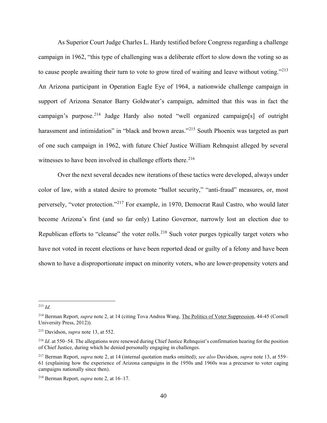As Superior Court Judge Charles L. Hardy testified before Congress regarding a challenge campaign in 1962, "this type of challenging was a deliberate effort to slow down the voting so as to cause people awaiting their turn to vote to grow tired of waiting and leave without voting."<sup>213</sup> An Arizona participant in Operation Eagle Eye of 1964, a nationwide challenge campaign in support of Arizona Senator Barry Goldwater's campaign, admitted that this was in fact the campaign's purpose.<sup>214</sup> Judge Hardy also noted "well organized campaign[s] of outright harassment and intimidation" in "black and brown areas."<sup>215</sup> South Phoenix was targeted as part of one such campaign in 1962, with future Chief Justice William Rehnquist alleged by several witnesses to have been involved in challenge efforts there.<sup>216</sup>

Over the next several decades new iterations of these tactics were developed, always under color of law, with a stated desire to promote "ballot security," "anti-fraud" measures, or, most perversely, "voter protection."<sup>217</sup> For example, in 1970, Democrat Raul Castro, who would later become Arizona's first (and so far only) Latino Governor, narrowly lost an election due to Republican efforts to "cleanse" the voter rolls.<sup>218</sup> Such voter purges typically target voters who have not voted in recent elections or have been reported dead or guilty of a felony and have been shown to have a disproportionate impact on minority voters, who are lower-propensity voters and

<sup>213</sup> *Id.*

<sup>214</sup> Berman Report, *supra* note 2, at 14 (citing Tova Andrea Wang, The Politics of Voter Suppression, 44-45 (Cornell University Press, 2012)).

<sup>215</sup> Davidson, *supra* note 13, at 552.

<sup>216</sup> *Id*. at 550–54. The allegations were renewed during Chief Justice Rehnquist's confirmation hearing for the position of Chief Justice, during which he denied personally engaging in challenges.

<sup>217</sup> Berman Report, *supra* note 2, at 14 (internal quotation marks omitted); *see also* Davidson, *supra* note 13, at 559– 61 (explaining how the experience of Arizona campaigns in the 1950s and 1960s was a precursor to voter caging campaigns nationally since then).

<sup>218</sup> Berman Report, *supra* note 2, at 16–17.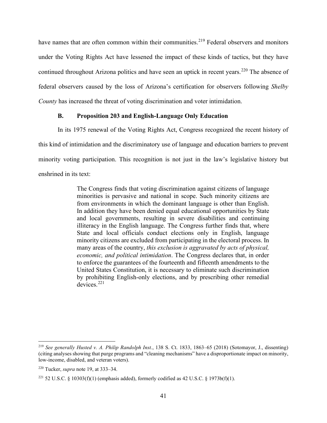have names that are often common within their communities.<sup>219</sup> Federal observers and monitors under the Voting Rights Act have lessened the impact of these kinds of tactics, but they have continued throughout Arizona politics and have seen an uptick in recent years.<sup>220</sup> The absence of federal observers caused by the loss of Arizona's certification for observers following *Shelby County* has increased the threat of voting discrimination and voter intimidation.

### **B. Proposition 203 and English-Language Only Education**

In its 1975 renewal of the Voting Rights Act, Congress recognized the recent history of this kind of intimidation and the discriminatory use of language and education barriers to prevent minority voting participation. This recognition is not just in the law's legislative history but enshrined in its text:

> The Congress finds that voting discrimination against citizens of language minorities is pervasive and national in scope. Such minority citizens are from environments in which the dominant language is other than English. In addition they have been denied equal educational opportunities by State and local governments, resulting in severe disabilities and continuing illiteracy in the English language. The Congress further finds that, where State and local officials conduct elections only in English, language minority citizens are excluded from participating in the electoral process. In many areas of the country, *this exclusion is aggravated by acts of physical, economic, and political intimidation*. The Congress declares that, in order to enforce the guarantees of the fourteenth and fifteenth amendments to the United States Constitution, it is necessary to eliminate such discrimination by prohibiting English-only elections, and by prescribing other remedial devices.<sup>221</sup>

<sup>219</sup> *See generally Husted v. A. Philip Randolph Inst.*, 138 S. Ct. 1833, 1863–65 (2018) (Sotomayor, J., dissenting) (citing analyses showing that purge programs and "cleaning mechanisms" have a disproportionate impact on minority, low-income, disabled, and veteran voters).

<sup>220</sup> Tucker, *supra* note 19, at 333–34.

<sup>&</sup>lt;sup>221</sup> 52 U.S.C. § 10303(f)(1) (emphasis added), formerly codified as 42 U.S.C. § 1973b(f)(1).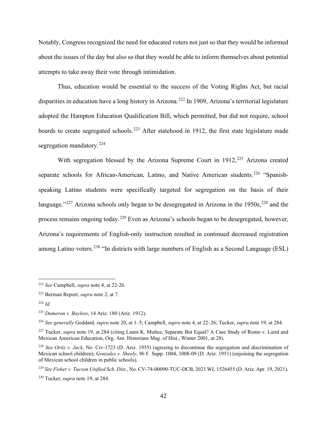Notably, Congress recognized the need for educated voters not just so that they would be informed about the issues of the day but also so that they would be able to inform themselves about potential attempts to take away their vote through intimidation.

Thus, education would be essential to the success of the Voting Rights Act, but racial disparities in education have a long history in Arizona.<sup>222</sup> In 1909, Arizona's territorial legislature adopted the Hampton Education Qualification Bill, which permitted, but did not require, school boards to create segregated schools.<sup>223</sup> After statehood in 1912, the first state legislature made segregation mandatory.<sup>224</sup>

With segregation blessed by the Arizona Supreme Court in  $1912$ <sup>225</sup> Arizona created separate schools for African-American, Latino, and Native American students.<sup>226</sup> "Spanishspeaking Latino students were specifically targeted for segregation on the basis of their language."<sup>227</sup> Arizona schools only began to be desegregated in Arizona in the 1950s, <sup>228</sup> and the process remains ongoing today.<sup>229</sup> Even as Arizona's schools began to be desegregated, however, Arizona's requirements of English-only instruction resulted in continued decreased registration among Latino voters.<sup>230</sup> "In districts with large numbers of English as a Second Language (ESL)

<sup>222</sup> *See* Campbell, *supra* note 4, at 22-26.

<sup>223</sup> Berman Report, *supra* note 2, at 7.

<sup>224</sup> *Id.*

<sup>225</sup> *Dameron v. Bayless*, 14 Ariz. 180 (Ariz. 1912).

<sup>226</sup> *See generally* Goddard, *supra* note 20, at 1–5; Campbell, *supra* note 4, at 22–26; Tucker, *supra* note 19, at 284.

<sup>227</sup> Tucker, *supra* note 19, at 284 (citing Laura K. Muñoz, Separate But Equal? A Case Study of Romo v. Laird and Mexican American Education, Org. Am. Historians Mag. of Hist., Winter 2001, at 28).

<sup>228</sup> *See Ortiz v. Jack*, No. Civ-1723 (D. Ariz. 1955) (agreeing to discontinue the segregation and discrimination of Mexican school children); *Gonzales v. Sheely*, 96 F. Supp. 1004, 1008-09 (D. Ariz. 1951) (enjoining the segregation of Mexican school children in public schools).

<sup>229</sup> *See Fisher v. Tucson Unified Sch. Dist.*, No. CV-74-00090-TUC-DCB, 2021 WL 1526455 (D. Ariz. Apr. 19, 2021).

<sup>230</sup> Tucker, *supra* note 19, at 284.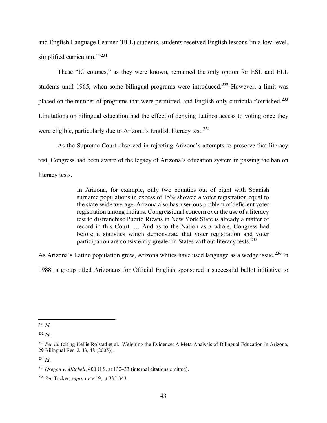and English Language Learner (ELL) students, students received English lessons 'in a low-level, simplified curriculum."<sup>231</sup>

These "IC courses," as they were known, remained the only option for ESL and ELL students until 1965, when some bilingual programs were introduced.<sup>232</sup> However, a limit was placed on the number of programs that were permitted, and English-only curricula flourished.<sup>233</sup> Limitations on bilingual education had the effect of denying Latinos access to voting once they were eligible, particularly due to Arizona's English literacy test.<sup>234</sup>

As the Supreme Court observed in rejecting Arizona's attempts to preserve that literacy test, Congress had been aware of the legacy of Arizona's education system in passing the ban on literacy tests.

> In Arizona, for example, only two counties out of eight with Spanish surname populations in excess of 15% showed a voter registration equal to the state-wide average. Arizona also has a serious problem of deficient voter registration among Indians. Congressional concern over the use of a literacy test to disfranchise Puerto Ricans in New York State is already a matter of record in this Court. … And as to the Nation as a whole, Congress had before it statistics which demonstrate that voter registration and voter participation are consistently greater in States without literacy tests.<sup>235</sup>

As Arizona's Latino population grew, Arizona whites have used language as a wedge issue.<sup>236</sup> In

1988, a group titled Arizonans for Official English sponsored a successful ballot initiative to

<sup>231</sup> *Id.*

<sup>232</sup> *Id*.

<sup>233</sup> *See id.* (citing Kellie Rolstad et al., Weighing the Evidence: A Meta-Analysis of Bilingual Education in Arizona, 29 Bilingual Res. J. 43, 48 (2005)).

<sup>234</sup> *Id*.

<sup>235</sup> *Oregon v. Mitchell*, 400 U.S. at 132–33 (internal citations omitted).

<sup>236</sup> *See* Tucker, *supra* note 19, at 335-343.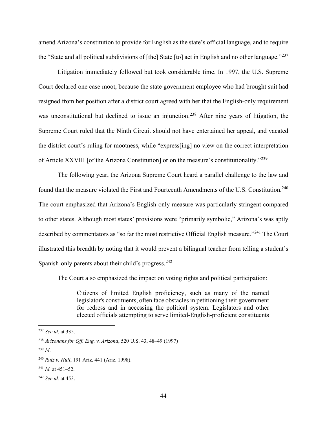amend Arizona's constitution to provide for English as the state's official language, and to require the "State and all political subdivisions of [the] State [to] act in English and no other language."<sup>237</sup>

Litigation immediately followed but took considerable time. In 1997, the U.S. Supreme Court declared one case moot, because the state government employee who had brought suit had resigned from her position after a district court agreed with her that the English-only requirement was unconstitutional but declined to issue an injunction.<sup>238</sup> After nine years of litigation, the Supreme Court ruled that the Ninth Circuit should not have entertained her appeal, and vacated the district court's ruling for mootness, while "express[ing] no view on the correct interpretation of Article XXVIII [of the Arizona Constitution] or on the measure's constitutionality."<sup>239</sup>

The following year, the Arizona Supreme Court heard a parallel challenge to the law and found that the measure violated the First and Fourteenth Amendments of the U.S. Constitution.<sup>240</sup> The court emphasized that Arizona's English-only measure was particularly stringent compared to other states. Although most states' provisions were "primarily symbolic," Arizona's was aptly described by commentators as "so far the most restrictive Official English measure."<sup>241</sup> The Court illustrated this breadth by noting that it would prevent a bilingual teacher from telling a student's Spanish-only parents about their child's progress.  $242$ 

The Court also emphasized the impact on voting rights and political participation:

Citizens of limited English proficiency, such as many of the named legislator's constituents, often face obstacles in petitioning their government for redress and in accessing the political system. Legislators and other elected officials attempting to serve limited-English-proficient constituents

<sup>237</sup> *See id*. at 335.

<sup>238</sup> *Arizonans for Off. Eng. v. Arizona*, 520 U.S. 43, 48–49 (1997)

<sup>239</sup> *Id*.

<sup>240</sup> *Ruiz v. Hull*, 191 Ariz. 441 (Ariz. 1998).

<sup>241</sup> *Id.* at 451–52.

<sup>242</sup> *See id.* at 453.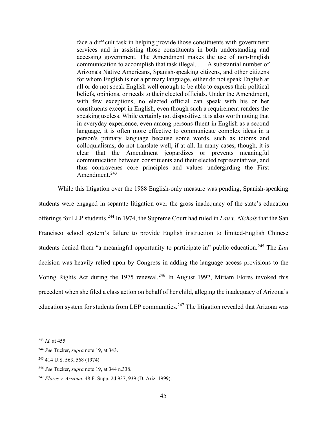face a difficult task in helping provide those constituents with government services and in assisting those constituents in both understanding and accessing government. The Amendment makes the use of non-English communication to accomplish that task illegal. . . . A substantial number of Arizona's Native Americans, Spanish-speaking citizens, and other citizens for whom English is not a primary language, either do not speak English at all or do not speak English well enough to be able to express their political beliefs, opinions, or needs to their elected officials. Under the Amendment, with few exceptions, no elected official can speak with his or her constituents except in English, even though such a requirement renders the speaking useless. While certainly not dispositive, it is also worth noting that in everyday experience, even among persons fluent in English as a second language, it is often more effective to communicate complex ideas in a person's primary language because some words, such as idioms and colloquialisms, do not translate well, if at all. In many cases, though, it is clear that the Amendment jeopardizes or prevents meaningful communication between constituents and their elected representatives, and thus contravenes core principles and values undergirding the First Amendment. 243

While this litigation over the 1988 English-only measure was pending, Spanish-speaking students were engaged in separate litigation over the gross inadequacy of the state's education offerings for LEP students.<sup>244</sup> In 1974, the Supreme Court had ruled in *Lau v. Nichols* that the San Francisco school system's failure to provide English instruction to limited-English Chinese students denied them "a meaningful opportunity to participate in" public education.<sup>245</sup> The *Lau* decision was heavily relied upon by Congress in adding the language access provisions to the Voting Rights Act during the 1975 renewal.<sup>246</sup> In August 1992, Miriam Flores invoked this precedent when she filed a class action on behalf of her child, alleging the inadequacy of Arizona's education system for students from LEP communities.<sup>247</sup> The litigation revealed that Arizona was

<sup>243</sup> *Id.* at 455.

<sup>244</sup> *See* Tucker, *supra* note 19, at 343.

<sup>245</sup> 414 U.S. 563, 568 (1974).

<sup>246</sup> *See* Tucker, *supra* note 19, at 344 n.338.

<sup>247</sup> *Flores v. Arizona*, 48 F. Supp. 2d 937, 939 (D. Ariz. 1999).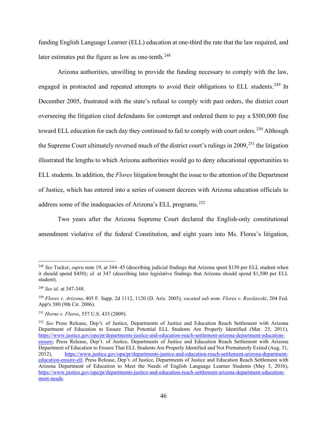funding English Language Learner (ELL) education at one-third the rate that the law required, and later estimates put the figure as low as one-tenth.<sup>248</sup>

Arizona authorities, unwilling to provide the funding necessary to comply with the law, engaged in protracted and repeated attempts to avoid their obligations to ELL students.<sup>249</sup> In December 2005, frustrated with the state's refusal to comply with past orders, the district court overseeing the litigation cited defendants for contempt and ordered them to pay a \$500,000 fine toward ELL education for each day they continued to fail to comply with court orders.<sup>250</sup> Although the Supreme Court ultimately reversed much of the district court's rulings in  $2009$ <sup>251</sup>, the litigation illustrated the lengths to which Arizona authorities would go to deny educational opportunities to ELL students. In addition, the *Flores* litigation brought the issue to the attention of the Department of Justice, which has entered into a series of consent decrees with Arizona education officials to address some of the inadequacies of Arizona's ELL programs.<sup>252</sup>

Two years after the Arizona Supreme Court declared the English-only constitutional amendment violative of the federal Constitution, and eight years into Ms. Flores's litigation,

<sup>248</sup> *See* Tucker, *supra* note 19, at 344–45 (describing judicial findings that Arizona spent \$150 per ELL student when it should spend \$450); *id.* at 347 (describing later legislative findings that Arizona should spend \$1,500 per ELL student).

<sup>249</sup> *See id.* at 347-348.

<sup>250</sup> *Flores v. Arizona*, 405 F. Supp. 2d 1112, 1120 (D. Ariz. 2005), *vacated sub nom. Flores v. Rzeslawski*, 204 Fed. App'x 580 (9th Cir. 2006).

<sup>251</sup> *Horne v. Flores*, 557 U.S. 433 (2009).

<sup>252</sup> *See* Press Release, Dep't. of Justice, Departments of Justice and Education Reach Settlement with Arizona Department of Education to Ensure That Potential ELL Students Are Properly Identified (Mar. 25, 2011), https://www.justice.gov/opa/pr/departments-justice-and-education-reach-settlement-arizona-department-educationensure; Press Release, Dep't. of Justice, Departments of Justice and Education Reach Settlement with Arizona Department of Education to Ensure That ELL Students Are Properly Identified and Not Prematurely Exited (Aug. 31, 2012), https://www.justice.gov/opa/pr/departments-justice-and-education-reach-settlement-arizona-departmenteducation-ensure-ell; Press Release, Dep't. of Justice, Departments of Justice and Education Reach Settlement with Arizona Department of Education to Meet the Needs of English Language Learner Students (May 3, 2016), https://www.justice.gov/opa/pr/departments-justice-and-education-reach-settlement-arizona-department-educationmeet-needs.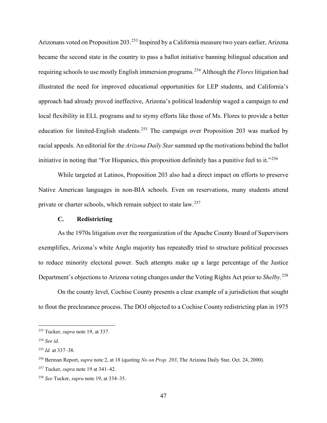Arizonans voted on Proposition 203.<sup>253</sup> Inspired by a California measure two years earlier, Arizona became the second state in the country to pass a ballot initiative banning bilingual education and requiring schools to use mostly English immersion programs.<sup>254</sup> Although the *Flores* litigation had illustrated the need for improved educational opportunities for LEP students, and California's approach had already proved ineffective, Arizona's political leadership waged a campaign to end local flexibility in ELL programs and to stymy efforts like those of Ms. Flores to provide a better education for limited-English students.<sup>255</sup> The campaign over Proposition 203 was marked by racial appeals. An editorial for the *Arizona Daily Star* summed up the motivations behind the ballot initiative in noting that "For Hispanics, this proposition definitely has a punitive feel to it."<sup>256</sup>

While targeted at Latinos, Proposition 203 also had a direct impact on efforts to preserve Native American languages in non-BIA schools. Even on reservations, many students attend private or charter schools, which remain subject to state law.<sup>257</sup>

#### **C. Redistricting**

As the 1970s litigation over the reorganization of the Apache County Board of Supervisors exemplifies, Arizona's white Anglo majority has repeatedly tried to structure political processes to reduce minority electoral power. Such attempts make up a large percentage of the Justice Department's objections to Arizona voting changes under the Voting Rights Act prior to *Shelby*. 258

On the county level, Cochise County presents a clear example of a jurisdiction that sought to flout the preclearance process. The DOJ objected to a Cochise County redistricting plan in 1975

<sup>253</sup> Tucker, *supra* note 19, at 337.

<sup>254</sup> *See id.*

<sup>255</sup> *Id.* at 337–38.

<sup>256</sup> Berman Report, *supra* note 2, at 18 (quoting *No on Prop. 203*, The Arizona Daily Star, Oct. 24, 2000).

<sup>257</sup> Tucker, *supra* note 19 at 341–42.

<sup>258</sup> *See* Tucker, *supra* note 19, at 334–35.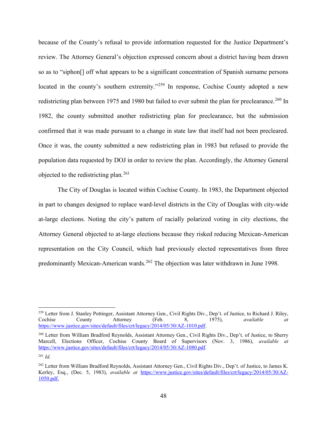because of the County's refusal to provide information requested for the Justice Department's review. The Attorney General's objection expressed concern about a district having been drawn so as to "siphon[] off what appears to be a significant concentration of Spanish surname persons located in the county's southern extremity."<sup>259</sup> In response, Cochise County adopted a new redistricting plan between 1975 and 1980 but failed to ever submit the plan for preclearance.<sup>260</sup> In 1982, the county submitted another redistricting plan for preclearance, but the submission confirmed that it was made pursuant to a change in state law that itself had not been precleared. Once it was, the county submitted a new redistricting plan in 1983 but refused to provide the population data requested by DOJ in order to review the plan. Accordingly, the Attorney General objected to the redistricting plan.<sup>261</sup>

The City of Douglas is located within Cochise County. In 1983, the Department objected in part to changes designed to replace ward-level districts in the City of Douglas with city-wide at-large elections. Noting the city's pattern of racially polarized voting in city elections, the Attorney General objected to at-large elections because they risked reducing Mexican-American representation on the City Council, which had previously elected representatives from three predominantly Mexican-American wards.<sup>262</sup> The objection was later withdrawn in June 1998.

<sup>259</sup> Letter from J. Stanley Pottinger, Assistant Attorney Gen., Civil Rights Div., Dep't. of Justice, to Richard J. Riley, Cochise County Attorney (Feb. 8, 1975), *available at* https://www.justice.gov/sites/default/files/crt/legacy/2014/05/30/AZ-1010.pdf.

<sup>&</sup>lt;sup>260</sup> Letter from William Bradford Reynolds, Assistant Attorney Gen., Civil Rights Div., Dep't. of Justice, to Sherry Marcell, Elections Officer, Cochise County Board of Supervisors (Nov. 3, 1986), *available at* https://www.justice.gov/sites/default/files/crt/legacy/2014/05/30/AZ-1080.pdf.

<sup>261</sup> *Id.*

<sup>262</sup> Letter from William Bradford Reynolds, Assistant Attorney Gen., Civil Rights Div., Dep't. of Justice, to James K. Kerley, Esq., (Dec. 5, 1983), *available at* https://www.justice.gov/sites/default/files/crt/legacy/2014/05/30/AZ-1050.pdf.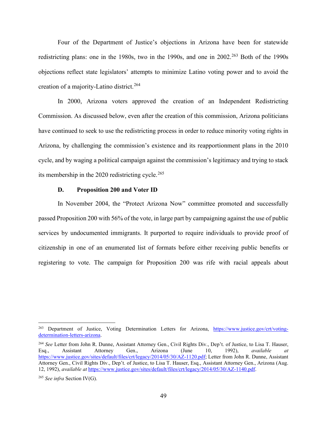Four of the Department of Justice's objections in Arizona have been for statewide redistricting plans: one in the 1980s, two in the 1990s, and one in 2002.<sup>263</sup> Both of the 1990s objections reflect state legislators' attempts to minimize Latino voting power and to avoid the creation of a majority-Latino district.<sup>264</sup>

In 2000, Arizona voters approved the creation of an Independent Redistricting Commission. As discussed below, even after the creation of this commission, Arizona politicians have continued to seek to use the redistricting process in order to reduce minority voting rights in Arizona, by challenging the commission's existence and its reapportionment plans in the 2010 cycle, and by waging a political campaign against the commission's legitimacy and trying to stack its membership in the  $2020$  redistricting cycle.<sup>265</sup>

#### **D. Proposition 200 and Voter ID**

In November 2004, the "Protect Arizona Now" committee promoted and successfully passed Proposition 200 with 56% of the vote, in large part by campaigning against the use of public services by undocumented immigrants. It purported to require individuals to provide proof of citizenship in one of an enumerated list of formats before either receiving public benefits or registering to vote. The campaign for Proposition 200 was rife with racial appeals about

<sup>&</sup>lt;sup>263</sup> Department of Justice, Voting Determination Letters for Arizona, https://www.justice.gov/crt/votingdetermination-letters-arizona.

<sup>264</sup> *See* Letter from John R. Dunne, Assistant Attorney Gen., Civil Rights Div., Dep't. of Justice, to Lisa T. Hauser, Esq., Assistant Attorney Gen., Arizona (June 10, 1992), *available at*  https://www.justice.gov/sites/default/files/crt/legacy/2014/05/30/AZ-1120.pdf; Letter from John R. Dunne, Assistant Attorney Gen., Civil Rights Div., Dep't. of Justice, to Lisa T. Hauser, Esq., Assistant Attorney Gen., Arizona (Aug. 12, 1992), *available at* https://www.justice.gov/sites/default/files/crt/legacy/2014/05/30/AZ-1140.pdf.

<sup>265</sup> *See infra* Section IV(G).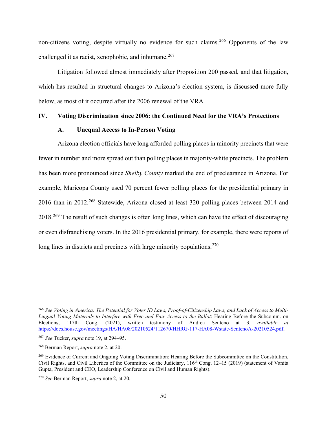non-citizens voting, despite virtually no evidence for such claims.<sup>266</sup> Opponents of the law challenged it as racist, xenophobic, and inhumane.<sup>267</sup>

Litigation followed almost immediately after Proposition 200 passed, and that litigation, which has resulted in structural changes to Arizona's election system, is discussed more fully below, as most of it occurred after the 2006 renewal of the VRA.

## **IV. Voting Discrimination since 2006: the Continued Need for the VRA's Protections**

#### **A. Unequal Access to In-Person Voting**

Arizona election officials have long afforded polling places in minority precincts that were fewer in number and more spread out than polling places in majority-white precincts. The problem has been more pronounced since *Shelby County* marked the end of preclearance in Arizona. For example, Maricopa County used 70 percent fewer polling places for the presidential primary in 2016 than in 2012.<sup>268</sup> Statewide, Arizona closed at least 320 polling places between 2014 and 2018.269 The result of such changes is often long lines, which can have the effect of discouraging or even disfranchising voters. In the 2016 presidential primary, for example, there were reports of long lines in districts and precincts with large minority populations.  $270$ 

<sup>266</sup> *See Voting in America: The Potential for Voter ID Laws, Proof-of-Citizenship Laws, and Lack of Access to Multi-Lingual Voting Materials to Interfere with Free and Fair Access to the Ballot*: Hearing Before the Subcomm. on Elections, 117th Cong. (2021), written testimony of Andrea Senteno at 3, *available at* https://docs.house.gov/meetings/HA/HA08/20210524/112670/HHRG-117-HA08-Wstate-SentenoA-20210524.pdf.

<sup>267</sup> *See* Tucker, *supra* note 19, at 294–95.

<sup>268</sup> Berman Report, *supra* note 2, at 20.

<sup>&</sup>lt;sup>269</sup> Evidence of Current and Ongoing Voting Discrimination: Hearing Before the Subcommittee on the Constitution, Civil Rights, and Civil Liberties of the Committee on the Judiciary, 116<sup>th</sup> Cong. 12–15 (2019) (statement of Vanita Gupta, President and CEO, Leadership Conference on Civil and Human Rights).

<sup>270</sup> *See* Berman Report, *supra* note 2, at 20.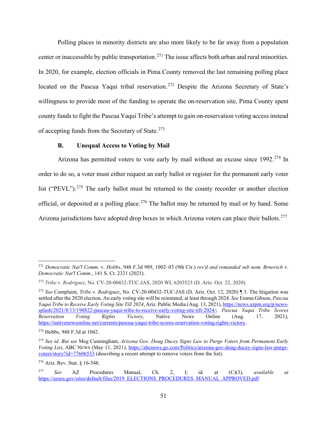Polling places in minority districts are also more likely to be far away from a population center or inaccessible by public transportation.<sup>271</sup> The issue affects both urban and rural minorities. In 2020, for example, election officials in Pima County removed the last remaining polling place located on the Pascua Yaqui tribal reservation.<sup>272</sup> Despite the Arizona Secretary of State's willingness to provide most of the funding to operate the on-reservation site, Pima County spent county funds to fight the Pascua Yaqui Tribe's attempt to gain on-reservation voting access instead of accepting funds from the Secretary of State. $273$ 

# **B. Unequal Access to Voting by Mail**

Arizona has permitted voters to vote early by mail without an excuse since 1992.<sup>274</sup> In order to do so, a voter must either request an early ballot or register for the permanent early voter list ("PEVL").<sup>275</sup> The early ballot must be returned to the county recorder or another election official, or deposited at a polling place.<sup>276</sup> The ballot may be returned by mail or by hand. Some Arizona jurisdictions have adopted drop boxes in which Arizona voters can place their ballots.<sup>277</sup>

<sup>271</sup> *Democratic Nat'l Comm.* v. *Hobbs*, 948 F.3d 989, 1002–03 (9th Cir.) *rev'd and remanded sub nom. Brnovich* v. *Democratic Nat'l Comm.*, 141 S. Ct. 2321 (2021).

<sup>272</sup> *Tribe v. Rodriguez*, No. CV-20-00432-TUC-JAS, 2020 WL 6203523 (D. Ariz. Oct. 22, 2020).

<sup>273</sup> *See* Complaint, *Tribe v. Rodriguez*, No. CV-20-00432-TUC-JAS (D. Ariz. Oct. 12, 2020) ¶ 3. The litigation was settled after the 2020 election. An early voting site will be reinstated, at least through 2024. *See* Emma Gibson, *Pascua Yaqui Tribe to Receive Early Voting Site Till 2024*, Ariz. Public Media (Aug. 13, 2021), https://news.azpm.org/p/newssplash/2021/8/13/198822-pascua-yaqui-tribe-to-receive-early-voting-site-till-2024/; *Pascua Yaqui Tribe Scores Reservation Voting Rights Victory*, Native News Online (Aug. 17, 2021), https://nativenewsonline net/currents/pascua-yaqui-tribe-scores-reservation-voting-rights-victory.

<sup>274</sup> Hobbs, 948 F.3d at 1042.

<sup>275</sup> *See id. But see* Meg Cunningham, *Arizona Gov. Doug Ducey Signs Law to Purge Voters from Permanent Early Voting List*, ABC NEWS (May 11, 2021), https://abcnews.go.com/Politics/arizona-gov-doug-ducey-signs-law-purgevoters/story?id=77606533 (describing a recent attempt to remove voters from the list).

<sup>276</sup> Ariz. Rev. Stat. § 16-548.

<sup>277</sup> *See* AZ Procedures Manual, Ch. 2, I; id. at (C)(3), *available at* https://azsos.gov/sites/default/files/2019 ELECTIONS PROCEDURES MANUAL APPROVED.pdf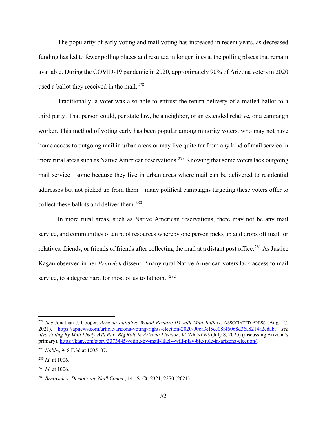The popularity of early voting and mail voting has increased in recent years, as decreased funding has led to fewer polling places and resulted in longer lines at the polling places that remain available. During the COVID-19 pandemic in 2020, approximately 90% of Arizona voters in 2020 used a ballot they received in the mail. $278$ 

Traditionally, a voter was also able to entrust the return delivery of a mailed ballot to a third party. That person could, per state law, be a neighbor, or an extended relative, or a campaign worker. This method of voting early has been popular among minority voters, who may not have home access to outgoing mail in urban areas or may live quite far from any kind of mail service in more rural areas such as Native American reservations.<sup>279</sup> Knowing that some voters lack outgoing mail service—some because they live in urban areas where mail can be delivered to residential addresses but not picked up from them—many political campaigns targeting these voters offer to collect these ballots and deliver them.<sup>280</sup>

In more rural areas, such as Native American reservations, there may not be any mail service, and communities often pool resources whereby one person picks up and drops off mail for relatives, friends, or friends of friends after collecting the mail at a distant post office.<sup>281</sup> As Justice Kagan observed in her *Brnovich* dissent, "many rural Native American voters lack access to mail service, to a degree hard for most of us to fathom."<sup>282</sup>

<sup>278</sup> *See* Jonathan J. Cooper, *Arizona Initiative Would Require ID with Mail Ballots*, ASSOCIATED PRESS (Aug. 17, 2021), https://apnews.com/article/arizona-voting-rights-election-2020-90ca3ef5cc08f46068d36a8214a2edab; *see also Voting By Mail Likely Will Play Big Role in Arizona Election*, KTAR NEWS (July 8, 2020) (discussing Arizona's primary), https://ktar.com/story/3373445/voting-by-mail-likely-will-play-big-role-in-arizona-election/.

<sup>279</sup> *Hobbs*, 948 F.3d at 1005–07.

<sup>280</sup> *Id.* at 1006.

<sup>281</sup> *Id.* at 1006.

<sup>282</sup> *Brnovich* v. *Democratic Nat'l Comm.*, 141 S. Ct. 2321, 2370 (2021).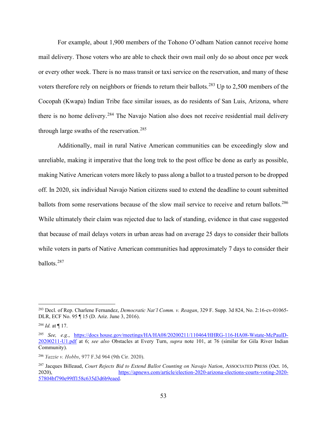For example, about 1,900 members of the Tohono O'odham Nation cannot receive home mail delivery. Those voters who are able to check their own mail only do so about once per week or every other week. There is no mass transit or taxi service on the reservation, and many of these voters therefore rely on neighbors or friends to return their ballots.<sup>283</sup> Up to 2,500 members of the Cocopah (Kwapa) Indian Tribe face similar issues, as do residents of San Luis, Arizona, where there is no home delivery.<sup>284</sup> The Navajo Nation also does not receive residential mail delivery through large swaths of the reservation.<sup>285</sup>

Additionally, mail in rural Native American communities can be exceedingly slow and unreliable, making it imperative that the long trek to the post office be done as early as possible, making Native American voters more likely to pass along a ballot to a trusted person to be dropped off. In 2020, six individual Navajo Nation citizens sued to extend the deadline to count submitted ballots from some reservations because of the slow mail service to receive and return ballots.<sup>286</sup> While ultimately their claim was rejected due to lack of standing, evidence in that case suggested that because of mail delays voters in urban areas had on average 25 days to consider their ballots while voters in parts of Native American communities had approximately 7 days to consider their ballots.287

<sup>283</sup> Decl. of Rep. Charlene Fernandez, *Democratic Nat'l Comm. v. Reagan*, 329 F. Supp. 3d 824, No. 2:16-cv-01065- DLR, ECF No. 95 ¶ 15 (D. Ariz. June 3, 2016).

 $^{284}$  *Id.* at ¶ 17.

<sup>285</sup> *See, e.g.*, https://docs house.gov/meetings/HA/HA08/20200211/110464/HHRG-116-HA08-Wstate-McPaulD-20200211-U1.pdf at 6; *see also* Obstacles at Every Turn, *supra* note 101, at 76 (similar for Gila River Indian Community).

<sup>286</sup> *Yazzie v. Hobbs*, 977 F.3d 964 (9th Cir. 2020).

<sup>287</sup> Jacques Billeaud, *Court Rejects Bid to Extend Ballot Counting on Navajo Nation*, ASSOCIATED PRESS (Oct. 16, 2020), https://apnews.com/article/election-2020-arizona-elections-courts-voting-2020- 57804bf790e99ff158c635d3d6b9eaed.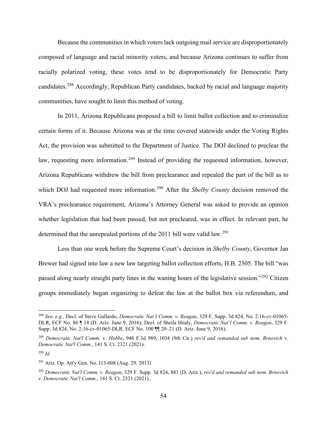Because the communities in which voters lack outgoing mail service are disproportionately composed of language and racial minority voters, and because Arizona continues to suffer from racially polarized voting, these votes tend to be disproportionately for Democratic Party candidates.<sup>288</sup> Accordingly, Republican Party candidates, backed by racial and language majority communities, have sought to limit this method of voting.

In 2011, Arizona Republicans proposed a bill to limit ballot collection and to criminalize certain forms of it. Because Arizona was at the time covered statewide under the Voting Rights Act, the provision was submitted to the Department of Justice. The DOJ declined to preclear the law, requesting more information.<sup>289</sup> Instead of providing the requested information, however, Arizona Republicans withdrew the bill from preclearance and repealed the part of the bill as to which DOJ had requested more information.<sup>290</sup> After the *Shelby County* decision removed the VRA's preclearance requirement, Arizona's Attorney General was asked to provide an opinion whether legislation that had been passed, but not precleared, was in effect. In relevant part, he determined that the unrepealed portions of the 2011 bill were valid law.<sup>291</sup>

Less than one week before the Supreme Court's decision in *Shelby County*, Governor Jan Brewer had signed into law a new law targeting ballot collection efforts, H.B. 2305. The bill "was passed along nearly straight party lines in the waning hours of the legislative session."<sup>292</sup> Citizen groups immediately began organizing to defeat the law at the ballot box via referendum, and

<sup>288</sup> *See, e.g.,* Decl. of Steve Gallardo, *Democratic Nat'l Comm. v. Reagan*, 329 F. Supp. 3d 824, No. 2:16-cv-01065- DLR, ECF No. 86 ¶ 18 (D. Ariz. June 9, 2016); Decl. of Sheila Healy, *Democratic Nat'l Comm. v. Reagan*, 329 F. Supp. 3d 824, No. 2:16-cv-01065-DLR, ECF No. 100 ¶¶ 20–21 (D. Ariz. June 9, 2016).

<sup>289</sup> *Democratic Nat'l Comm.* v. *Hobbs*, 948 F.3d 989, 1034 (9th Cir.) *rev'd and remanded sub nom. Brnovich* v. *Democratic Nat'l Comm.*, 141 S. Ct. 2321 (2021).

<sup>290</sup> *Id.*

<sup>291</sup> Ariz. Op. Att'y Gen. No. I13-008 (Aug. 29, 2013)

<sup>292</sup> *Democratic Nat'l Comm. v. Reagan*, 329 F. Supp. 3d 824, 881 (D. Ariz.), *rev'd and remanded sub nom. Brnovich v. Democratic Nat'l Comm.*, 141 S. Ct. 2321 (2021)..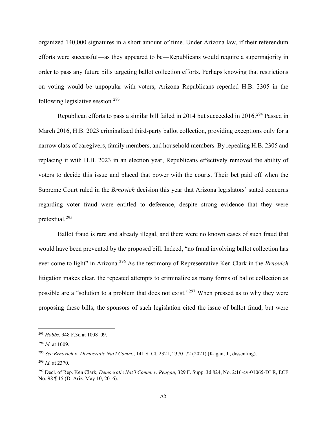organized 140,000 signatures in a short amount of time. Under Arizona law, if their referendum efforts were successful—as they appeared to be—Republicans would require a supermajority in order to pass any future bills targeting ballot collection efforts. Perhaps knowing that restrictions on voting would be unpopular with voters, Arizona Republicans repealed H.B. 2305 in the following legislative session.<sup>293</sup>

Republican efforts to pass a similar bill failed in 2014 but succeeded in 2016.<sup>294</sup> Passed in March 2016, H.B. 2023 criminalized third-party ballot collection, providing exceptions only for a narrow class of caregivers, family members, and household members. By repealing H.B. 2305 and replacing it with H.B. 2023 in an election year, Republicans effectively removed the ability of voters to decide this issue and placed that power with the courts. Their bet paid off when the Supreme Court ruled in the *Brnovich* decision this year that Arizona legislators' stated concerns regarding voter fraud were entitled to deference, despite strong evidence that they were pretextual.<sup>295</sup>

Ballot fraud is rare and already illegal, and there were no known cases of such fraud that would have been prevented by the proposed bill. Indeed, "no fraud involving ballot collection has ever come to light" in Arizona.<sup>296</sup> As the testimony of Representative Ken Clark in the *Brnovich* litigation makes clear, the repeated attempts to criminalize as many forms of ballot collection as possible are a "solution to a problem that does not exist."<sup>297</sup> When pressed as to why they were proposing these bills, the sponsors of such legislation cited the issue of ballot fraud, but were

<sup>293</sup> *Hobbs*, 948 F.3d at 1008–09.

<sup>294</sup> *Id.* at 1009.

<sup>295</sup> *See Brnovich* v. *Democratic Nat'l Comm.*, 141 S. Ct. 2321, 2370–72 (2021) (Kagan, J., dissenting).

<sup>296</sup> *Id.* at 2370.

<sup>297</sup> Decl. of Rep. Ken Clark, *Democratic Nat'l Comm. v. Reagan*, 329 F. Supp. 3d 824, No. 2:16-cv-01065-DLR, ECF No. 98 ¶ 15 (D. Ariz. May 10, 2016).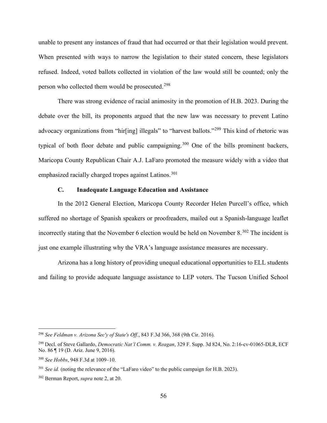unable to present any instances of fraud that had occurred or that their legislation would prevent. When presented with ways to narrow the legislation to their stated concern, these legislators refused. Indeed, voted ballots collected in violation of the law would still be counted; only the person who collected them would be prosecuted.<sup>298</sup>

There was strong evidence of racial animosity in the promotion of H.B. 2023. During the debate over the bill, its proponents argued that the new law was necessary to prevent Latino advocacy organizations from "hir[ing] illegals" to "harvest ballots."<sup>299</sup> This kind of rhetoric was typical of both floor debate and public campaigning.<sup>300</sup> One of the bills prominent backers, Maricopa County Republican Chair A.J. LaFaro promoted the measure widely with a video that emphasized racially charged tropes against Latinos.<sup>301</sup>

# **C. Inadequate Language Education and Assistance**

In the 2012 General Election, Maricopa County Recorder Helen Purcell's office, which suffered no shortage of Spanish speakers or proofreaders, mailed out a Spanish-language leaflet incorrectly stating that the November 6 election would be held on November  $8.^{302}$  The incident is just one example illustrating why the VRA's language assistance measures are necessary.

Arizona has a long history of providing unequal educational opportunities to ELL students and failing to provide adequate language assistance to LEP voters. The Tucson Unified School

<sup>298</sup> *See Feldman v. Arizona Sec'y of State's Off.*, 843 F.3d 366, 368 (9th Cir. 2016).

<sup>299</sup> Decl. of Steve Gallardo, *Democratic Nat'l Comm. v. Reagan*, 329 F. Supp. 3d 824, No. 2:16-cv-01065-DLR, ECF No. 86 ¶ 19 (D. Ariz. June 9, 2016).

<sup>300</sup> *See Hobbs*, 948 F.3d at 1009–10.

<sup>301</sup> *See id.* (noting the relevance of the "LaFaro video" to the public campaign for H.B. 2023).

<sup>302</sup> Berman Report, *supra* note 2, at 20.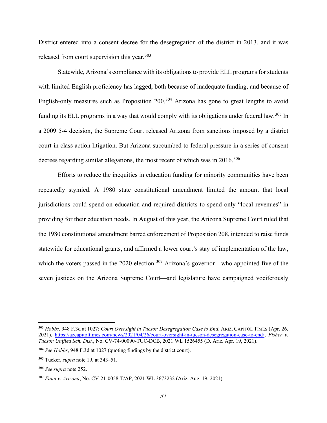District entered into a consent decree for the desegregation of the district in 2013, and it was released from court supervision this year.<sup>303</sup>

Statewide, Arizona's compliance with its obligations to provide ELL programs for students with limited English proficiency has lagged, both because of inadequate funding, and because of English-only measures such as Proposition 200.<sup>304</sup> Arizona has gone to great lengths to avoid funding its ELL programs in a way that would comply with its obligations under federal law.<sup>305</sup> In a 2009 5-4 decision, the Supreme Court released Arizona from sanctions imposed by a district court in class action litigation. But Arizona succumbed to federal pressure in a series of consent decrees regarding similar allegations, the most recent of which was in  $2016$ <sup>306</sup>

Efforts to reduce the inequities in education funding for minority communities have been repeatedly stymied. A 1980 state constitutional amendment limited the amount that local jurisdictions could spend on education and required districts to spend only "local revenues" in providing for their education needs. In August of this year, the Arizona Supreme Court ruled that the 1980 constitutional amendment barred enforcement of Proposition 208, intended to raise funds statewide for educational grants, and affirmed a lower court's stay of implementation of the law, which the voters passed in the 2020 election.<sup>307</sup> Arizona's governor—who appointed five of the seven justices on the Arizona Supreme Court—and legislature have campaigned vociferously

<sup>303</sup> *Hobbs*, 948 F.3d at 1027; *Court Oversight in Tucson Desegregation Case to End*, ARIZ. CAPITOL TIMES (Apr. 26, 2021), https://azcapitoltimes.com/news/2021/04/26/court-oversight-in-tucson-desegregation-case-to-end/; *Fisher v. Tucson Unified Sch. Dist.*, No. CV-74-00090-TUC-DCB, 2021 WL 1526455 (D. Ariz. Apr. 19, 2021).

<sup>304</sup> *See Hobbs*, 948 F.3d at 1027 (quoting findings by the district court).

<sup>305</sup> Tucker, *supra* note 19, at 343–51.

<sup>306</sup> *See supra* note 252.

<sup>307</sup> *Fann v. Arizona*, No. CV-21-0058-T/AP, 2021 WL 3673232 (Ariz. Aug. 19, 2021).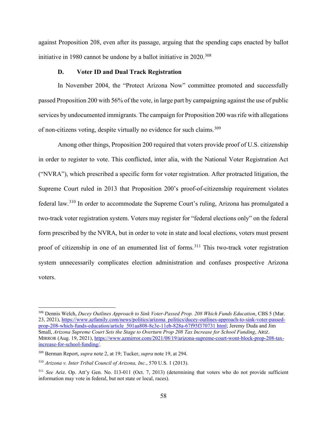against Proposition 208, even after its passage, arguing that the spending caps enacted by ballot initiative in 1980 cannot be undone by a ballot initiative in 2020.<sup>308</sup>

# **D. Voter ID and Dual Track Registration**

In November 2004, the "Protect Arizona Now" committee promoted and successfully passed Proposition 200 with 56% of the vote, in large part by campaigning against the use of public services by undocumented immigrants. The campaign for Proposition 200 was rife with allegations of non-citizens voting, despite virtually no evidence for such claims.<sup>309</sup>

Among other things, Proposition 200 required that voters provide proof of U.S. citizenship in order to register to vote. This conflicted, inter alia, with the National Voter Registration Act ("NVRA"), which prescribed a specific form for voter registration. After protracted litigation, the Supreme Court ruled in 2013 that Proposition 200's proof-of-citizenship requirement violates federal law.<sup>310</sup> In order to accommodate the Supreme Court's ruling, Arizona has promulgated a two-track voter registration system. Voters may register for "federal elections only" on the federal form prescribed by the NVRA, but in order to vote in state and local elections, voters must present proof of citizenship in one of an enumerated list of forms. <sup>311</sup> This two-track voter registration system unnecessarily complicates election administration and confuses prospective Arizona voters.

<sup>308</sup> Dennis Welch, *Ducey Outlines Approach to Sink Voter-Passed Prop. 208 Which Funds Education*, CBS 5 (Mar. 23, 2021), https://www.azfamily.com/news/politics/arizona politics/ducey-outlines-approach-to-sink-voter-passedprop-208-which-funds-education/article 501aa808-8c3e-11eb-828a-67f95f370731 html; Jeremy Duda and Jim Small, *Arizona Supreme Court Sets the Stage to Overturn Prop 208 Tax Increase for School Funding*, ARIZ. MIRROR (Aug. 19, 2021), https://www.azmirror.com/2021/08/19/arizona-supreme-court-wont-block-prop-208-taxincrease-for-school-funding/.

<sup>309</sup> Berman Report, *supra* note 2, at 19; Tucker, *supra* note 19, at 294.

<sup>310</sup> *Arizona v. Inter Tribal Council of Arizona, Inc.*, 570 U.S. 1 (2013).

<sup>311</sup> *See* Ariz. Op. Att'y Gen. No. I13-011 (Oct. 7, 2013) (determining that voters who do not provide sufficient information may vote in federal, but not state or local, races).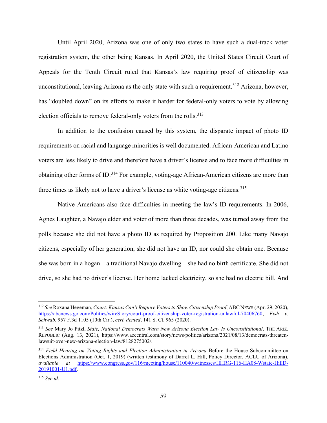Until April 2020, Arizona was one of only two states to have such a dual-track voter registration system, the other being Kansas. In April 2020, the United States Circuit Court of Appeals for the Tenth Circuit ruled that Kansas's law requiring proof of citizenship was unconstitutional, leaving Arizona as the only state with such a requirement.<sup>312</sup> Arizona, however, has "doubled down" on its efforts to make it harder for federal-only voters to vote by allowing election officials to remove federal-only voters from the rolls.<sup>313</sup>

In addition to the confusion caused by this system, the disparate impact of photo ID requirements on racial and language minorities is well documented. African-American and Latino voters are less likely to drive and therefore have a driver's license and to face more difficulties in obtaining other forms of ID.314 For example, voting-age African-American citizens are more than three times as likely not to have a driver's license as white voting-age citizens.<sup>315</sup>

Native Americans also face difficulties in meeting the law's ID requirements. In 2006, Agnes Laughter, a Navajo elder and voter of more than three decades, was turned away from the polls because she did not have a photo ID as required by Proposition 200. Like many Navajo citizens, especially of her generation, she did not have an ID, nor could she obtain one. Because she was born in a hogan—a traditional Navajo dwelling—she had no birth certificate. She did not drive, so she had no driver's license. Her home lacked electricity, so she had no electric bill. And

<sup>312</sup> *See* Roxana Hegeman, *Court: Kansas Can't Require Voters to Show Citizenship Proof*, ABC NEWS (Apr. 29, 2020), https://abcnews.go.com/Politics/wireStory/court-proof-citizenship-voter-registration-unlawful-70406760; *Fish v. Schwab*, 957 F.3d 1105 (10th Cir.), *cert. denied*, 141 S. Ct. 965 (2020).

<sup>313</sup> *See* Mary Jo Pitzl, *State, National Democrats Warn New Arizona Election Law Is Unconstitutional*, THE ARIZ. REPUBLIC (Aug. 13, 2021), https://www.azcentral.com/story/news/politics/arizona/2021/08/13/democrats-threatenlawsuit-over-new-arizona-election-law/8128275002/.

<sup>&</sup>lt;sup>314</sup> Field Hearing on Voting Rights and Election Administration in Arizona Before the House Subcommittee on Elections Administration (Oct. 1, 2019) (written testimony of Darrel L. Hill, Policy Director, ACLU of Arizona), *available at* https://www.congress.gov/116/meeting/house/110040/witnesses/HHRG-116-HA08-Wstate-HillD-20191001-U1.pdf.

<sup>315</sup> *See id.*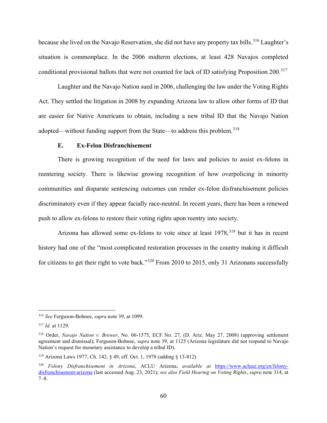because she lived on the Navajo Reservation, she did not have any property tax bills.<sup>316</sup> Laughter's situation is commonplace. In the 2006 midterm elections, at least 428 Navajos completed conditional provisional ballots that were not counted for lack of ID satisfying Proposition 200.<sup>317</sup>

Laughter and the Navajo Nation sued in 2006, challenging the law under the Voting Rights Act. They settled the litigation in 2008 by expanding Arizona law to allow other forms of ID that are easier for Native Americans to obtain, including a new tribal ID that the Navajo Nation adopted—without funding support from the State—to address this problem.<sup>318</sup>

### **E. Ex-Felon Disfranchisement**

There is growing recognition of the need for laws and policies to assist ex-felons in reentering society. There is likewise growing recognition of how overpolicing in minority communities and disparate sentencing outcomes can render ex-felon disfranchisement policies discriminatory even if they appear facially race-neutral. In recent years, there has been a renewed push to allow ex-felons to restore their voting rights upon reentry into society.

Arizona has allowed some ex-felons to vote since at least  $1978$ ,  $319$  but it has in recent history had one of the "most complicated restoration processes in the country making it difficult for citizens to get their right to vote back."320 From 2010 to 2015, only 31 Arizonans successfully

<sup>316</sup> *See* Ferguson-Bohnee, *supra* note 39, at 1099.

<sup>317</sup> *Id.* at 1129.

<sup>318</sup> Order, *Navajo Nation v. Brewer*, No. 06-1575, ECF No. 27, (D. Ariz. May 27, 2008) (approving settlement agreement and dismissal); Ferguson-Bohnee, *supra* note 39, at 1125 (Arizona legislature did not respond to Navajo Nation's request for monetary assistance to develop a tribal ID).

<sup>319</sup> Arizona Laws 1977, Ch. 142, § 49, eff. Oct. 1, 1978 (adding § 13-812)

<sup>320</sup> *Felony Disfranchisement in Arizona*, ACLU Arizona, *available at* https://www.acluaz.org/en/felonydisfranchisement-arizona (last accessed Aug. 23, 2021); *see also Field Hearing on Voting Rights*, *supra* note 314, at 7–8.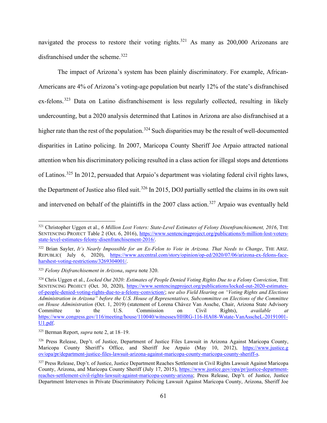navigated the process to restore their voting rights.<sup>321</sup> As many as  $200,000$  Arizonans are disfranchised under the scheme.<sup>322</sup>

The impact of Arizona's system has been plainly discriminatory. For example, African-Americans are 4% of Arizona's voting-age population but nearly 12% of the state's disfranchised ex-felons.<sup>323</sup> Data on Latino disfranchisement is less regularly collected, resulting in likely undercounting, but a 2020 analysis determined that Latinos in Arizona are also disfranchised at a higher rate than the rest of the population.<sup>324</sup> Such disparities may be the result of well-documented disparities in Latino policing. In 2007, Maricopa County Sheriff Joe Arpaio attracted national attention when his discriminatory policing resulted in a class action for illegal stops and detentions of Latinos.325 In 2012, persuaded that Arpaio's department was violating federal civil rights laws, the Department of Justice also filed suit.<sup>326</sup> In 2015, DOJ partially settled the claims in its own suit and intervened on behalf of the plaintiffs in the 2007 class action.<sup>327</sup> Arpaio was eventually held

<sup>&</sup>lt;sup>321</sup> Christopher Uggen et al., *6 Million Lost Voters: State-Level Estimates of Felony Disenfranchisement, 2016*, THE SENTENCING PROJECT Table 2 (Oct. 6, 2016), https://www.sentencingproject.org/publications/6-million-lost-votersstate-level-estimates-felony-disenfranchisement-2016/.

<sup>322</sup> Brian Sayler, *It's Nearly Impossible for an Ex-Felon to Vote in Arizona. That Needs to Change*, THE ARIZ. REPUBLIC( July 6, 2020), https://www.azcentral.com/story/opinion/op-ed/2020/07/06/arizona-ex-felons-faceharshest-voting-restrictions/3269304001/.

<sup>323</sup> *Felony Disfranchisement in Arizona*, *supra* note 320.

<sup>324</sup> Chris Uggen et al., *Locked Out 2020: Estimates of People Denied Voting Rights Due to a Felony Conviction*, THE SENTENCING PROJECT (Oct. 30, 2020), https://www.sentencingproject.org/publications/locked-out-2020-estimatesof-people-denied-voting-rights-due-to-a-felony-conviction/; *see also Field Hearing on "Voting Rights and Elections Administration in Arizona" before the U.S. House of Representatives, Subcommittee on Elections of the Committee on House Administration* (Oct. 1, 2019) (statement of Lorena Chávez Van Assche, Chair, Arizona State Advisory Committee to the U.S. Commission on Civil Rights), *available at* https://www.congress.gov/116/meeting/house/110040/witnesses/HHRG-116-HA08-Wstate-VanAsscheL-20191001- U1.pdf.

<sup>325</sup> Berman Report, *supra* note 2, at 18–19.

<sup>326</sup> Press Release, Dep't. of Justice, Department of Justice Files Lawsuit in Arizona Against Maricopa County, Maricopa County Sheriff's Office, and Sheriff Joe Arpaio (May 10, 2012), https://www.justice.g ov/opa/pr/department-justice-files-lawsuit-arizona-against-maricopa-county-maricopa-county-sheriff-s.

<sup>&</sup>lt;sup>327</sup> Press Release, Dep't. of Justice, Justice Department Reaches Settlement in Civil Rights Lawsuit Against Maricopa County, Arizona, and Maricopa County Sheriff (July 17, 2015), https://www.justice.gov/opa/pr/justice-departmentreaches-settlement-civil-rights-lawsuit-against-maricopa-county-arizona; Press Release, Dep't. of Justice, Justice Department Intervenes in Private Discriminatory Policing Lawsuit Against Maricopa County, Arizona, Sheriff Joe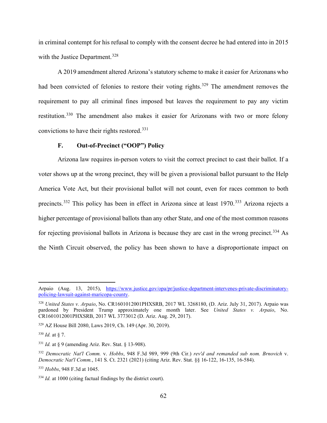in criminal contempt for his refusal to comply with the consent decree he had entered into in 2015 with the Justice Department.<sup>328</sup>

A 2019 amendment altered Arizona's statutory scheme to make it easier for Arizonans who had been convicted of felonies to restore their voting rights.<sup>329</sup> The amendment removes the requirement to pay all criminal fines imposed but leaves the requirement to pay any victim restitution.<sup>330</sup> The amendment also makes it easier for Arizonans with two or more felony convictions to have their rights restored.331

### **F. Out-of-Precinct ("OOP") Policy**

Arizona law requires in-person voters to visit the correct precinct to cast their ballot. If a voter shows up at the wrong precinct, they will be given a provisional ballot pursuant to the Help America Vote Act, but their provisional ballot will not count, even for races common to both precincts.<sup>332</sup> This policy has been in effect in Arizona since at least 1970.<sup>333</sup> Arizona rejects a higher percentage of provisional ballots than any other State, and one of the most common reasons for rejecting provisional ballots in Arizona is because they are cast in the wrong precinct.<sup>334</sup> As the Ninth Circuit observed, the policy has been shown to have a disproportionate impact on

<sup>329</sup> AZ House Bill 2080, Laws 2019, Ch. 149 (Apr. 30, 2019).

<sup>330</sup> *Id.* at § 7.

<sup>331</sup> *Id.* at § 9 (amending Ariz. Rev. Stat. § 13-908).

Arpaio (Aug. 13, 2015), https://www.justice.gov/opa/pr/justice-department-intervenes-private-discriminatorypolicing-lawsuit-against-maricopa-county.

<sup>328</sup> *United States v. Arpaio*, No. CR1601012001PHXSRB, 2017 WL 3268180, (D. Ariz. July 31, 2017). Arpaio was pardoned by President Trump approximately one month later. See *United States v. Arpaio*, No. CR1601012001PHXSRB, 2017 WL 3773012 (D. Ariz. Aug. 29, 2017).

<sup>332</sup> *Democratic Nat'l Comm.* v. *Hobbs*, 948 F.3d 989, 999 (9th Cir.) *rev'd and remanded sub nom. Brnovich* v. *Democratic Nat'l Comm.*, 141 S. Ct. 2321 (2021) (citing Ariz. Rev. Stat. §§ 16-122, 16-135, 16-584).

<sup>333</sup> *Hobbs*, 948 F.3d at 1045.

<sup>334</sup> *Id.* at 1000 (citing factual findings by the district court).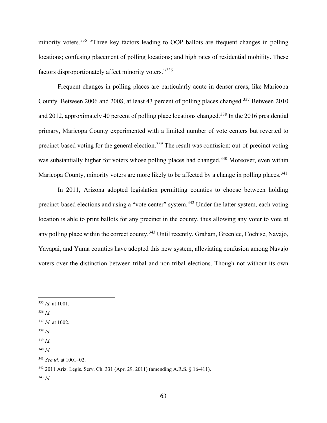minority voters.<sup>335</sup> "Three key factors leading to OOP ballots are frequent changes in polling locations; confusing placement of polling locations; and high rates of residential mobility. These factors disproportionately affect minority voters."<sup>336</sup>

Frequent changes in polling places are particularly acute in denser areas, like Maricopa County. Between 2006 and 2008, at least 43 percent of polling places changed.<sup>337</sup> Between 2010 and 2012, approximately 40 percent of polling place locations changed.<sup>338</sup> In the 2016 presidential primary, Maricopa County experimented with a limited number of vote centers but reverted to precinct-based voting for the general election.<sup>339</sup> The result was confusion: out-of-precinct voting was substantially higher for voters whose polling places had changed.<sup>340</sup> Moreover, even within Maricopa County, minority voters are more likely to be affected by a change in polling places.<sup>341</sup>

In 2011, Arizona adopted legislation permitting counties to choose between holding precinct-based elections and using a "vote center" system.<sup>342</sup> Under the latter system, each voting location is able to print ballots for any precinct in the county, thus allowing any voter to vote at any polling place within the correct county.<sup>343</sup> Until recently, Graham, Greenlee, Cochise, Navajo, Yavapai, and Yuma counties have adopted this new system, alleviating confusion among Navajo voters over the distinction between tribal and non-tribal elections. Though not without its own

<sup>336</sup> *Id.*

- <sup>338</sup> *Id.*
- $339$  *Id.*
- <sup>340</sup> *Id.*

<sup>335</sup> *Id.* at 1001.

<sup>337</sup> *Id.* at 1002.

<sup>341</sup> *See id.* at 1001–02.

<sup>342</sup> 2011 Ariz. Legis. Serv. Ch. 331 (Apr. 29, 2011) (amending A.R.S. § 16-411).

<sup>343</sup> *Id.*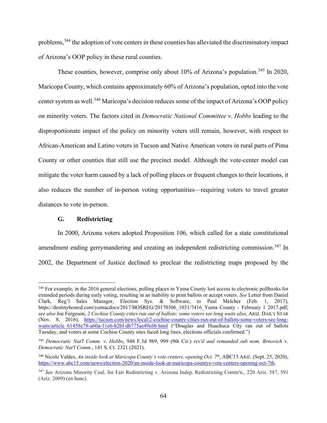problems,<sup>344</sup> the adoption of vote centers in these counties has alleviated the discriminatory impact of Arizona's OOP policy in these rural counties.

These counties, however, comprise only about 10% of Arizona's population.<sup>345</sup> In 2020, Maricopa County, which contains approximately 60% of Arizona's population, opted into the vote center system as well.<sup>346</sup> Maricopa's decision reduces some of the impact of Arizona's OOP policy on minority voters. The factors cited in *Democratic National Committee v. Hobbs* leading to the disproportionate impact of the policy on minority voters still remain, however, with respect to African-American and Latino voters in Tucson and Native American voters in rural parts of Pima County or other counties that still use the precinct model. Although the vote-center model can mitigate the voter harm caused by a lack of polling places or frequent changes to their locations, it also reduces the number of in-person voting opportunities—requiring voters to travel greater distances to vote in-person.

## **G. Redistricting**

In 2000, Arizona voters adopted Proposition 106, which called for a state constitutional amendment ending gerrymandering and creating an independent redistricting commission.<sup>347</sup> In 2002, the Department of Justice declined to preclear the redistricting maps proposed by the

<sup>&</sup>lt;sup>344</sup> For example, in the 2016 general elections, polling places in Yuma County lost access to electronic pollbooks for extended periods during early voting, resulting in an inability to print ballots or accept voters. *See* Letter from Daniel Clark, Reg'l Sales Manager, Election Sys. & Software, to Paul Melcher (Feb. 1, 2017), https://destinyhosted.com/yumacdocs/2017/BOSREG/20170306\_1031/7416\_Yuma County - February 1 2017.pdf; *see also* Joe Fergeson, *2 Cochise County cities run out of ballots; some voters see long waits also*, ARIZ. DAILY STAR (Nov. 8, 2016), https://tucson.com/news/local/2-cochise-county-cities-run-out-of-ballots-some-voters-see-longwaits/article 61458e78-a60a-11e6-b2bf-db775ae49c6b html ("Douglas and Huachuca City ran out of ballots Tuesday, and voters at some Cochise County sites faced long lines, elections officials confirmed.")

<sup>345</sup> *Democratic Nat'l Comm. v*. *Hobbs*, 948 F.3d 989, 999 (9th Cir.) *rev'd and remanded sub nom. Brnovich* v. *Democratic Nat'l Comm.*, 141 S. Ct. 2321 (2021).

<sup>346</sup> Nicole Valdes, *An inside look at Maricopa County's vote centers, opening Oct. 7th*, ABC15 ARIZ. (Sept. 25, 2020), https://www.abc15.com/news/election-2020/an-inside-look-at-maricopa-countys-vote-centers-opening-oct-7th.

<sup>347</sup> *See* Arizona Minority Coal. for Fair Redistricting v. Arizona Indep. Redistricting Comm'n*,*, 220 Ariz. 587, 591 (Ariz. 2009) (en banc).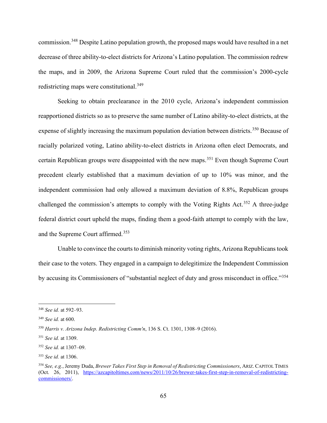commission.<sup>348</sup> Despite Latino population growth, the proposed maps would have resulted in a net decrease of three ability-to-elect districts for Arizona's Latino population. The commission redrew the maps, and in 2009, the Arizona Supreme Court ruled that the commission's 2000-cycle redistricting maps were constitutional.<sup>349</sup>

Seeking to obtain preclearance in the 2010 cycle, Arizona's independent commission reapportioned districts so as to preserve the same number of Latino ability-to-elect districts, at the expense of slightly increasing the maximum population deviation between districts.<sup>350</sup> Because of racially polarized voting, Latino ability-to-elect districts in Arizona often elect Democrats, and certain Republican groups were disappointed with the new maps.<sup>351</sup> Even though Supreme Court precedent clearly established that a maximum deviation of up to 10% was minor, and the independent commission had only allowed a maximum deviation of 8.8%, Republican groups challenged the commission's attempts to comply with the Voting Rights Act.<sup>352</sup> A three-judge federal district court upheld the maps, finding them a good-faith attempt to comply with the law, and the Supreme Court affirmed.<sup>353</sup>

Unable to convince the courts to diminish minority voting rights, Arizona Republicans took their case to the voters. They engaged in a campaign to delegitimize the Independent Commission by accusing its Commissioners of "substantial neglect of duty and gross misconduct in office."354

<sup>348</sup> *See id.* at 592–93.

<sup>349</sup> *See id.* at 600.

<sup>350</sup> *Harris v. Arizona Indep. Redistricting Comm'n*, 136 S. Ct. 1301, 1308–9 (2016).

<sup>351</sup> *See id.* at 1309.

<sup>352</sup> *See id.* at 1307–09.

<sup>353</sup> *See id.* at 1306.

<sup>354</sup> *See, e.g.*, Jeremy Duda, *Brewer Takes First Step in Removal of Redistricting Commissioners*, ARIZ. CAPITOL TIMES (Oct. 26, 2011), https://azcapitoltimes.com/news/2011/10/26/brewer-takes-first-step-in-removal-of-redistrictingcommissioners/.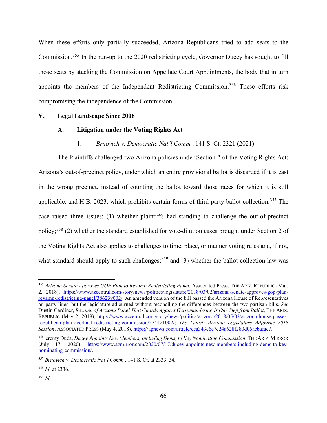When these efforts only partially succeeded, Arizona Republicans tried to add seats to the Commission.<sup>355</sup> In the run-up to the 2020 redistricting cycle, Governor Ducey has sought to fill those seats by stacking the Commission on Appellate Court Appointments, the body that in turn appoints the members of the Independent Redistricting Commission.<sup>356</sup> These efforts risk compromising the independence of the Commission.

#### **V. Legal Landscape Since 2006**

#### **A. Litigation under the Voting Rights Act**

#### 1. *Brnovich v. Democratic Nat'l Comm.*, 141 S. Ct. 2321 (2021)

The Plaintiffs challenged two Arizona policies under Section 2 of the Voting Rights Act: Arizona's out-of-precinct policy, under which an entire provisional ballot is discarded if it is cast in the wrong precinct, instead of counting the ballot toward those races for which it is still applicable, and H.B. 2023, which prohibits certain forms of third-party ballot collection.<sup>357</sup> The case raised three issues: (1) whether plaintiffs had standing to challenge the out-of-precinct policy;<sup>358</sup> (2) whether the standard established for vote-dilution cases brought under Section 2 of the Voting Rights Act also applies to challenges to time, place, or manner voting rules and, if not, what standard should apply to such challenges;  $359$  and (3) whether the ballot-collection law was

<sup>359</sup> *Id.*

<sup>355</sup> *Arizona Senate Approves GOP Plan to Revamp Redistricting Panel*, Associated Press, THE ARIZ. REPUBLIC (Mar. 2, 2018), https://www.azcentral.com/story/news/politics/legislature/2018/03/02/arizona-senate-approves-gop-planrevamp-redistricting-panel/386239002/. An amended version of the bill passed the Arizona House of Representatives on party lines, but the legislature adjourned without reconciling the differences between the two partisan bills. *See* Dustin Gardiner, *Revamp of Arizona Panel That Guards Against Gerrymandering Is One Step from Ballot*, THE ARIZ. REPUBLIC (May 2, 2018), https://www.azcentral.com/story/news/politics/arizona/2018/05/02/arizona-house-passesrepublican-plan-overhaul-redistricting-commission/574421002/; *The Latest: Arizona Legislature Adjourns 2018 Session*, ASSOCIATED PRESS (May 4, 2018), https://apnews.com/article/cea349c6c7c24a628f280d06acbafac7.

<sup>356</sup>Jeremy Duda, *Ducey Appoints New Members, Including Dems, to Key Nominating Commission*, THE ARIZ. MIRROR (July 17, 2020), https://www.azmirror.com/2020/07/17/ducey-appoints-new-members-including-dems-to-keynominating-commission/.

<sup>357</sup> *Brnovich v. Democratic Nat'l Comm.*, 141 S. Ct. at 2333–34.

<sup>358</sup> *Id.* at 2336.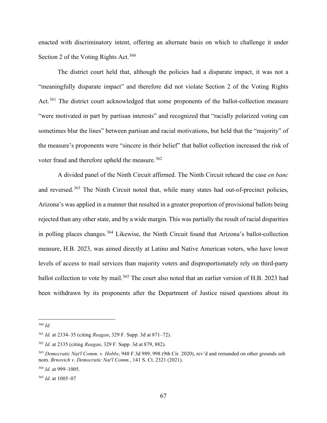enacted with discriminatory intent, offering an alternate basis on which to challenge it under Section 2 of the Voting Rights Act.<sup>360</sup>

The district court held that, although the policies had a disparate impact, it was not a "meaningfully disparate impact" and therefore did not violate Section 2 of the Voting Rights Act.<sup>361</sup> The district court acknowledged that some proponents of the ballot-collection measure "were motivated in part by partisan interests" and recognized that "racially polarized voting can sometimes blur the lines" between partisan and racial motivations, but held that the "majority" of the measure's proponents were "sincere in their belief" that ballot collection increased the risk of voter fraud and therefore upheld the measure.<sup>362</sup>

A divided panel of the Ninth Circuit affirmed. The Ninth Circuit reheard the case *en banc* and reversed.<sup>363</sup> The Ninth Circuit noted that, while many states had out-of-precinct policies, Arizona's was applied in a manner that resulted in a greater proportion of provisional ballots being rejected than any other state, and by a wide margin. This was partially the result of racial disparities in polling places changes.<sup>364</sup> Likewise, the Ninth Circuit found that Arizona's ballot-collection measure, H.B. 2023, was aimed directly at Latino and Native American voters, who have lower levels of access to mail services than majority voters and disproportionately rely on third-party ballot collection to vote by mail.<sup>365</sup> The court also noted that an earlier version of H.B. 2023 had been withdrawn by its proponents after the Department of Justice raised questions about its

<sup>360</sup> *Id.*

<sup>361</sup> *Id.* at 2334–35 (citing *Reagan*, 329 F. Supp. 3d at 871–72).

<sup>362</sup> *Id.* at 2335 (citing *Reagan*, 329 F. Supp. 3d at 879, 882).

<sup>363</sup> *Democratic Nat'l Comm. v. Hobbs*, 948 F.3d 989, 998 (9th Cir. 2020), rev'd and remanded on other grounds sub nom. *Brnovich v. Democratic Nat'l Comm.*, 141 S. Ct. 2321 (2021).

<sup>364</sup> *Id.* at 999–1005.

<sup>365</sup> *Id.* at 1005–07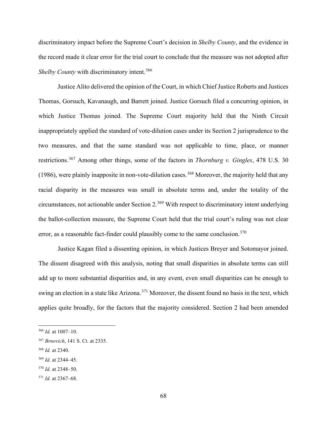discriminatory impact before the Supreme Court's decision in *Shelby County*, and the evidence in the record made it clear error for the trial court to conclude that the measure was not adopted after *Shelby County* with discriminatory intent.<sup>366</sup>

Justice Alito delivered the opinion of the Court, in which Chief Justice Roberts and Justices Thomas, Gorsuch, Kavanaugh, and Barrett joined. Justice Gorsuch filed a concurring opinion, in which Justice Thomas joined. The Supreme Court majority held that the Ninth Circuit inappropriately applied the standard of vote-dilution cases under its Section 2 jurisprudence to the two measures, and that the same standard was not applicable to time, place, or manner restrictions.<sup>367</sup> Among other things, some of the factors in *Thornburg v. Gingles*, 478 U.S. 30 (1986), were plainly inapposite in non-vote-dilution cases.<sup>368</sup> Moreover, the majority held that any racial disparity in the measures was small in absolute terms and, under the totality of the circumstances, not actionable under Section 2.<sup>369</sup> With respect to discriminatory intent underlying the ballot-collection measure, the Supreme Court held that the trial court's ruling was not clear error, as a reasonable fact-finder could plausibly come to the same conclusion. $370$ 

Justice Kagan filed a dissenting opinion, in which Justices Breyer and Sotomayor joined. The dissent disagreed with this analysis, noting that small disparities in absolute terms can still add up to more substantial disparities and, in any event, even small disparities can be enough to swing an election in a state like Arizona.<sup>371</sup> Moreover, the dissent found no basis in the text, which applies quite broadly, for the factors that the majority considered. Section 2 had been amended

<sup>366</sup> *Id.* at 1007–10.

<sup>367</sup> *Brnovich*, 141 S. Ct. at 2335.

<sup>368</sup> *Id.* at 2340.

<sup>369</sup> *Id.* at 2344–45.

<sup>370</sup> *Id.* at 2348–50.

<sup>371</sup> *Id.* at 2367–68.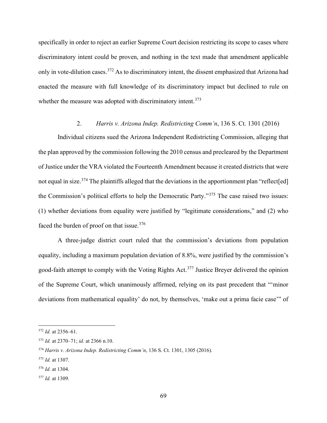specifically in order to reject an earlier Supreme Court decision restricting its scope to cases where discriminatory intent could be proven, and nothing in the text made that amendment applicable only in vote-dilution cases.<sup>372</sup> As to discriminatory intent, the dissent emphasized that Arizona had enacted the measure with full knowledge of its discriminatory impact but declined to rule on whether the measure was adopted with discriminatory intent.<sup>373</sup>

#### 2. *Harris v. Arizona Indep. Redistricting Comm'n*, 136 S. Ct. 1301 (2016)

Individual citizens sued the Arizona Independent Redistricting Commission, alleging that the plan approved by the commission following the 2010 census and precleared by the Department of Justice under the VRA violated the Fourteenth Amendment because it created districts that were not equal in size.<sup>374</sup> The plaintiffs alleged that the deviations in the apportionment plan "reflect[ed] the Commission's political efforts to help the Democratic Party."<sup>375</sup> The case raised two issues: (1) whether deviations from equality were justified by "legitimate considerations," and (2) who faced the burden of proof on that issue.<sup>376</sup>

A three-judge district court ruled that the commission's deviations from population equality, including a maximum population deviation of 8.8%, were justified by the commission's good-faith attempt to comply with the Voting Rights Act.<sup>377</sup> Justice Breyer delivered the opinion of the Supreme Court, which unanimously affirmed, relying on its past precedent that "'minor deviations from mathematical equality' do not, by themselves, 'make out a prima facie case'" of

<sup>372</sup> *Id.* at 2356–61.

<sup>373</sup> *Id.* at 2370–71; *id.* at 2366 n.10.

<sup>374</sup> *Harris v. Arizona Indep. Redistricting Comm'n*, 136 S. Ct. 1301, 1305 (2016).

<sup>375</sup> *Id.* at 1307.

<sup>376</sup> *Id.* at 1304.

<sup>377</sup> *Id.* at 1309.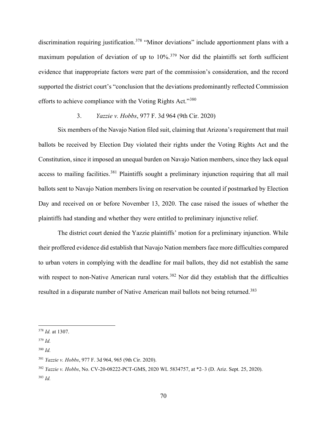discrimination requiring justification.<sup>378</sup> "Minor deviations" include apportionment plans with a maximum population of deviation of up to  $10\%$ <sup>379</sup> Nor did the plaintiffs set forth sufficient evidence that inappropriate factors were part of the commission's consideration, and the record supported the district court's "conclusion that the deviations predominantly reflected Commission efforts to achieve compliance with the Voting Rights Act."<sup>380</sup>

### 3. *Yazzie v. Hobbs*, 977 F. 3d 964 (9th Cir. 2020)

Six members of the Navajo Nation filed suit, claiming that Arizona's requirement that mail ballots be received by Election Day violated their rights under the Voting Rights Act and the Constitution, since it imposed an unequal burden on Navajo Nation members, since they lack equal access to mailing facilities.<sup>381</sup> Plaintiffs sought a preliminary injunction requiring that all mail ballots sent to Navajo Nation members living on reservation be counted if postmarked by Election Day and received on or before November 13, 2020. The case raised the issues of whether the plaintiffs had standing and whether they were entitled to preliminary injunctive relief.

The district court denied the Yazzie plaintiffs' motion for a preliminary injunction. While their proffered evidence did establish that Navajo Nation members face more difficulties compared to urban voters in complying with the deadline for mail ballots, they did not establish the same with respect to non-Native American rural voters.<sup>382</sup> Nor did they establish that the difficulties resulted in a disparate number of Native American mail ballots not being returned.<sup>383</sup>

<sup>378</sup> *Id.* at 1307.

<sup>379</sup> *Id.*

<sup>380</sup> *Id.*

<sup>381</sup> *Yazzie v. Hobbs*, 977 F. 3d 964, 965 (9th Cir. 2020).

<sup>382</sup> *Yazzie v. Hobbs*, No. CV-20-08222-PCT-GMS, 2020 WL 5834757, at \*2–3 (D. Ariz. Sept. 25, 2020). <sup>383</sup> *Id.*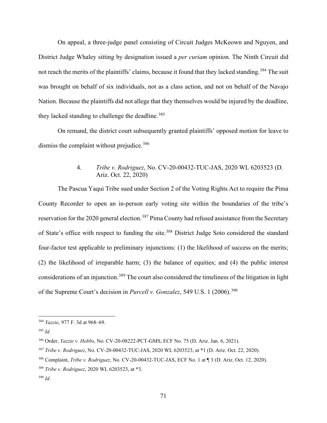On appeal, a three-judge panel consisting of Circuit Judges McKeown and Nguyen, and District Judge Whaley sitting by designation issued a *per curiam* opinion. The Ninth Circuit did not reach the merits of the plaintiffs' claims, because it found that they lacked standing.<sup>384</sup> The suit was brought on behalf of six individuals, not as a class action, and not on behalf of the Navajo Nation. Because the plaintiffs did not allege that they themselves would be injured by the deadline, they lacked standing to challenge the deadline.<sup>385</sup>

On remand, the district court subsequently granted plaintiffs' opposed motion for leave to dismiss the complaint without prejudice.<sup>386</sup>

### 4. *Tribe v. Rodriguez*, No. CV-20-00432-TUC-JAS, 2020 WL 6203523 (D. Ariz. Oct. 22, 2020)

The Pascua Yaqui Tribe sued under Section 2 of the Voting Rights Act to require the Pima County Recorder to open an in-person early voting site within the boundaries of the tribe's reservation for the 2020 general election.<sup>387</sup> Pima County had refused assistance from the Secretary of State's office with respect to funding the site.<sup>388</sup> District Judge Soto considered the standard four-factor test applicable to preliminary injunctions: (1) the likelihood of success on the merits; (2) the likelihood of irreparable harm; (3) the balance of equities; and (4) the public interest considerations of an injunction.<sup>389</sup> The court also considered the timeliness of the litigation in light of the Supreme Court's decision in *Purcell v. Gonzalez*, 549 U.S. 1 (2006).<sup>390</sup>

<sup>384</sup> *Yazzie*, 977 F. 3d at 968–69.

<sup>385</sup> *Id.*

<sup>386</sup> Order, *Yazzie v. Hobbs*, No. CV-20-08222-PCT-GMS, ECF No. 75 (D. Ariz. Jan. 6, 2021).

<sup>387</sup> *Tribe v. Rodriguez*, No. CV-20-00432-TUC-JAS, 2020 WL 6203523, at \*1 (D. Ariz. Oct. 22, 2020).

<sup>388</sup> Complaint, *Tribe v. Rodriguez*, No. CV-20-00432-TUC-JAS, ECF No. 1 at ¶ 3 (D. Ariz. Oct. 12, 2020).

<sup>389</sup> *Tribe v. Rodriguez*, 2020 WL 6203523, at \*3.

<sup>390</sup> *Id.*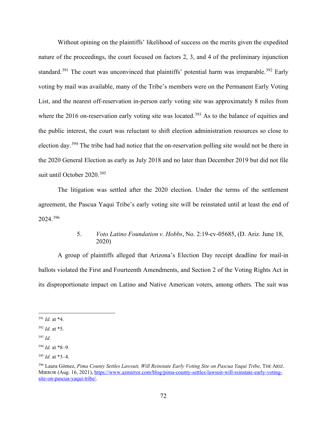Without opining on the plaintiffs' likelihood of success on the merits given the expedited nature of the proceedings, the court focused on factors 2, 3, and 4 of the preliminary injunction standard.<sup>391</sup> The court was unconvinced that plaintiffs' potential harm was irreparable.<sup>392</sup> Early voting by mail was available, many of the Tribe's members were on the Permanent Early Voting List, and the nearest off-reservation in-person early voting site was approximately 8 miles from where the 2016 on-reservation early voting site was located.<sup>393</sup> As to the balance of equities and the public interest, the court was reluctant to shift election administration resources so close to election day.<sup>394</sup> The tribe had had notice that the on-reservation polling site would not be there in the 2020 General Election as early as July 2018 and no later than December 2019 but did not file suit until October 2020.<sup>395</sup>

The litigation was settled after the 2020 election. Under the terms of the settlement agreement, the Pascua Yaqui Tribe's early voting site will be reinstated until at least the end of 2024.<sup>396</sup>

# 5. *Voto Latino Foundation v. Hobbs*, No. 2:19-cv-05685, (D. Ariz. June 18, 2020)

A group of plaintiffs alleged that Arizona's Election Day receipt deadline for mail-in ballots violated the First and Fourteenth Amendments, and Section 2 of the Voting Rights Act in its disproportionate impact on Latino and Native American voters, among others. The suit was

<sup>391</sup> *Id.* at \*4.

<sup>392</sup> *Id.* at \*5.

<sup>393</sup> *Id.*

<sup>394</sup> *Id.* at \*8–9.

<sup>395</sup> *Id.* at \*3–4.

<sup>396</sup> Laura Gómez, *Pima County Settles Lawsuit, Will Reinstate Early Voting Site on Pascua Yaqui Tribe*, THE ARIZ. MIRROR (Aug. 16, 2021), https://www.azmirror.com/blog/pima-county-settles-lawsuit-will-reinstate-early-votingsite-on-pascua-yaqui-tribe/.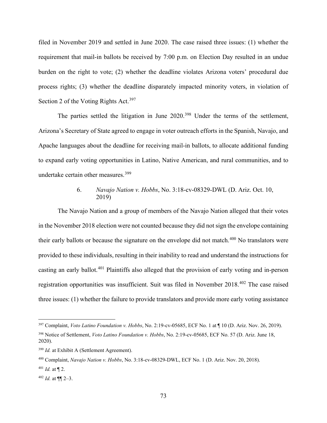filed in November 2019 and settled in June 2020. The case raised three issues: (1) whether the requirement that mail-in ballots be received by 7:00 p.m. on Election Day resulted in an undue burden on the right to vote; (2) whether the deadline violates Arizona voters' procedural due process rights; (3) whether the deadline disparately impacted minority voters, in violation of Section 2 of the Voting Rights Act.<sup>397</sup>

The parties settled the litigation in June 2020.<sup>398</sup> Under the terms of the settlement, Arizona's Secretary of State agreed to engage in voter outreach efforts in the Spanish, Navajo, and Apache languages about the deadline for receiving mail-in ballots, to allocate additional funding to expand early voting opportunities in Latino, Native American, and rural communities, and to undertake certain other measures.<sup>399</sup>

### 6. *Navajo Nation v. Hobbs*, No. 3:18-cv-08329-DWL (D. Ariz. Oct. 10, 2019)

The Navajo Nation and a group of members of the Navajo Nation alleged that their votes in the November 2018 election were not counted because they did not sign the envelope containing their early ballots or because the signature on the envelope did not match.<sup>400</sup> No translators were provided to these individuals, resulting in their inability to read and understand the instructions for casting an early ballot.<sup>401</sup> Plaintiffs also alleged that the provision of early voting and in-person registration opportunities was insufficient. Suit was filed in November 2018.<sup>402</sup> The case raised three issues: (1) whether the failure to provide translators and provide more early voting assistance

<sup>397</sup> Complaint, *Voto Latino Foundation v. Hobbs*, No. 2:19-cv-05685, ECF No. 1 at ¶ 10 (D. Ariz. Nov. 26, 2019). <sup>398</sup> Notice of Settlement, *Voto Latino Foundation v. Hobbs*, No. 2:19-cv-05685, ECF No. 57 (D. Ariz. June 18, 2020).

<sup>399</sup> *Id.* at Exhibit A (Settlement Agreement).

<sup>400</sup> Complaint, *Navajo Nation v. Hobbs*, No. 3:18-cv-08329-DWL, ECF No. 1 (D. Ariz. Nov. 20, 2018).

 $401$  *Id.* at  $\P$  2.

 $402$  *Id.* at  $\P\P$  2–3.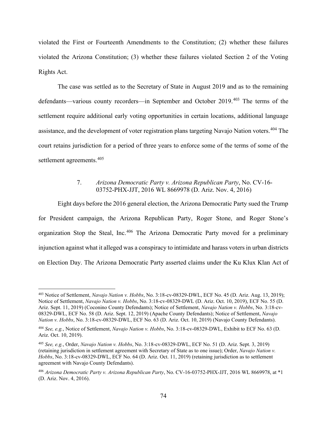violated the First or Fourteenth Amendments to the Constitution; (2) whether these failures violated the Arizona Constitution; (3) whether these failures violated Section 2 of the Voting Rights Act.

The case was settled as to the Secretary of State in August 2019 and as to the remaining defendants—various county recorders—in September and October 2019.<sup>403</sup> The terms of the settlement require additional early voting opportunities in certain locations, additional language assistance, and the development of voter registration plans targeting Navajo Nation voters.<sup>404</sup> The court retains jurisdiction for a period of three years to enforce some of the terms of some of the settlement agreements.<sup>405</sup>

### 7. *Arizona Democratic Party v. Arizona Republican Party*, No. CV-16- 03752-PHX-JJT, 2016 WL 8669978 (D. Ariz. Nov. 4, 2016)

Eight days before the 2016 general election, the Arizona Democratic Party sued the Trump for President campaign, the Arizona Republican Party, Roger Stone, and Roger Stone's organization Stop the Steal, Inc.<sup>406</sup> The Arizona Democratic Party moved for a preliminary injunction against what it alleged was a conspiracy to intimidate and harass voters in urban districts on Election Day. The Arizona Democratic Party asserted claims under the Ku Klux Klan Act of

<sup>403</sup> Notice of Settlement, *Navajo Nation v. Hobbs*, No. 3:18-cv-08329-DWL, ECF No. 45 (D. Ariz. Aug. 13, 2019); Notice of Settlement, *Navajo Nation v. Hobbs*, No. 3:18-cv-08329-DWL (D. Ariz. Oct. 10, 2019), ECF No. 55 (D. Ariz. Sept. 11, 2019) (Coconino County Defendants); Notice of Settlement, *Navajo Nation v. Hobbs*, No. 3:18-cv-08329-DWL, ECF No. 58 (D. Ariz. Sept. 12, 2019) (Apache County Defendants); Notice of Settlement, *Navajo Nation v. Hobbs*, No. 3:18-cv-08329-DWL, ECF No. 63 (D. Ariz. Oct. 10, 2019) (Navajo County Defendants).

<sup>404</sup> *See, e.g.*, Notice of Settlement, *Navajo Nation v. Hobbs*, No. 3:18-cv-08329-DWL, Exhibit to ECF No. 63 (D. Ariz. Oct. 10, 2019).

<sup>405</sup> *See, e.g.*, Order, *Navajo Nation v. Hobbs*, No. 3:18-cv-08329-DWL, ECF No. 51 (D. Ariz. Sept. 3, 2019) (retaining jurisdiction in settlement agreement with Secretary of State as to one issue); Order, *Navajo Nation v. Hobbs*, No. 3:18-cv-08329-DWL, ECF No. 64 (D. Ariz. Oct. 11, 2019) (retaining jurisdiction as to settlement agreement with Navajo County Defendants).

<sup>406</sup> *Arizona Democratic Party v. Arizona Republican Party*, No. CV-16-03752-PHX-JJT, 2016 WL 8669978, at \*1 (D. Ariz. Nov. 4, 2016).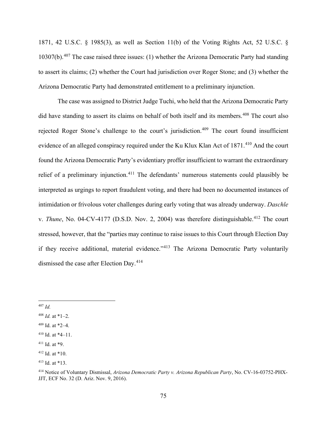1871, 42 U.S.C. § 1985(3), as well as Section 11(b) of the Voting Rights Act, 52 U.S.C. § 10307(b).<sup>407</sup> The case raised three issues: (1) whether the Arizona Democratic Party had standing to assert its claims; (2) whether the Court had jurisdiction over Roger Stone; and (3) whether the Arizona Democratic Party had demonstrated entitlement to a preliminary injunction.

The case was assigned to District Judge Tuchi, who held that the Arizona Democratic Party did have standing to assert its claims on behalf of both itself and its members.<sup>408</sup> The court also rejected Roger Stone's challenge to the court's jurisdiction.<sup>409</sup> The court found insufficient evidence of an alleged conspiracy required under the Ku Klux Klan Act of 1871.<sup>410</sup> And the court found the Arizona Democratic Party's evidentiary proffer insufficient to warrant the extraordinary relief of a preliminary injunction.<sup>411</sup> The defendants' numerous statements could plausibly be interpreted as urgings to report fraudulent voting, and there had been no documented instances of intimidation or frivolous voter challenges during early voting that was already underway. *Daschle* v. *Thune*, No. 04-CV-4177 (D.S.D. Nov. 2, 2004) was therefore distinguishable.<sup>412</sup> The court stressed, however, that the "parties may continue to raise issues to this Court through Election Day if they receive additional, material evidence."<sup>413</sup> The Arizona Democratic Party voluntarily dismissed the case after Election Day.<sup>414</sup>

<sup>407</sup> *Id.*

 $408$  *Id.* at \*1–2.

<sup>409</sup> Id. at \*2–4.

 $410$  Id. at  $*4-11$ .

 $411$  Id. at  $*9$ .

 $412$  Id. at  $*10$ .

<sup>413</sup> Id. at \*13.

<sup>414</sup> Notice of Voluntary Dismissal, *Arizona Democratic Party v. Arizona Republican Party*, No. CV-16-03752-PHX-JJT, ECF No. 32 (D. Ariz. Nov. 9, 2016).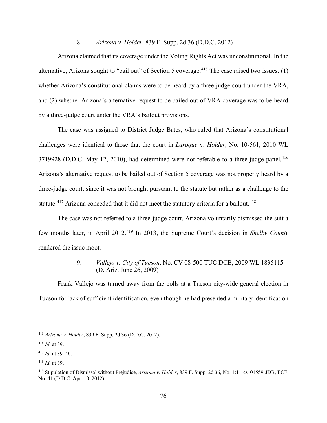### 8. *Arizona v. Holder*, 839 F. Supp. 2d 36 (D.D.C. 2012)

Arizona claimed that its coverage under the Voting Rights Act was unconstitutional. In the alternative, Arizona sought to "bail out" of Section 5 coverage.<sup>415</sup> The case raised two issues: (1) whether Arizona's constitutional claims were to be heard by a three-judge court under the VRA, and (2) whether Arizona's alternative request to be bailed out of VRA coverage was to be heard by a three-judge court under the VRA's bailout provisions.

The case was assigned to District Judge Bates, who ruled that Arizona's constitutional challenges were identical to those that the court in *Laroque* v. *Holder*, No. 10-561, 2010 WL 3719928 (D.D.C. May 12, 2010), had determined were not referable to a three-judge panel.<sup>416</sup> Arizona's alternative request to be bailed out of Section 5 coverage was not properly heard by a three-judge court, since it was not brought pursuant to the statute but rather as a challenge to the statute.<sup>417</sup> Arizona conceded that it did not meet the statutory criteria for a bailout.<sup>418</sup>

The case was not referred to a three-judge court. Arizona voluntarily dismissed the suit a few months later, in April 2012.<sup>419</sup> In 2013, the Supreme Court's decision in *Shelby County* rendered the issue moot.

# 9. *Vallejo v. City of Tucson*, No. CV 08-500 TUC DCB, 2009 WL 1835115 (D. Ariz. June 26, 2009)

Frank Vallejo was turned away from the polls at a Tucson city-wide general election in Tucson for lack of sufficient identification, even though he had presented a military identification

<sup>415</sup> *Arizona v. Holder*, 839 F. Supp. 2d 36 (D.D.C. 2012).

<sup>416</sup> *Id.* at 39.

<sup>417</sup> *Id.* at 39–40.

<sup>418</sup> *Id.* at 39.

<sup>419</sup> Stipulation of Dismissal without Prejudice, *Arizona v. Holder*, 839 F. Supp. 2d 36, No. 1:11-cv-01559-JDB, ECF No. 41 (D.D.C. Apr. 10, 2012).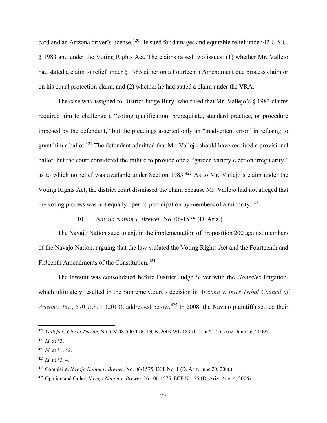card and an Arizona driver's license.<sup>420</sup> He sued for damages and equitable relief under 42 U.S.C. § 1983 and under the Voting Rights Act. The claims raised two issues: (1) whether Mr. Vallejo had stated a claim to relief under § 1983 either on a Fourteenth Amendment due process claim or on his equal protection claim, and (2) whether he had stated a claim under the VRA.

The case was assigned to District Judge Bury, who ruled that Mr. Vallejo's § 1983 claims required him to challenge a "voting qualification, prerequisite, standard practice, or procedure imposed by the defendant," but the pleadings asserted only an "inadvertent error" in refusing to grant him a ballot.<sup>421</sup> The defendant admitted that Mr. Vallejo should have received a provisional ballot, but the court considered the failure to provide one a "garden variety election irregularity," as to which no relief was available under Section 1983.<sup>422</sup> As to Mr. Vallejo's claim under the Voting Rights Act, the district court dismissed the claim because Mr. Vallejo had not alleged that the voting process was not equally open to participation by members of a minority.<sup>423</sup>

## 10. *Navajo Nation v. Brewer*, No. 06-1575 (D. Ariz.)

The Navajo Nation sued to enjoin the implementation of Proposition 200 against members of the Navajo Nation, arguing that the law violated the Voting Rights Act and the Fourteenth and Fifteenth Amendments of the Constitution.<sup>424</sup>

The lawsuit was consolidated before District Judge Silver with the *Gonzalez* litigation, which ultimately resulted in the Supreme Court's decision in *Arizona v. Inter Tribal Council of*  Arizona, Inc., 570 U.S. 1 (2013), addressed below.<sup>425</sup> In 2008, the Navajo plaintiffs settled their

<sup>420</sup> *Vallejo v. City of Tucson*, No. CV 08-500 TUC DCB, 2009 WL 1835115, at \*1 (D. Ariz. June 26, 2009).

<sup>421</sup> *Id.* at \*3.

 $422$  *Id.* at \*1, \*2.

 $423$  *Id.* at  $*3-4$ .

<sup>424</sup> Complaint, *Navajo Nation v. Brewer*, No. 06-1575, ECF No. 1 (D. Ariz. June 20, 2006).

<sup>425</sup> Opinion and Order, *Navajo Nation v. Brewer*, No. 06-1575, ECF No. 25 (D. Ariz. Aug. 4, 2006).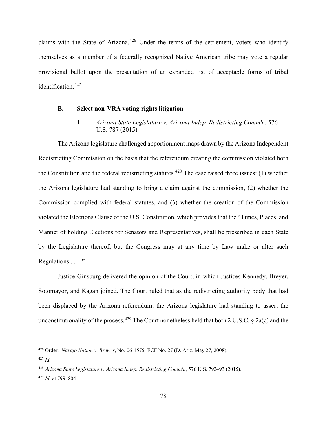claims with the State of Arizona.<sup>426</sup> Under the terms of the settlement, voters who identify themselves as a member of a federally recognized Native American tribe may vote a regular provisional ballot upon the presentation of an expanded list of acceptable forms of tribal identification.<sup>427</sup>

#### **B. Select non-VRA voting rights litigation**

1. *Arizona State Legislature v. Arizona Indep. Redistricting Comm'n*, 576 U.S. 787 (2015)

The Arizona legislature challenged apportionment maps drawn by the Arizona Independent Redistricting Commission on the basis that the referendum creating the commission violated both the Constitution and the federal redistricting statutes.<sup>428</sup> The case raised three issues: (1) whether the Arizona legislature had standing to bring a claim against the commission, (2) whether the Commission complied with federal statutes, and (3) whether the creation of the Commission violated the Elections Clause of the U.S. Constitution, which provides that the "Times, Places, and Manner of holding Elections for Senators and Representatives, shall be prescribed in each State by the Legislature thereof; but the Congress may at any time by Law make or alter such Regulations . . . ."

Justice Ginsburg delivered the opinion of the Court, in which Justices Kennedy, Breyer, Sotomayor, and Kagan joined. The Court ruled that as the redistricting authority body that had been displaced by the Arizona referendum, the Arizona legislature had standing to assert the unconstitutionality of the process.<sup>429</sup> The Court nonetheless held that both 2 U.S.C. § 2a(c) and the

<sup>426</sup> Order, *Navajo Nation v. Brewer*, No. 06-1575, ECF No. 27 (D. Ariz. May 27, 2008).

<sup>427</sup> *Id.*

<sup>428</sup> *Arizona State Legislature v. Arizona Indep. Redistricting Comm'n*, 576 U.S. 792–93 (2015). <sup>429</sup> *Id.* at 799–804.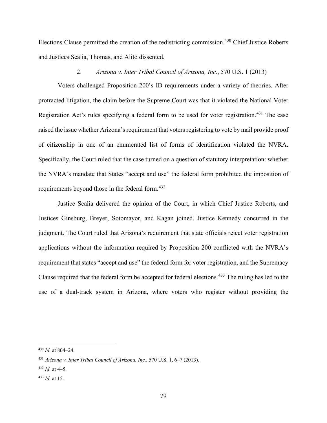Elections Clause permitted the creation of the redistricting commission.<sup>430</sup> Chief Justice Roberts and Justices Scalia, Thomas, and Alito dissented.

### 2. *Arizona v. Inter Tribal Council of Arizona, Inc.*, 570 U.S. 1 (2013)

Voters challenged Proposition 200's ID requirements under a variety of theories. After protracted litigation, the claim before the Supreme Court was that it violated the National Voter Registration Act's rules specifying a federal form to be used for voter registration.<sup>431</sup> The case raised the issue whether Arizona's requirement that voters registering to vote by mail provide proof of citizenship in one of an enumerated list of forms of identification violated the NVRA. Specifically, the Court ruled that the case turned on a question of statutory interpretation: whether the NVRA's mandate that States "accept and use" the federal form prohibited the imposition of requirements beyond those in the federal form.<sup>432</sup>

Justice Scalia delivered the opinion of the Court, in which Chief Justice Roberts, and Justices Ginsburg, Breyer, Sotomayor, and Kagan joined. Justice Kennedy concurred in the judgment. The Court ruled that Arizona's requirement that state officials reject voter registration applications without the information required by Proposition 200 conflicted with the NVRA's requirement that states "accept and use" the federal form for voter registration, and the Supremacy Clause required that the federal form be accepted for federal elections.<sup>433</sup> The ruling has led to the use of a dual-track system in Arizona, where voters who register without providing the

<sup>430</sup> *Id.* at 804–24.

<sup>431</sup> *Arizona v. Inter Tribal Council of Arizona, Inc.*, 570 U.S. 1, 6–7 (2013).

 $432$  *Id.* at 4–5.

<sup>433</sup> *Id.* at 15.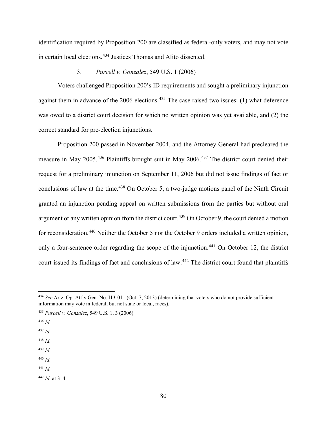identification required by Proposition 200 are classified as federal-only voters, and may not vote in certain local elections.<sup>434</sup> Justices Thomas and Alito dissented.

### 3. *Purcell v. Gonzalez*, 549 U.S. 1 (2006)

Voters challenged Proposition 200's ID requirements and sought a preliminary injunction against them in advance of the  $2006$  elections.<sup>435</sup> The case raised two issues: (1) what deference was owed to a district court decision for which no written opinion was yet available, and (2) the correct standard for pre-election injunctions.

Proposition 200 passed in November 2004, and the Attorney General had precleared the measure in May 2005.<sup>436</sup> Plaintiffs brought suit in May 2006.<sup>437</sup> The district court denied their request for a preliminary injunction on September 11, 2006 but did not issue findings of fact or conclusions of law at the time.<sup>438</sup> On October 5, a two-judge motions panel of the Ninth Circuit granted an injunction pending appeal on written submissions from the parties but without oral argument or any written opinion from the district court.<sup>439</sup> On October 9, the court denied a motion for reconsideration.<sup>440</sup> Neither the October 5 nor the October 9 orders included a written opinion, only a four-sentence order regarding the scope of the injunction.<sup>441</sup> On October 12, the district court issued its findings of fact and conclusions of law.<sup>442</sup> The district court found that plaintiffs

- <sup>436</sup> *Id.*
- <sup>437</sup> *Id.*
- <sup>438</sup> *Id.*
- <sup>439</sup> *Id.*
- <sup>440</sup> *Id.*
- <sup>441</sup> *Id.*

<sup>434</sup> *See* Ariz. Op. Att'y Gen. No. I13-011 (Oct. 7, 2013) (determining that voters who do not provide sufficient information may vote in federal, but not state or local, races).

<sup>435</sup> *Purcell v. Gonzalez*, 549 U.S. 1, 3 (2006)

<sup>442</sup> *Id.* at 3–4.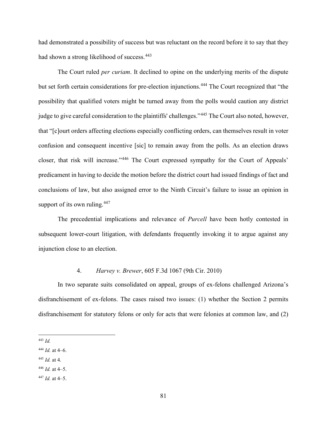had demonstrated a possibility of success but was reluctant on the record before it to say that they had shown a strong likelihood of success.<sup>443</sup>

The Court ruled *per curiam*. It declined to opine on the underlying merits of the dispute but set forth certain considerations for pre-election injunctions.<sup>444</sup> The Court recognized that "the possibility that qualified voters might be turned away from the polls would caution any district judge to give careful consideration to the plaintiffs' challenges."<sup>445</sup> The Court also noted, however, that "[c]ourt orders affecting elections especially conflicting orders, can themselves result in voter confusion and consequent incentive [sic] to remain away from the polls. As an election draws closer, that risk will increase."<sup>446</sup> The Court expressed sympathy for the Court of Appeals' predicament in having to decide the motion before the district court had issued findings of fact and conclusions of law, but also assigned error to the Ninth Circuit's failure to issue an opinion in support of its own ruling. $447$ 

The precedential implications and relevance of *Purcell* have been hotly contested in subsequent lower-court litigation, with defendants frequently invoking it to argue against any injunction close to an election.

### 4. *Harvey v. Brewer*, 605 F.3d 1067 (9th Cir. 2010)

In two separate suits consolidated on appeal, groups of ex-felons challenged Arizona's disfranchisement of ex-felons. The cases raised two issues: (1) whether the Section 2 permits disfranchisement for statutory felons or only for acts that were felonies at common law, and (2)

- <sup>445</sup> *Id.* at 4.
- $446$  *Id.* at 4–5.
- $447$  *Id.* at 4–5.

<sup>443</sup> *Id.*

<sup>444</sup> *Id.* at 4–6.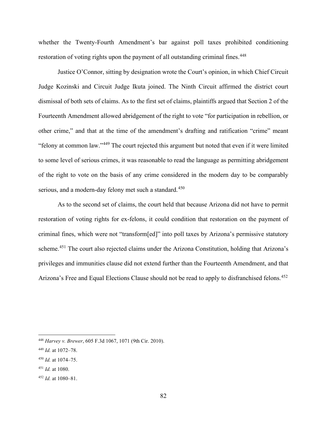whether the Twenty-Fourth Amendment's bar against poll taxes prohibited conditioning restoration of voting rights upon the payment of all outstanding criminal fines.<sup>448</sup>

Justice O'Connor, sitting by designation wrote the Court's opinion, in which Chief Circuit Judge Kozinski and Circuit Judge Ikuta joined. The Ninth Circuit affirmed the district court dismissal of both sets of claims. As to the first set of claims, plaintiffs argued that Section 2 of the Fourteenth Amendment allowed abridgement of the right to vote "for participation in rebellion, or other crime," and that at the time of the amendment's drafting and ratification "crime" meant "felony at common law."<sup>449</sup> The court rejected this argument but noted that even if it were limited to some level of serious crimes, it was reasonable to read the language as permitting abridgement of the right to vote on the basis of any crime considered in the modern day to be comparably serious, and a modern-day felony met such a standard.<sup>450</sup>

As to the second set of claims, the court held that because Arizona did not have to permit restoration of voting rights for ex-felons, it could condition that restoration on the payment of criminal fines, which were not "transform[ed]" into poll taxes by Arizona's permissive statutory scheme.<sup>451</sup> The court also rejected claims under the Arizona Constitution, holding that Arizona's privileges and immunities clause did not extend further than the Fourteenth Amendment, and that Arizona's Free and Equal Elections Clause should not be read to apply to disfranchised felons.<sup>452</sup>

<sup>448</sup> *Harvey v. Brewer*, 605 F.3d 1067, 1071 (9th Cir. 2010).

<sup>449</sup> *Id.* at 1072–78.

<sup>450</sup> *Id.* at 1074–75.

<sup>451</sup> *Id.* at 1080.

<sup>452</sup> *Id.* at 1080–81.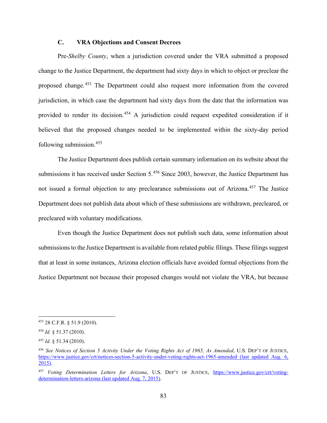### **C. VRA Objections and Consent Decrees**

Pre-*Shelby County*, when a jurisdiction covered under the VRA submitted a proposed change to the Justice Department, the department had sixty days in which to object or preclear the proposed change.<sup>453</sup> The Department could also request more information from the covered jurisdiction, in which case the department had sixty days from the date that the information was provided to render its decision.<sup>454</sup> A jurisdiction could request expedited consideration if it believed that the proposed changes needed to be implemented within the sixty-day period following submission.455

The Justice Department does publish certain summary information on its website about the submissions it has received under Section 5.<sup>456</sup> Since 2003, however, the Justice Department has not issued a formal objection to any preclearance submissions out of Arizona.<sup>457</sup> The Justice Department does not publish data about which of these submissions are withdrawn, precleared, or precleared with voluntary modifications.

Even though the Justice Department does not publish such data, some information about submissions to the Justice Department is available from related public filings. These filings suggest that at least in some instances, Arizona election officials have avoided formal objections from the Justice Department not because their proposed changes would not violate the VRA, but because

<sup>453</sup> 28 C.F.R. § 51.9 (2010).

<sup>454</sup> *Id.* § 51.37 (2010).

<sup>455</sup> *Id.* § 51.34 (2010).

<sup>456</sup> *See Notices of Section 5 Activity Under the Voting Rights Act of 1965, As Amended*, U.S. DEP'T OF JUSTICE, https://www.justice.gov/crt/notices-section-5-activity-under-voting-rights-act-1965-amended (last updated Aug. 6, 2015).

<sup>457</sup> *Voting Determination Letters for Arizona*, U.S. DEP'T OF JUSTICE, https://www.justice.gov/crt/votingdetermination-letters-arizona (last updated Aug. 7, 2015).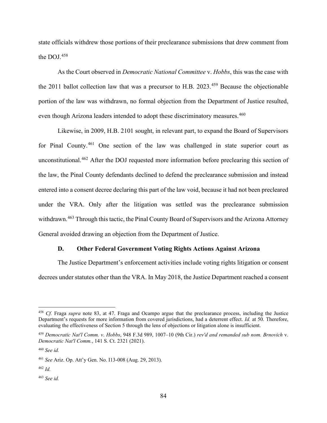state officials withdrew those portions of their preclearance submissions that drew comment from the DOJ.<sup>458</sup>

As the Court observed in *Democratic National Committee* v. *Hobbs*, this was the case with the 2011 ballot collection law that was a precursor to H.B.  $2023$ <sup>459</sup> Because the objectionable portion of the law was withdrawn, no formal objection from the Department of Justice resulted, even though Arizona leaders intended to adopt these discriminatory measures.<sup>460</sup>

Likewise, in 2009, H.B. 2101 sought, in relevant part, to expand the Board of Supervisors for Pinal County.<sup>461</sup> One section of the law was challenged in state superior court as unconstitutional.<sup>462</sup> After the DOJ requested more information before preclearing this section of the law, the Pinal County defendants declined to defend the preclearance submission and instead entered into a consent decree declaring this part of the law void, because it had not been precleared under the VRA. Only after the litigation was settled was the preclearance submission withdrawn.<sup>463</sup> Through this tactic, the Pinal County Board of Supervisors and the Arizona Attorney General avoided drawing an objection from the Department of Justice.

#### **D. Other Federal Government Voting Rights Actions Against Arizona**

The Justice Department's enforcement activities include voting rights litigation or consent decrees under statutes other than the VRA. In May 2018, the Justice Department reached a consent

<sup>458</sup> *Cf.* Fraga *supra* note 83, at 47. Fraga and Ocampo argue that the preclearance process, including the Justice Department's requests for more information from covered jurisdictions, had a deterrent effect. *Id.* at 50. Therefore, evaluating the effectiveness of Section 5 through the lens of objections or litigation alone is insufficient.

<sup>459</sup> *Democratic Nat'l Comm. v*. *Hobbs*, 948 F.3d 989, 1007–10 (9th Cir.) *rev'd and remanded sub nom. Brnovich* v. *Democratic Nat'l Comm.*, 141 S. Ct. 2321 (2021).

<sup>460</sup> *See id.*

<sup>461</sup> *See* Ariz. Op. Att'y Gen. No. I13-008 (Aug. 29, 2013).

 $462$  *Id.* 

<sup>463</sup> *See id.*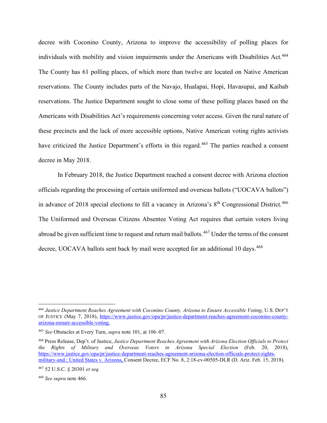decree with Coconino County, Arizona to improve the accessibility of polling places for individuals with mobility and vision impairments under the Americans with Disabilities Act.<sup>464</sup> The County has 61 polling places, of which more than twelve are located on Native American reservations. The County includes parts of the Navajo, Hualapai, Hopi, Havasupai, and Kaibab reservations. The Justice Department sought to close some of these polling places based on the Americans with Disabilities Act's requirements concerning voter access. Given the rural nature of these precincts and the lack of more accessible options, Native American voting rights activists have criticized the Justice Department's efforts in this regard.<sup>465</sup> The parties reached a consent decree in May 2018.

In February 2018, the Justice Department reached a consent decree with Arizona election officials regarding the processing of certain uniformed and overseas ballots ("UOCAVA ballots") in advance of 2018 special elections to fill a vacancy in Arizona's 8<sup>th</sup> Congressional District.<sup>466</sup> The Uniformed and Overseas Citizens Absentee Voting Act requires that certain voters living abroad be given sufficient time to request and return mail ballots.<sup>467</sup> Under the terms of the consent decree, UOCAVA ballots sent back by mail were accepted for an additional 10 days.<sup>468</sup>

<sup>464</sup> *Justice Department Reaches Agreement with Coconino County, Arizona to Ensure Accessible Voting*, U.S. DEP'T OF JUSTICE (May 7, 2018), https://www.justice.gov/opa/pr/justice-department-reaches-agreement-coconino-countyarizona-ensure-accessible-voting.

<sup>465</sup> *See* Obstacles at Every Turn, *supra* note 101, at 106–07.

<sup>466</sup> Press Release, Dep't. of Justice, *Justice Department Reaches Agreement with Arizona Election Officials to Protect the Rights of Military and Overseas Voters in Arizona Special Election* (Feb. 20, 2018), https://www.justice.gov/opa/pr/justice-department-reaches-agreement-arizona-election-officials-protect-rightsmilitary-and.; United States v. Arizona, Consent Decree, ECF No. 8, 2:18-cv-00505-DLR (D. Ariz. Feb. 15, 2018).

<sup>467</sup> 52 U.S.C. § 20301 *et seq.*

<sup>468</sup> *See supra* note 466.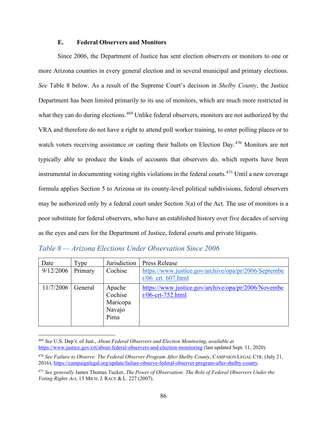### **E. Federal Observers and Monitors**

Since 2006, the Department of Justice has sent election observers or monitors to one or more Arizona counties in every general election and in several municipal and primary elections. *See* Table 8 below. As a result of the Supreme Court's decision in *Shelby County*, the Justice Department has been limited primarily to its use of monitors, which are much more restricted in what they can do during elections.<sup>469</sup> Unlike federal observers, monitors are not authorized by the VRA and therefore do not have a right to attend poll worker training, to enter polling places or to watch voters receiving assistance or casting their ballots on Election Day.<sup>470</sup> Monitors are not typically able to produce the kinds of accounts that observers do, which reports have been instrumental in documenting voting rights violations in the federal courts.<sup>471</sup> Until a new coverage formula applies Section 5 to Arizona or its county-level political subdivisions, federal observers may be authorized only by a federal court under Section 3(a) of the Act. The use of monitors is a poor substitute for federal observers, who have an established history over five decades of serving as the eyes and ears for the Department of Justice, federal courts and private litigants.

| Table 8 – Arizona Elections Under Observation Since 2006 |  |  |  |
|----------------------------------------------------------|--|--|--|
|----------------------------------------------------------|--|--|--|

| Date      | Type    | Jurisdiction | <b>Press Release</b>                                 |
|-----------|---------|--------------|------------------------------------------------------|
| 9/12/2006 | Primary | Cochise      | https://www.justice.gov/archive/opa/pr/2006/Septembe |
|           |         |              | $r/06$ crt 607.html                                  |
| 11/7/2006 | General | Apache       | https://www.justice.gov/archive/opa/pr/2006/Novembe  |
|           |         | Cochise      | $r/06$ -crt-752.html                                 |
|           |         | Maricopa     |                                                      |
|           |         | Navajo       |                                                      |
|           |         | Pima         |                                                      |
|           |         |              |                                                      |

<sup>469</sup> *See* U.S. Dep't. of Just., *About Federal Observers and Election Monitoring*, *available at* https://www.justice.gov/crt/about-federal-observers-and-election-monitoring (last updated Sept. 11, 2020).

<sup>470</sup> *See Failure to Observe: The Federal Observer Program After Shelby County*, CAMPAIGN LEGAL CTR. (July 21, 2016), https://campaignlegal.org/update/failure-observe-federal-observer-program-after-shelby-county.

<sup>471</sup> *See generally* James Thomas Tucker, *The Power of Observation: The Role of Federal Observers Under the Voting Rights Act*, 13 MICH. J. RACE & L. 227 (2007).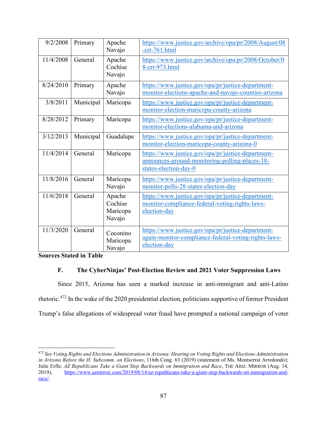| 9/2/2008  | Primary   | Apache<br>Navajo                        | https://www.justice.gov/archive/opa/pr/2008/August/08<br>$-$ crt $-761.html$                                                  |
|-----------|-----------|-----------------------------------------|-------------------------------------------------------------------------------------------------------------------------------|
| 11/4/2008 | General   | Apache<br>Cochise<br>Navajo             | https://www.justice.gov/archive/opa/pr/2008/October/0<br>8-crt-973.html                                                       |
| 8/24/2010 | Primary   | Apache<br>Navajo                        | https://www.justice.gov/opa/pr/justice-department-<br>monitor-elections-apache-and-navajo-counties-arizona                    |
| 3/8/2011  | Municipal | Maricopa                                | https://www.justice.gov/opa/pr/justice-department-<br>monitor-election-maricopa-county-arizona                                |
| 8/28/2012 | Primary   | Maricopa                                | https://www.justice.gov/opa/pr/justice-department-<br>monitor-elections-alabama-and-arizona                                   |
| 3/12/2013 | Municipal | Guadalupe                               | https://www.justice.gov/opa/pr/justice-department-<br>monitor-election-maricopa-county-arizona-0                              |
| 11/4/2014 | General   | Maricopa                                | https://www.justice.gov/opa/pr/justice-department-<br>announces-ground-monitoring-polling-places-18-<br>states-election-day-0 |
| 11/8/2016 | General   | Maricopa<br>Navajo                      | https://www.justice.gov/opa/pr/justice-department-<br>monitor-polls-28-states-election-day                                    |
| 11/6/2018 | General   | Apache<br>Cochise<br>Maricopa<br>Navajo | https://www.justice.gov/opa/pr/justice-department-<br>monitor-compliance-federal-voting-rights-laws-<br>election-day          |
| 11/3/2020 | General   | Coconino<br>Maricopa<br>Navajo          | https://www.justice.gov/opa/pr/justice-department-<br>again-monitor-compliance-federal-voting-rights-laws-<br>election-day    |

**Sources Stated in Table**

# **F. The CyberNinjas' Post-Election Review and 2021 Voter Suppression Laws**

Since 2015, Arizona has seen a marked increase in anti-immigrant and anti-Latino rhetoric.<sup>472</sup> In the wake of the 2020 presidential election, politicians supportive of former President Trump's false allegations of widespread voter fraud have prompted a national campaign of voter

<sup>472</sup> *See Voting Rights and Elections Administration in Arizona: Hearing on Voting Rights and Elections Administration in Arizona Before the H. Subcomm. on Elections*, 116th Cong. 63 (2019) (statement of Ms. Montserrat Arredondo); Julie Erfle, *AZ Republicans Take a Giant Step Backwards on Immigration and Race*, THE ARIZ. MIRROR (Aug. 14, 2019), https://www.azmirror.com/2019/08/14/az-republicans-take-a-giant-step-backwards-on-immigration-andrace/.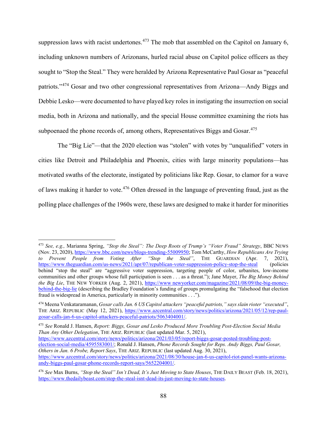suppression laws with racist undertones. $473$  The mob that assembled on the Capitol on January 6, including unknown numbers of Arizonans, hurled racial abuse on Capitol police officers as they sought to "Stop the Steal." They were heralded by Arizona Representative Paul Gosar as "peaceful patriots."<sup>474</sup> Gosar and two other congressional representatives from Arizona—Andy Biggs and Debbie Lesko—were documented to have played key roles in instigating the insurrection on social media, both in Arizona and nationally, and the special House committee examining the riots has subpoenaed the phone records of, among others, Representatives Biggs and Gosar.<sup>475</sup>

The "Big Lie"—that the 2020 election was "stolen" with votes by "unqualified" voters in cities like Detroit and Philadelphia and Phoenix, cities with large minority populations—has motivated swaths of the electorate, instigated by politicians like Rep. Gosar, to clamor for a wave of laws making it harder to vote.<sup>476</sup> Often dressed in the language of preventing fraud, just as the polling place challenges of the 1960s were, these laws are designed to make it harder for minorities

<sup>475</sup> *See* Ronald J. Hansen, *Report: Biggs, Gosar and Lesko Produced More Troubling Post-Election Social Media Than Any Other Delegation*, THE ARIZ. REPUBLIC (last updated Mar. 5, 2021), https://www.azcentral.com/story/news/politics/arizona/2021/03/05/report-biggs-gosar-posted-troubling-postelection-social-media/4595583001/; Ronald J. Hansen, *Phone Records Sought for Reps. Andy Biggs, Paul Gosar, Others in Jan. 6 Probe, Report Says*, THE ARIZ. REPUBLIC (last updated Aug. 30, 2021), https://www.azcentral.com/story/news/politics/arizona/2021/08/30/house-jan-6-us-capitol-riot-panel-wants-arizonaandy-biggs-paul-gosar-phone-records-report-says/5652204001/.

<sup>473</sup> *See, e.g.,* Marianna Spring, *"Stop the Steal": The Deep Roots of Trump's "Voter Fraud" Strategy*, BBC NEWS (Nov. 23, 2020), https://www.bbc.com/news/blogs-trending-55009950; Tom McCarthy, *How Republicans Are Trying to Prevent People from Voting After "Stop the Steal"*, THE GUARDIAN (Apr. 7, 2021), https://www.theguardian.com/us-news/2021/apr/07/republican-voter-suppression-policy-stop-the-steal (policies behind "stop the steal" are "aggressive voter suppression, targeting people of color, urbanites, low-income communities and other groups whose full participation is seen . . . as a threat."); Jane Mayer, *The Big Money Behind the Big Lie*, THE NEW YORKER (Aug. 2, 2021), https://www.newyorker.com/magazine/2021/08/09/the-big-moneybehind-the-big-lie (describing the Bradley Foundation's funding of groups promulgating the "falsehood that election fraud is widespread in America, particularly in minority communities . . .").

<sup>474</sup> Meena Venkataramanan, *Gosar calls Jan. 6 US Capitol attackers "peaceful patriots," says slain rioter "executed"*, THE ARIZ. REPUBLIC (May 12, 2021), https://www.azcentral.com/story/news/politics/arizona/2021/05/12/rep-paulgosar-calls-jan-6-us-capitol-attackers-peaceful-patriots/5063404001/.

<sup>476</sup> *See* Max Burns, *"Stop the Steal" Isn't Dead, It's Just Moving to State Houses*, THE DAILY BEAST (Feb. 18, 2021), https://www.thedailybeast.com/stop-the-steal-isnt-dead-its-just-moving-to-state-houses.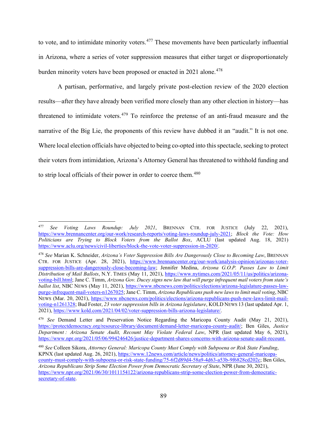to vote, and to intimidate minority voters.<sup>477</sup> These movements have been particularly influential in Arizona, where a series of voter suppression measures that either target or disproportionately burden minority voters have been proposed or enacted in 2021 alone.<sup>478</sup>

A partisan, performative, and largely private post-election review of the 2020 election results—after they have already been verified more closely than any other election in history—has threatened to intimidate voters.<sup>479</sup> To reinforce the pretense of an anti-fraud measure and the narrative of the Big Lie, the proponents of this review have dubbed it an "audit." It is not one. Where local election officials have objected to being co-opted into this spectacle, seeking to protect their voters from intimidation, Arizona's Attorney General has threatened to withhold funding and to strip local officials of their power in order to coerce them.<sup>480</sup>

<sup>477</sup> *See Voting Laws Roundup: July 2021*, BRENNAN CTR. FOR JUSTICE (July 22, 2021), https://www.brennancenter.org/our-work/research-reports/voting-laws-roundup-july-2021; *Block the Vote: How Politicians are Trying to Block Voters from the Ballot Box*, ACLU (last updated Aug. 18, 2021) https://www.aclu.org/news/civil-liberties/block-the-vote-voter-suppression-in-2020/.

<sup>478</sup> *See* Marian K. Schneider, *Arizona's Voter Suppression Bills Are Dangerously Close to Becoming Law*, BRENNAN CTR. FOR JUSTICE (Apr. 28, 2021), https://www.brennancenter.org/our-work/analysis-opinion/arizonas-votersuppression-bills-are-dangerously-close-becoming-law; Jennifer Medina, *Arizona G.O.P. Passes Law to Limit Distribution of Mail Ballots*, N.Y. TIMES (May 11, 2021), https://www.nytimes.com/2021/05/11/us/politics/arizonavoting-bill.html; Jane C. Timm, *Arizona Gov. Ducey signs new law that will purge infrequent mail voters from state's ballot list*, NBC NEWS (May 11, 2021), https://www.nbcnews.com/politics/elections/arizona-legislature-passes-lawpurge-infrequent-mail-voters-n1267025; Jane C. Timm, *Arizona Republicans push new laws to limit mail voting*, NBC NEWS (Mar. 20, 2021), https://www nbcnews.com/politics/elections/arizona-republicans-push-new-laws-limit-mailvoting-n1261328; Bud Foster, *23 voter suppression bills in Arizona legislature*, KOLD NEWS 13 (last updated Apr. 1, 2021), https://www kold.com/2021/04/02/voter-suppression-bills-arizona-legislature/.

<sup>479</sup> *See* Demand Letter and Preservation Notice Regarding the Maricopa County Audit (May 21, 2021), https://protectdemocracy.org/resource-library/document/demand-letter-maricopa-county-audit/; Ben Giles, *Justice Department : Arizona Senate Audit, Recount May Violate Federal Law*, NPR (last updated May 6, 2021), https://www.npr.org/2021/05/06/994246426/justice-department-shares-concerns-with-arizona-senate-audit-recount.

<sup>480</sup> *See* Colleen Sikora, *Attorney General: Maricopa County Must Comply with Subpoena or Risk State Funding*, KPNX (last updated Aug. 26, 2021), https://www.12news.com/article/news/politics/attorney-general-maricopacounty-must-comply-with-subpoena-or-risk-state-funding/75-6f2d89d4-58a9-4d63-a53b-9f6828cd202c; Ben Giles, *Arizona Republicans Strip Some Election Power from Democratic Secretary of State*, NPR (June 30, 2021), https://www.npr.org/2021/06/30/1011154122/arizona-republicans-strip-some-election-power-from-democraticsecretary-of-state.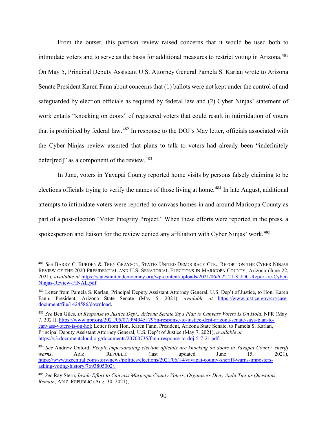From the outset, this partisan review raised concerns that it would be used both to intimidate voters and to serve as the basis for additional measures to restrict voting in Arizona.<sup>481</sup> On May 5, Principal Deputy Assistant U.S. Attorney General Pamela S. Karlan wrote to Arizona Senate President Karen Fann about concerns that (1) ballots were not kept under the control of and safeguarded by election officials as required by federal law and (2) Cyber Ninjas' statement of work entails "knocking on doors" of registered voters that could result in intimidation of voters that is prohibited by federal law.<sup>482</sup> In response to the DOJ's May letter, officials associated with the Cyber Ninjas review asserted that plans to talk to voters had already been "indefinitely defer[red]" as a component of the review.<sup>483</sup>

In June, voters in Yavapai County reported home visits by persons falsely claiming to be elections officials trying to verify the names of those living at home.<sup>484</sup> In late August, additional attempts to intimidate voters were reported to canvass homes in and around Maricopa County as part of a post-election "Voter Integrity Project." When these efforts were reported in the press, a spokesperson and liaison for the review denied any affiliation with Cyber Ninjas' work.<sup>485</sup>

<sup>481</sup> *See* BARRY C. BURDEN & TREY GRAYSON, STATES UNITED DEMOCRACY CTR., REPORT ON THE CYBER NINJAS REVIEW OF THE 2020 PRESIDENTIAL AND U.S. SENATORIAL ELECTIONS IN MARICOPA COUNTY, Arizona (June 22, 2021), *available at* https://statesuniteddemocracy.org/wp-content/uploads/2021/06/6.22.21-SUDC-Report-re-Cyber-Ninjas-Review-FINAL.pdf.

<sup>482</sup> Letter from Pamela S. Karlan, Principal Deputy Assistant Attorney General, U.S. Dep't of Justice, to Hon. Karen Fann, President, Arizona State Senate (May 5, 2021), *available at* https://www.justice.gov/crt/casedocument/file/1424586/download.

<sup>483</sup> *See* Ben Giles, *In Response to Justice Dept., Arizona Senate Says Plan to Canvass Voters Is On Hold*, NPR (May 7, 2021), https://www npr.org/2021/05/07/994945179/in-response-to-justice-dept-arizona-senate-says-plan-tocanvass-voters-is-on-hol; Letter from Hon. Karen Fann, President, Arizona State Senate, to Pamela S. Karlan, Principal Deputy Assistant Attorney General, U.S. Dep't of Justice (May 7, 2021), *available at* https://s3.documentcloud.org/documents/20700735/fann-response-to-doj-5-7-21.pdf.

<sup>484</sup> *See* Andrew Oxford, *People impersonating election officials are knocking on doors in Yavapai County, sheriff*  warns, ARIZ. REPUBLIC (last updated June 15, 2021), https://www.azcentral.com/story/news/politics/elections/2021/06/14/yavapai-county-sheriff-warns-impostersasking-voting-history/7693805002/.

<sup>485</sup> *See* Ray Stern, *Inside Effort to Canvass Maricopa County Voters: Organizers Deny Audit Ties as Questions Remain*, ARIZ. REPUBLIC (Aug. 30, 2021),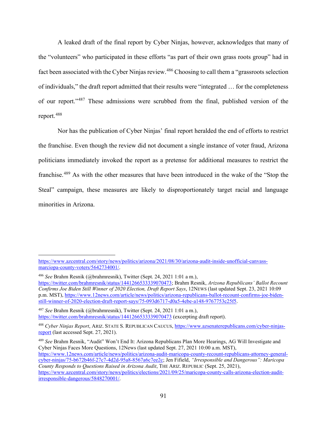A leaked draft of the final report by Cyber Ninjas, however, acknowledges that many of the "volunteers" who participated in these efforts "as part of their own grass roots group" had in fact been associated with the Cyber Ninjas review.<sup>486</sup> Choosing to call them a "grassroots selection" of individuals," the draft report admitted that their results were "integrated … for the completeness of our report."<sup>487</sup> These admissions were scrubbed from the final, published version of the report.488

Nor has the publication of Cyber Ninjas' final report heralded the end of efforts to restrict the franchise. Even though the review did not document a single instance of voter fraud, Arizona politicians immediately invoked the report as a pretense for additional measures to restrict the franchise.<sup>489</sup> As with the other measures that have been introduced in the wake of the "Stop the Steal" campaign, these measures are likely to disproportionately target racial and language minorities in Arizona.

https://www.azcentral.com/story/news/politics/arizona/2021/08/30/arizona-audit-inside-unofficial-canvassmarciopa-county-voters/5642734001/.

<sup>486</sup> *See* Brahm Resnik (@brahmresnik), Twitter (Sept. 24, 2021 1:01 a m.),

https://twitter.com/brahmresnik/status/1441266533339070473; Brahm Resnik, *Arizona Republicans' Ballot Recount Confirms Joe Biden Still Winner of 2020 Election, Draft Report Says*, 12NEWS (last updated Sept. 23, 2021 10:09 p.m. MST), https://www.12news.com/article/news/politics/arizona-republicans-ballot-recount-confirms-joe-bidenstill-winner-of-2020-election-draft-report-says/75-093d6717-d0a5-4ebe-a148-9767753c25f5.

<sup>487</sup> *See* Brahm Resnik (@brahmresnik), Twitter (Sept. 24, 2021 1:01 a m.), https://twitter.com/brahmresnik/status/1441266533339070473 (excerpting draft report).

<sup>488</sup> *Cyber Ninjas Report*, ARIZ. STATE S. REPUBLICAN CAUCUS, https://www.azsenaterepublicans.com/cyber-ninjasreport (last accessed Sept. 27, 2021).

<sup>489</sup> *See* Brahm Resnik, "Audit" Won't End It: Arizona Republicans Plan More Hearings, AG Will Investigate and Cyber Ninjas Faces More Questions, 12News (last updated Sept. 27, 2021 10:00 a.m. MST), https://www.12news.com/article/news/politics/arizona-audit-maricopa-county-recount-republicans-attorney-generalcyber-ninjas/75-b672b46f-27c7-4d2d-95a8-8567a6c7ee2c; Jen Fifield, *"Irresponsible and Dangerous": Maricopa County Responds to Questions Raised in Arizona Audit*, THE ARIZ. REPUBLIC (Sept. 25, 2021), https://www.azcentral.com/story/news/politics/elections/2021/09/25/maricopa-county-calls-arizona-election-auditirresponsible-dangerous/5848270001/.